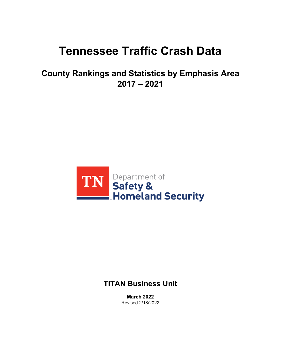# **Tennessee Traffic Crash Data**

**County Rankings and Statistics by Emphasis Area 2017 – 2021**



## **TITAN Business Unit**

**March 2022** Revised 2/18/2022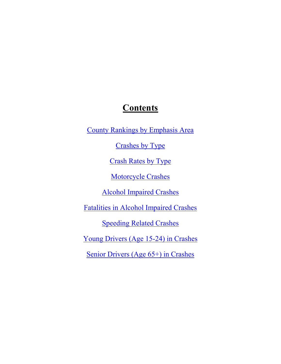## **Contents**

[County Rankings by Emphasis Area](#page-2-0)

[Crashes by Type](#page-5-0)

[Crash Rates by Type](#page-9-0)

[Motorcycle Crashes](#page-21-0)

[Alcohol Impaired Crashes](#page-27-0)

[Fatalities in Alcohol Impaired Crashes](#page-31-0)

[Speeding Related Crashes](#page-35-0)

[Young Drivers \(Age 15-24\) in Crashes](#page-39-0)

[Senior Drivers \(Age 65+\) in Crashes](#page-45-0)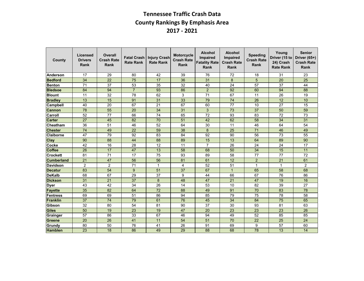#### **Tennessee Traffic Crash Data County Rankings By Emphasis Area 2017 ‐ 2021**

<span id="page-2-0"></span>

| County            | Licensed<br><b>Drivers</b><br><b>Rank</b> | Overall<br><b>Crash Rate</b><br><b>Rank</b> | <b>Fatal Crash</b><br><b>Rate Rank</b> | <b>Injury Crash</b><br><b>Rate Rank</b> | <b>Motorcycle</b><br><b>Crash Rate</b><br>Rank | <b>Alcohol</b><br>Impaired<br><b>Fatality Rate</b><br><b>Rank</b> | <b>Alcohol</b><br><b>Impaired</b><br><b>Crash Rate</b><br><b>Rank</b> | <b>Speeding</b><br><b>Crash Rate</b><br>Rank | Young<br>Driver (15 to<br>24) Crash<br><b>Rate Rank</b> | <b>Senior</b><br>Driver (65+)<br><b>Crash Rate</b><br>Rank |
|-------------------|-------------------------------------------|---------------------------------------------|----------------------------------------|-----------------------------------------|------------------------------------------------|-------------------------------------------------------------------|-----------------------------------------------------------------------|----------------------------------------------|---------------------------------------------------------|------------------------------------------------------------|
| Anderson          | 17                                        | 29                                          | 80                                     | 42                                      | 39                                             | 76                                                                | 72                                                                    | 18                                           | 31                                                      | 23                                                         |
| <b>Bedford</b>    | 34                                        | 22                                          | 75                                     | 17                                      | 36                                             | 31                                                                | 8                                                                     | 5                                            | 20                                                      | 25                                                         |
| <b>Benton</b>     | 71                                        | 37                                          | 53                                     | 35                                      | 32                                             | 40                                                                | 24                                                                    | 57                                           | 37                                                      | 44                                                         |
| <b>Bledsoe</b>    | 84                                        | 94                                          | $\overline{7}$                         | 93                                      | 86                                             | $\overline{2}$                                                    | 92                                                                    | 60                                           | 94                                                      | 88                                                         |
| <b>Blount</b>     | 11                                        | 32                                          | 78                                     | 62                                      | 3                                              | $\overline{71}$                                                   | 67                                                                    | 11                                           | 26                                                      | 19                                                         |
| <b>Bradley</b>    | 13                                        | 15                                          | 91                                     | 31                                      | 33                                             | 79                                                                | 74                                                                    | 26                                           | 12                                                      | 10                                                         |
| Campbell          | 40                                        | 20                                          | 67                                     | 21                                      | 67                                             | 60                                                                | 77                                                                    | 10                                           | 27                                                      | 15                                                         |
| <b>Cannon</b>     | 78                                        | 55                                          | 20                                     | 34                                      | 31                                             | 3                                                                 | 73                                                                    | 37                                           | 50                                                      | 59                                                         |
| Carroll           | 52                                        | 77                                          | 66                                     | 74                                      | 65                                             | 72                                                                | 93                                                                    | 83                                           | 72                                                      | 73                                                         |
| <b>Carter</b>     | $\overline{27}$                           | 45                                          | 82                                     | 70                                      | 51                                             | 42                                                                | 62                                                                    | 58                                           | 34                                                      | 31                                                         |
| Cheatham          | 36                                        | 51                                          | 46                                     | 52                                      | 64                                             | 30                                                                | 11                                                                    | 46                                           | 64                                                      | 54                                                         |
| <b>Chester</b>    | 74                                        | 49                                          | 22                                     | 59                                      | 38                                             | 8                                                                 | 25                                                                    | 71                                           | 46                                                      | 49                                                         |
| <b>Claiborne</b>  | 47                                        | 79                                          | 92                                     | 83                                      | 84                                             | 92                                                                | 90                                                                    | 56                                           | 73                                                      | 55                                                         |
| <b>Clay</b>       | 90                                        | 88                                          | 44                                     | 88                                      | 89                                             | 15                                                                | 13                                                                    | 64                                           | 89                                                      | 90                                                         |
| <b>Cocke</b>      | 42                                        | 16                                          | 28                                     | 12                                      | 11                                             | $\overline{7}$                                                    | 26                                                                    | 24                                           | 24                                                      | 17                                                         |
| <b>Coffee</b>     | 26                                        | 17                                          | 47                                     | 13                                      | 58                                             | 68                                                                | 50                                                                    | $\overline{34}$                              | 15                                                      | 11                                                         |
| <b>Crockett</b>   | 81                                        | 71                                          | 17                                     | 75                                      | 93                                             | 89                                                                | 58                                                                    | 77                                           | 77                                                      | 72                                                         |
| <b>Cumberland</b> | 21                                        | 47                                          | 56                                     | 56                                      | 81                                             | 61                                                                | 12                                                                    | $\overline{2}$                               | 21                                                      | 61                                                         |
| <b>Davidson</b>   | $\overline{c}$                            | $\overline{2}$                              | 71                                     | 1                                       | $\overline{4}$                                 | 52                                                                | 51                                                                    | $\mathbf{1}$                                 | $\mathbf{1}$                                            | $\overline{2}$                                             |
| Decatur           | 83                                        | 54                                          | 9                                      | 51                                      | 37                                             | 67                                                                | $\mathbf{1}$                                                          | 65                                           | 58                                                      | 68                                                         |
| <b>DeKalb</b>     | 68                                        | 67                                          | 29                                     | 37                                      | 9                                              | 44                                                                | 66                                                                    | 67                                           | 76                                                      | 86                                                         |
| <b>Dickson</b>    | 31                                        | 21                                          | 37                                     | 8                                       | 48                                             | 47                                                                | 21                                                                    | 47                                           | 19                                                      | 16                                                         |
| <b>Dyer</b>       | 43                                        | 42                                          | 34                                     | 26                                      | 14                                             | 53                                                                | 10                                                                    | 82                                           | 39                                                      | 27                                                         |
| <b>Fayette</b>    | 35                                        | 82                                          | 64                                     | $\overline{72}$                         | 88                                             | 49                                                                | 91                                                                    | $\overline{70}$                              | 83                                                      | 78                                                         |
| <b>Fentress</b>   | 69                                        | 69                                          | 51                                     | 86                                      | 94                                             | 85                                                                | 79                                                                    | 75                                           | 78                                                      | 58                                                         |
| Franklin          | 37                                        | 74                                          | 79                                     | 61                                      | 76                                             | 45                                                                | 34                                                                    | 84                                           | 75                                                      | 65                                                         |
| Gibson            | 32                                        | 80                                          | 54                                     | 81                                      | 90                                             | 37                                                                | 30                                                                    | 93                                           | 81                                                      | 63                                                         |
| Giles             | 50                                        | 19                                          | 23                                     | 19                                      | 47                                             | 20                                                                | 23                                                                    | 23                                           | 23                                                      | 26                                                         |
| Grainger          | 57                                        | 86                                          | 33                                     | 67                                      | 46                                             | 94                                                                | 49                                                                    | 52                                           | 85                                                      | 85                                                         |
| Greene            | 20                                        | 26                                          | 41                                     | 11                                      | 54                                             | 51                                                                | 70                                                                    | 22                                           | 25                                                      | 24                                                         |
| Grundy            | 80                                        | 50                                          | 76                                     | 41                                      | 26                                             | 91                                                                | 69                                                                    | 9                                            | 57                                                      | 60                                                         |
| <b>Hamblen</b>    | 23                                        | 18                                          | 86                                     | 49                                      | 29                                             | 88                                                                | 68                                                                    | 78                                           | 13                                                      | $\overline{14}$                                            |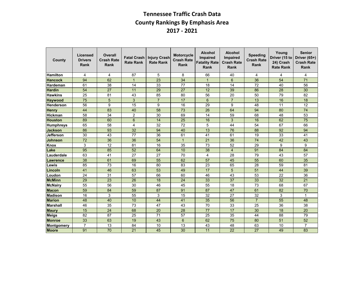#### **Tennessee Traffic Crash Data County Rankings By Emphasis Area 2017 ‐ 2021**

| County            | Licensed<br><b>Drivers</b><br>Rank | Overall<br><b>Crash Rate</b><br><b>Rank</b> | <b>Fatal Crash</b><br><b>Rate Rank</b> | <b>Injury Crash</b><br><b>Rate Rank</b> | <b>Motorcycle</b><br><b>Crash Rate</b><br><b>Rank</b> | <b>Alcohol</b><br><b>Impaired</b><br><b>Fatality Rate</b><br><b>Rank</b> | <b>Alcohol</b><br><b>Impaired</b><br><b>Crash Rate</b><br><b>Rank</b> | <b>Speeding</b><br><b>Crash Rate</b><br><b>Rank</b> | Young<br>Driver (15 to<br>24) Crash<br><b>Rate Rank</b> | <b>Senior</b><br>Driver (65+)<br><b>Crash Rate</b><br>Rank |
|-------------------|------------------------------------|---------------------------------------------|----------------------------------------|-----------------------------------------|-------------------------------------------------------|--------------------------------------------------------------------------|-----------------------------------------------------------------------|-----------------------------------------------------|---------------------------------------------------------|------------------------------------------------------------|
| <b>Hamilton</b>   | 4                                  | 4                                           | 87                                     | 5                                       | 8                                                     | 66                                                                       | 40                                                                    | 4                                                   | 4                                                       | 4                                                          |
| <b>Hancock</b>    | 94                                 | 62                                          | $\mathbf{1}$                           | 23                                      | 34                                                    | $\mathbf{1}$                                                             | $6\phantom{1}$                                                        | 36                                                  | 54                                                      | 71                                                         |
| Hardeman          | 61                                 | 38                                          | 14                                     | 33                                      | 77                                                    | 18                                                                       | 14                                                                    | 72                                                  | 40                                                      | 56                                                         |
| <b>Hardin</b>     | 54                                 | 27                                          | 11                                     | 29                                      | 27                                                    | 12                                                                       | 39                                                                    | 86                                                  | 28                                                      | 30                                                         |
| <b>Hawkins</b>    | 25                                 | 81                                          | 43                                     | 85                                      | 80                                                    | 56                                                                       | 20                                                                    | 50                                                  | 79                                                      | 82                                                         |
| <b>Haywood</b>    | $\overline{75}$                    | 5                                           | $\overline{3}$                         | $\overline{7}$                          | 17                                                    | $6\phantom{1}$                                                           | $\overline{7}$                                                        | 13                                                  | 16                                                      | 18                                                         |
| <b>Henderson</b>  | 56                                 | 9                                           | 15                                     | 9                                       | 16                                                    | 29                                                                       | 9                                                                     | 48                                                  | 11                                                      | 12                                                         |
| <b>Henry</b>      | 44                                 | 83                                          | 40                                     | 58                                      | 73                                                    | 26                                                                       | 64                                                                    | 94                                                  | 80                                                      | $\overline{74}$                                            |
| <b>Hickman</b>    | 58                                 | 34                                          | $\overline{2}$                         | 30                                      | 69                                                    | 14                                                                       | 59                                                                    | 68                                                  | 48                                                      | 53                                                         |
| <b>Houston</b>    | 89                                 | 60                                          | $6\phantom{1}6$                        | 14                                      | 25                                                    | 16                                                                       | 3                                                                     | 16                                                  | 62                                                      | 75                                                         |
| <b>Humphreys</b>  | 65                                 | 58                                          | $\overline{4}$                         | 32                                      | 72                                                    | 5                                                                        | 44                                                                    | 54                                                  | 67                                                      | 66                                                         |
| <b>Jackson</b>    | 86                                 | 93                                          | 32                                     | 94                                      | 40                                                    | 13                                                                       | 76                                                                    | 88                                                  | 92                                                      | 94                                                         |
| Jefferson         | 30                                 | 43                                          | 77                                     | 36                                      | 61                                                    | 41                                                                       | 61                                                                    | 19                                                  | 33                                                      | 41                                                         |
| <b>Johnson</b>    | 72                                 | 36                                          | 36                                     | 54                                      | $\mathbf{1}$                                          | 21                                                                       | 36                                                                    | 74                                                  | 42                                                      | 43                                                         |
| <b>Knox</b>       | 3                                  | 12                                          | 81                                     | 16                                      | 35                                                    | 73                                                                       | 52                                                                    | 29                                                  | 9                                                       | 9                                                          |
| Lake              | 95                                 | 85                                          | 52                                     | 64                                      | 10                                                    | 38                                                                       | $\overline{4}$                                                        | 91                                                  | 84                                                      | 84                                                         |
| Lauderdale        | 63                                 | 41                                          | 27                                     | 27                                      | 70                                                    | 4                                                                        | 28                                                                    | 79                                                  | 43                                                      | 57                                                         |
| Lawrence          | 38                                 | 61                                          | 69                                     | 55                                      | 62                                                    | 57                                                                       | 45                                                                    | 55                                                  | 60                                                      | 35                                                         |
| Lewis             | 85                                 | 73                                          | 16                                     | 80                                      | 83                                                    | 23                                                                       | 65                                                                    | 28                                                  | 59                                                      | 81                                                         |
| Lincoln           | 41                                 | 46                                          | 63                                     | 53                                      | 49                                                    | 17                                                                       | $\overline{5}$                                                        | 51                                                  | 44                                                      | 39                                                         |
| Loudon            | 24                                 | 31                                          | 57                                     | 66                                      | 60                                                    | 46                                                                       | 43                                                                    | 53                                                  | 22                                                      | 36                                                         |
| <b>McMinn</b>     | 29                                 | 23                                          | 26                                     | 18                                      | 24                                                    | 33                                                                       | 37                                                                    | 33                                                  | 32                                                      | 21                                                         |
| <b>McNairy</b>    | 55                                 | 56                                          | 30                                     | 46                                      | 45                                                    | 55                                                                       | 18                                                                    | 73                                                  | 68                                                      | 67                                                         |
| <b>Macon</b>      | 59                                 | 84                                          | 59                                     | 87                                      | 91                                                    | 87                                                                       | 47                                                                    | 61                                                  | 82                                                      | 70                                                         |
| <b>Madison</b>    | 16                                 | 3                                           | 55                                     | 3                                       | 15                                                    | 32                                                                       | 27                                                                    | 32                                                  | 3                                                       | $\mathbf{1}$                                               |
| <b>Marion</b>     | 48                                 | 40                                          | 10                                     | 44                                      | 41                                                    | 35                                                                       | 56                                                                    | $\overline{7}$                                      | 55                                                      | 48                                                         |
| <b>Marshall</b>   | 46                                 | 35                                          | 73                                     | 47                                      | 43                                                    | 70                                                                       | 33                                                                    | 25                                                  | 36                                                      | 38                                                         |
| <b>Maury</b>      | 15                                 | 24                                          | 68                                     | 20                                      | 28                                                    | 77                                                                       | 17                                                                    | 30                                                  | 18                                                      | 20                                                         |
| <b>Meigs</b>      | 82                                 | 87                                          | 25                                     | 71                                      | 57                                                    | 25                                                                       | 35                                                                    | 44                                                  | 88                                                      | 79                                                         |
| <b>Monroe</b>     | 33                                 | 63                                          | 19                                     | 43                                      | $6\phantom{1}$                                        | 62                                                                       | 75                                                                    | 80                                                  | 51                                                      | 52                                                         |
| <b>Montgomery</b> | $\overline{7}$                     | 13                                          | 84                                     | 10                                      | 13                                                    | 43                                                                       | 48                                                                    | 63                                                  | 10                                                      | $\overline{7}$                                             |
| <b>Moore</b>      | 91                                 | 70                                          | $\overline{21}$                        | 45                                      | $\overline{30}$                                       | $\overline{11}$                                                          | 22                                                                    | $\overline{27}$                                     | 49                                                      | 83                                                         |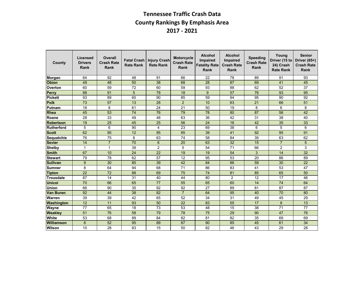#### **Tennessee Traffic Crash Data County Rankings By Emphasis Area 2017 ‐ 2021**

| County            | Licensed<br><b>Drivers</b><br>Rank | <b>Overall</b><br><b>Crash Rate</b><br>Rank | <b>Fatal Crash</b><br><b>Rate Rank</b> | <b>Injury Crash</b><br><b>Rate Rank</b> | <b>Motorcycle</b><br><b>Crash Rate</b><br>Rank | <b>Alcohol</b><br><b>Impaired</b><br><b>Fatality Rate</b><br><b>Rank</b> | <b>Alcohol</b><br>Impaired<br><b>Crash Rate</b><br><b>Rank</b> | Speeding<br><b>Crash Rate</b><br>Rank | Young<br>Driver (15 to<br>24) Crash<br><b>Rate Rank</b> | <b>Senior</b><br>Driver (65+)<br><b>Crash Rate</b><br>Rank |
|-------------------|------------------------------------|---------------------------------------------|----------------------------------------|-----------------------------------------|------------------------------------------------|--------------------------------------------------------------------------|----------------------------------------------------------------|---------------------------------------|---------------------------------------------------------|------------------------------------------------------------|
| <b>Morgan</b>     | 64                                 | 92                                          | 48                                     | 91                                      | 66                                             | 22                                                                       | 78                                                             | 89                                    | 91                                                      | 93                                                         |
| <b>Obion</b>      | 49                                 | 48                                          | 50                                     | 38                                      | 68                                             | 28                                                                       | 87                                                             | 69                                    | 41                                                      | 45                                                         |
| Overton           | 60                                 | 59                                          | 72                                     | 60                                      | 59                                             | 93                                                                       | 88                                                             | 62                                    | 52                                                      | 37                                                         |
| <b>Perry</b>      | 88                                 | 91                                          | 5                                      | 78                                      | 18                                             | 9                                                                        | 57                                                             | 76                                    | 93                                                      | 95                                                         |
| <b>Pickett</b>    | 93                                 | 89                                          | 60                                     | 90                                      | 85                                             | 59                                                                       | 94                                                             | 95                                    | 90                                                      | 92                                                         |
| <b>Polk</b>       | 73                                 | 57                                          | 13                                     | 28                                      | 2                                              | 10                                                                       | 63                                                             | 21                                    | 66                                                      | 51                                                         |
| Putnam            | 18                                 | 8                                           | 61                                     | 24                                      | 21                                             | 50                                                                       | 19                                                             | 8                                     | 6                                                       | 8                                                          |
| Rhea              | 45                                 | 53                                          | 74                                     | 76                                      | 79                                             | 78                                                                       | 80                                                             | 87                                    | 56                                                      | 42                                                         |
| Roane             | 28                                 | 33                                          | 49                                     | 48                                      | 63                                             | 36                                                                       | 42                                                             | 31                                    | 38                                                      | 40                                                         |
| <b>Robertson</b>  | 19                                 | $\overline{25}$                             | 45                                     | 25                                      | 56                                             | 24                                                                       | 16                                                             | 42                                    | 35                                                      | 33                                                         |
| <b>Rutherford</b> | 5                                  | 6                                           | 90                                     | 4                                       | 23                                             | 69                                                                       | 38                                                             | 6                                     | 5                                                       | 6                                                          |
| <b>Scott</b>      | 62                                 | 95                                          | 12                                     | 95                                      | 95                                             | 39                                                                       | 41                                                             | 92                                    | 95                                                      | 91                                                         |
| Sequatchie        | $\overline{76}$                    | $\overline{75}$                             | 8                                      | 63                                      | $\overline{74}$                                | 58                                                                       | 84                                                             | 39                                    | 63                                                      | 62                                                         |
| <b>Sevier</b>     | 14                                 | $\overline{7}$                              | 70                                     | $6\phantom{1}6$                         | 20                                             | 63                                                                       | 32                                                             | 15                                    | $\overline{7}$                                          | 5                                                          |
| <b>Shelby</b>     | 1                                  | 1                                           | 39                                     | $\overline{2}$                          | 5                                              | 54                                                                       | 71                                                             | 66                                    | 2                                                       | 3                                                          |
| <b>Smith</b>      | 67                                 | 10                                          | 24                                     | 22                                      | 19                                             | 19                                                                       | 54                                                             | 3                                     | 14                                                      | 32                                                         |
| <b>Stewart</b>    | 79                                 | 78                                          | 62                                     | 57                                      | 12                                             | 95                                                                       | 53                                                             | 20                                    | 86                                                      | 89                                                         |
| <b>Sullivan</b>   | 9                                  | 30                                          | 85                                     | 39                                      | 42                                             | 84                                                                       | 86                                                             | 59                                    | 30                                                      | 22                                                         |
| <b>Sumner</b>     | 8                                  | 64                                          | 94                                     | 68                                      | 71                                             | 86                                                                       | 83                                                             | 41                                    | 53                                                      | 47                                                         |
| <b>Tipton</b>     | 22                                 | 72                                          | 88                                     | 69                                      | 75                                             | 74                                                                       | 81                                                             | 85                                    | 65                                                      | 50                                                         |
| <b>Trousdale</b>  | 87                                 | 14                                          | 31                                     | 40                                      | 44                                             | 80                                                                       | $\overline{2}$                                                 | 12                                    | 17                                                      | 46                                                         |
| <b>Unicoi</b>     | 70                                 | 66                                          | 65                                     | 77                                      | 55                                             | 65                                                                       | 60                                                             | 14                                    | 74                                                      | 64                                                         |
| Union             | 66                                 | 90                                          | 35                                     | 92                                      | 92                                             | 27                                                                       | 89                                                             | 81                                    | 87                                                      | 87                                                         |
| <b>Van Buren</b>  | 92                                 | 44                                          | 38                                     | 82                                      | $\overline{7}$                                 | 64                                                                       | 95                                                             | 40                                    | 70                                                      | 80                                                         |
| Warren            | 39                                 | 39                                          | 42                                     | 65                                      | 52                                             | 34                                                                       | 31                                                             | 49                                    | 45                                                      | 29                                                         |
| Washington        | 12                                 | 11                                          | 93                                     | 50                                      | 22                                             | 83                                                                       | 55                                                             | 17                                    | 8                                                       | 13                                                         |
| Wayne             | 77                                 | 65                                          | 18                                     | 73                                      | 53                                             | 48                                                                       | 15                                                             | 38                                    | 71                                                      | 77                                                         |
| <b>Weakley</b>    | 51                                 | 76                                          | 58                                     | 79                                      | 78                                             | 75                                                                       | 29                                                             | 90                                    | 47                                                      | 76                                                         |
| White             | 53                                 | 68                                          | 89                                     | 84                                      | 82                                             | 81                                                                       | 82                                                             | 35                                    | 69                                                      | 69                                                         |
| Williamson        | 6                                  | 52                                          | 95                                     | 89                                      | 87                                             | 90                                                                       | 85                                                             | 45                                    | 61                                                      | 34                                                         |
| Wilson            | 10                                 | 28                                          | 83                                     | 15                                      | 50                                             | 82                                                                       | 46                                                             | 43                                    | 29                                                      | 28                                                         |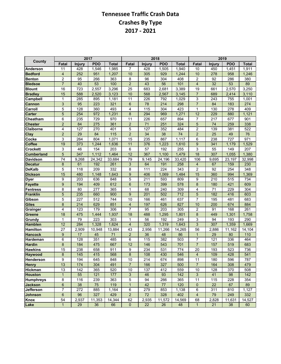<span id="page-5-0"></span>

|                   |                         |                  | 2017             |                 |                  |                   | 2018            |                  |                         |                 | 2019       |                  |
|-------------------|-------------------------|------------------|------------------|-----------------|------------------|-------------------|-----------------|------------------|-------------------------|-----------------|------------|------------------|
| County            | Fatal                   | <b>Injury</b>    | <b>PDO</b>       | <b>Total</b>    | <b>Fatal</b>     | <b>Injury</b>     | <b>PDO</b>      | <b>Total</b>     | <b>Fatal</b>            | <b>Injury</b>   | <b>PDO</b> | <b>Total</b>     |
| Anderson          | 11                      | 428              | 1,546            | 1,985           | $\overline{7}$   | 428               | 1,505           | 1,940            | 10                      | 450             | 1,451      | 1,911            |
| <b>Bedford</b>    | $\overline{\mathbf{4}}$ | 252              | 951              | 1,207           | 10               | 305               | 929             | 1,244            | 10                      | 278             | 958        | 1,246            |
| <b>Benton</b>     | $\overline{2}$          | 95               | 266              | 363             | 8                | 96                | 304             | 408              | $\overline{\mathbf{c}}$ | 92              | 286        | 380              |
| <b>Bledsoe</b>    | $\overline{7}$          | 40               | 53               | 100             | $\overline{2}$   | 43                | $\overline{56}$ | 101              | $\overline{4}$          | 32              | 53         | 89               |
| <b>Blount</b>     | 16                      | 723              | 2,557            | 3,296           | 25               | 683               | 2,681           | 3,389            | 19                      | 661             | 2,570      | 3,250            |
| <b>Bradley</b>    | 15                      | 588              | 2,520            | 3,123           | 10               | 568               | 2,567           | 3,145            | $\overline{7}$          | 689             | 2,414      | 3,110            |
| Campbell          | $\mathbf{1}$            | 285              | 895              | 1,181           | 11               | 226               | 792             | 1,029            | 3                       | 243             | 755        | 1,001            |
| Cannon            | $\mathsf 3$             | 95               | 223              | 321             | 6                | 78                | 214             | 298              | $\overline{7}$          | 84              | 183        | 274              |
| Carroll           | 5                       | 128              | 360              | 493             | 4                | $\frac{115}{115}$ | 304             | 423              | $\mathbf{1}$            | 130             | 278        | 409              |
| <b>Carter</b>     | 5                       | 254              | 972              | 1,231           | 8                | 294               | 969             | 1,271            | 12                      | 229             | 880        | 1,121            |
| Cheatham          | 6                       | 235              | 729              | 970             | $\overline{11}$  | 226               | 657             | 894              | $\overline{7}$          | 217             | 677        | 901              |
| <b>Chester</b>    | $\overline{2}$          | 84               | 275              | 361             | $\overline{2}$   | $\overline{71}$   | 251             | 324              | $\overline{5}$          | $\overline{74}$ | 259        | 338              |
| Claiborne         | 4                       | 127              | 270              | 401             | 5                | 127               | 352             | 484              | $\overline{2}$          | 139             | 381        | 522              |
| Clay              | $\overline{c}$          | 29               | 84               | 115             | $\overline{c}$   | 34                | 38              | 74               | $\overline{2}$          | 25              | 49         | 76               |
| Cocke             | 3                       | 264              | 804              | 1,071           | 15               | 235               | 867             | 1,117            | 6                       | 238             | 727        | 971              |
| <b>Coffee</b>     | 19                      | 373              | 1,244            | 1,636           | 11               | 376               | 1,223           | 1,610            | $\boldsymbol{9}$        | 341             | 1,179      | 1,529            |
| Crockett          | 3                       | 46               | 154              | 203             | 6                | 57                | 192             | 255              | 3                       | 55              | 149        | 207              |
| <b>Cumberland</b> | $\overline{5}$          | 347              | 1,112            | 1,464           | 12               | 367               | 1,100           | 1,479            | 18                      | 307             | 1,055      | 1,380            |
| <b>Davidson</b>   | 74                      | 9,268            | 24,342           | 33,684          | 79               | 9,145             | 24,196          | 33,420           | 106                     | 9,695           | 23,197     | 32,998           |
| <b>Decatur</b>    | $\bf 8$                 | 61               | 192              | 261             | 3                | 64                | 191             | 258              | $\overline{4}$          | 67              | 159        | 230              |
| <b>DeKalb</b>     | 5                       | 118              | 209              | 332             | 8                | 111               | 224             | 343              | $\overline{2}$          | 92              | 254        | 348              |
| <b>Dickson</b>    | 15                      | 480              | 1,148            | 1,643           | 9                | 406               | 1,069           | 1,484            | 15                      | 360             | 994        | 1,369            |
| <b>Dyer</b>       | 9                       | 203              | 636              | 848             | 5                | 211               | 593             | 809              | 9                       | 210             | 515        | 734              |
| <b>Fayette</b>    | 9                       | 194              | 409              | 612             | 6                | 173               | 399             | 578              | $\boldsymbol{8}$        | 180             | 421        | 609              |
| <b>Fentress</b>   | 8                       | 80               | 277              | 365             | 1                | 68                | 240             | 309              | 4                       | 71              | 229        | 304              |
| <b>Franklin</b>   | $\overline{5}$          | 235              | 660              | 900             | $\boldsymbol{9}$ | 201               | 502             | $\overline{712}$ | 5                       | 182             | 416        | 603              |
| Gibson            | $\overline{5}$          | $\overline{227}$ | $\overline{512}$ | 744             | 10               | 166               | 461             | 637              | $\overline{7}$          | 195             | 481        | 683              |
| <b>Giles</b>      | 8                       | $\overline{214}$ | 629              | 851             | 4                | 197               | 626             | 827              | 10                      | 200             | 674        | 884              |
| Grainger          | 4                       | 123              | 179              | 306             | $\overline{7}$   | 95                | 203             | 305              | $\overline{c}$          | 91              | 168        | 261              |
| Greene            | $\overline{18}$         | 475              | 1,444            | 1,937           | $\overline{18}$  | 488               | 1,295           | 1,801            | $\bf 8$                 | 449             | 1,301      | 1,758            |
| Grundy            | $\mathbf{1}$            | 79               | 223              | 303             | $\mathbf{1}$     | 56                | 192             | 249              | 3                       | 94              | 193        | 290              |
| <b>Hamblen</b>    | 12                      | 284              | 1,328            | 1,624           | 4                | 320               | 1,319           | 1,643            | 3                       | 307             | 1,359      | 1,669            |
| Hamilton          | 27                      | 2,909            | 10,948           | 13,884          | 43               | 2,956             | 11,266          | 14,265           | 56                      | 2,886           | 11,162     | 14,104           |
| <b>Hancock</b>    | $\boldsymbol{9}$        | 17               | 45               | $\overline{71}$ | $\overline{2}$   | 36                | 48              | 86               | $\mathbf{1}$            | $\overline{29}$ | 80         | 110              |
| Hardeman          | 6                       | 128              | 351              | 485             | 6                | 115               | 382             | 503              | $\overline{7}$          | 121             | 336        | 464              |
| <b>Hardin</b>     | $\bf8$                  | 184              | 475              | 667             | 12               | 146               | 543             | 701              | $\overline{7}$          | 157             | 519        | 683              |
| <b>Hawkins</b>    | 15                      | 238              | 658              | 911             | 9                | 234               | 531             | 774              | 20                      | 193             | 523        | 736              |
| <b>Haywood</b>    | 8                       | 145              | 415              | 568             | $\overline{8}$   | 108               | 430             | 546              | $\overline{4}$          | 109             | 428        | $\overline{541}$ |
| <b>Henderson</b>  | 9                       | 194              | 645              | 848             | 10               | 214               | 674             | 898              | 11                      | 180             | 596        | 787              |
| <b>Henry</b>      | 13                      | 174              | 304              | 491             | $\overline{7}$   | 166               | 327             | 500              | $\overline{7}$          | 164             | 308        | 479              |
| Hickman           | 13                      | 142              | 365              | 520             | 10               | 137               | 412             | 559              | 10                      | 128             | 370        | 508              |
| <b>Houston</b>    | $\mathbf{1}$            | 55               | 121              | 177             | 3                | 46                | 93              | 142              | $\sqrt{3}$              | 41              | 98         | 142              |
| <b>Humphreys</b>  | 8                       | 116              | 239              | 363             | 5                | 94                | 266             | 365              | 11                      | 115             | 228        | 354              |
| <b>Jackson</b>    | 6                       | 38               | 75               | 119             | $\mathbf{1}$     | 42                | 77              | 120              | $\pmb{0}$               | 22              | 67         | 89               |
| Jefferson         | $\overline{7}$          | 272              | 885              | 1,164           | 6                | 279               | 853             | 1,138            | 6                       | 311             | 810        | 1,127            |
| <b>Johnson</b>    | 6                       | 96               | 327              | 429             | $\overline{c}$   | 72                | 328             | 402              | 4                       | 79              | 249        | 332              |
| Knox              | 54                      | 2,937            | 11,353           | 14,344          | 62               | 2,935             | 11,572          | 14,569           | 68                      | 2,828           | 11,631     | 14,527           |
| Lake              | $\mathbf{1}$            | 29               | 36               | 66              | 0                | 22                | 26              | 48               | $\mathbf{1}$            | 21              | 38         | 60               |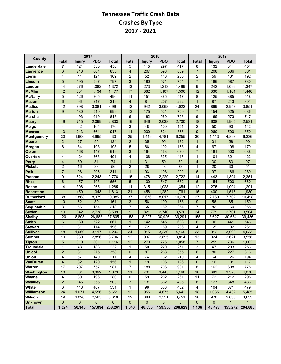| County            |                         |               | 2017             |              |                                |                  | 2018         |                  |                         |              | 2019             |                 |
|-------------------|-------------------------|---------------|------------------|--------------|--------------------------------|------------------|--------------|------------------|-------------------------|--------------|------------------|-----------------|
|                   | Fatal                   | <b>Injury</b> | <b>PDO</b>       | <b>Total</b> | Fatal                          | <b>Injury</b>    | <b>PDO</b>   | <b>Total</b>     | Fatal                   | Injury       | <b>PDO</b>       | <b>Total</b>    |
| Lauderdale        | $\overline{7}$          | 121           | 330              | 458          | 5                              | 115              | 297          | 417              | 8                       | 132          | 311              | 451             |
| <b>Lawrence</b>   | 6                       | 248           | 601              | 855          | $\overline{\mathbf{4}}$        | 207              | 598          | 809              | $\overline{7}$          | 208          | 586              | 801             |
| Lewis             | 4                       | 44            | 121              | 169          | $\overline{c}$                 | 52               | 146          | 200              | $\overline{c}$          | 59           | 131              | 192             |
| Lincoln           | 5                       | 195           | 597              | 797          | 3                              | 180              | 571          | 754              | $\overline{7}$          | 186          | 587              | 780             |
| Loudon            | 14                      | 276           | 1,082            | 1,372        | 13                             | 273              | 1,213        | 1,499            | 9                       | 242          | 1,096            | 1,347           |
| <b>McMinn</b>     | 12                      | 331           | 1,134            | 1,477        | 17                             | 382              | 1,107        | 1,506            | 12                      | 330          | 1,104            | 1,446           |
| <b>McNairy</b>    | 5                       | 126           | 365              | 496          | 11                             | 151              | 385          | 547              | 8                       | 125          | 385              | 518             |
| <b>Macon</b>      | $6\phantom{1}$          | 96            | $\overline{217}$ | 319          | $\overline{4}$                 | 81               | 207          | 292              | $\mathbf{1}$            | 87           | $\overline{213}$ | 301             |
| <b>Madison</b>    | $\overline{12}$         | 898           | 3,081            | 3,991        | 12                             | 942              | 3,068        | 4,022            | 24                      | 869          | 2,958            | 3,851           |
| <b>Marion</b>     | 9                       | 180           | 510              | 699          | 13                             | $\frac{175}{2}$  | 521          | 709              | $\overline{7}$          | 154          | 525              | 686             |
| <b>Marshall</b>   | $\mathbf{1}$            | 193           | 619              | 813          | 6                              | 182              | 580          | 768              | 9                       | 165          | 573              | 747             |
| <b>Maury</b>      | 19                      | 715           | 2,099            | 2,833        | 16                             | 646              | 2,038        | 2,700            | 18                      | 608          | 1,905            | 2,531           |
| <b>Meigs</b>      | 4                       | 62            | 104              | 170          | 3                              | 48               | 100          | 151              | $\overline{c}$          | 50           | 90               | 142             |
| <b>Monroe</b>     | 13                      | 243           | 661              | 917          | 11                             | 230              | 624          | 865              | $\boldsymbol{9}$        | 260          | 590              | 859             |
| <b>Montgomery</b> | 30                      | 1,606         | 4,695            | 6,331        | $\overline{25}$                | 1,449            | 4,781        | 6,255            | 30                      | 1,413        | 4,893            | 6,336           |
| <b>Moore</b>      | $\overline{2}$          | 27            | 95               | 124          | $\overline{2}$                 | 35               | 95           | $\overline{132}$ | $\mathbf{1}$            | 31           | 58               | 90              |
| Morgan            | 6                       | 84            | 103              | 193          | $\overline{5}$                 | 66               | 102          | $\overline{173}$ | $\overline{4}$          | 67           | 108              | 179             |
| <b>Obion</b>      | $\overline{4}$          | 168           | 447              | 619          | 3                              | 164              | 463          | 630              | $\overline{7}$          | 181          | 500              | 688             |
| Overton           | 4                       | 124           | 363              | 491          | 4                              | 106              | 335          | 445              | $\mathbf{1}$            | 101          | 321              | 423             |
| <b>Perry</b>      | 4                       | 39            | 31               | 74           | $\mathbf{1}$                   | 31               | 50           | 82               | $\overline{4}$          | 30           | 63               | 97              |
| <b>Pickett</b>    | $\overline{\mathbf{c}}$ | 16            | 38               | 56           | $\overline{c}$                 | 28               | 43           | 73               | $\mathbf{1}$            | 20           | 30               | $\overline{51}$ |
| <b>Polk</b>       | $\overline{7}$          | 98            | 206              | 311          | $\overline{1}$                 | 93               | 198          | 292              | $6\phantom{1}$          | 97           | 186              | 289             |
| Putnam            | 9                       | 524           | 2,243            | 2,776        | $\overline{15}$                | 478              | 2,229        | 2,722            | 14                      | 443          | 1,894            | 2,351           |
| Rhea              | $\overline{6}$          | 157           | 493              | 656          | $\overline{5}$                 | 130              | 547          | 682              | $\,6$                   | 154          | 500              | 660             |
| Roane             | 14                      | 306           | 965              | 1,285        | $\overline{11}$                | 315              | 1,028        | 1,354            | $\overline{12}$         | 275          | 1,004            | 1,291           |
| <b>Robertson</b>  | 11                      | 459           | 1,343            | 1,813        | $\overline{21}$                | 458              | 1,282        | 1,761            | 15                      | 400          | 1,515            | 1,930           |
| <b>Rutherford</b> | 38                      | 2,868         | 8,079            | 10,985       | 37                             | 2,676            | 8,017        | 10,730           | $\overline{27}$         | 2,769        | 7,702            | 10,498          |
| <b>Scott</b>      | 10                      | 62            | 89               | 161          | 3                              | 56               | 109          | 168              | $\boldsymbol{9}$        | 56           | 85               | 150             |
| Sequatchie        | 3                       | 56            | 154              | 213          | $\overline{7}$                 | 65               | 182          | 254              | $\overline{7}$          | 82           | 169              | 258             |
| <b>Sevier</b>     | 19                      | 842           | 2,738            | 3,599        | $\boldsymbol{9}$               | 821              | 2,740        | 3,570            | 24                      | 779          | 2,701            | 3,504           |
| <b>Shelby</b>     | 120                     | 8,803         | 28,682           | 37,605       | 158                            | 8,207            | 30,926       | 39,291           | 155                     | 8,627        | 30,654           | 39,436          |
| <b>Smith</b>      | 6                       | 139           | 522              | 667          | $\mathbf{1}$                   | 142              | 545          | 688              | $6\phantom{1}$          | 96           | 441              | 543             |
| <b>Stewart</b>    | $\mathbf{1}$            | 81            | $\frac{1}{114}$  | 196          | 5                              | $\overline{72}$  | 159          | 236              | $\overline{4}$          | 65           | 192              | 261             |
| <b>Sullivan</b>   | 18                      | 1,069         | 3,117            | 4,204        | $\overline{24}$                | $\overline{915}$ | 3,230        | 4,169            | $\overline{23}$         | 912          | 3,098            | 4,033           |
| <b>Sumner</b>     | 10                      | 930           | 2,856            | 3,796        | $\overline{12}$                | 907              | 2,895        | 3,814            | $\overline{13}$         | 924          | 2,621            | 3,558           |
| <b>Tipton</b>     | 5                       | 310           | 801              | 1,116        | $\overline{12}$                | 270              | 776          | 1,058            | $\overline{7}$          | 259          | 736              | 1,002           |
| <b>Trousdale</b>  | $\mathbf{1}$            | 48            | 183              | 232          | $\mathbf{1}$                   | 50               | 220          | 271              | 3                       | 47           | 203              | 253             |
| <b>Unicoi</b>     | $\overline{c}$          | 81            | 275              | 358          | $\pmb{0}$                      | 87               | 268          | 355              | $\,6$                   | 80           | 227              | 313             |
| <b>Union</b>      | $\overline{\mathbf{4}}$ | 67            | 140              | 211          | $\overline{\mathbf{4}}$        | $\overline{74}$  | 132          | 210              | $\overline{\mathbf{4}}$ | 64           | 126              | 194             |
| <b>VanBuren</b>   |                         |               |                  |              |                                |                  |              |                  |                         |              |                  |                 |
| Warren            | 4<br>17                 | 32<br>207     | 120<br>757       | 156<br>981   | $\mathbf{1}$<br>$\overline{7}$ | 19<br>188        | 106<br>706   | 126<br>901       | $\boldsymbol{0}$<br>8   | 16<br>162    | 101<br>608       | 117<br>778      |
| Washington        | 10                      | 664           |                  |              |                                | 704              | 3,445        |                  | 18                      |              |                  |                 |
|                   |                         |               | 3,399            | 4,073        | 11                             |                  |              | 4,160            |                         | 683          | 3,375            | 4,076           |
| Wayne             | 4<br>$\overline{2}$     | 80            | 196              | 280          | 0                              | 59               | 202          | 261              | 11                      | 72           | 212              | 295             |
| <b>Weakley</b>    |                         | 145           | 356              | 503          | $\mathbf{3}$                   | 131              | 362          | 496              | 8                       | 127          | 348              | 483             |
| White             | 6                       | 118           | 407              | 531          | $\mathbf{1}$                   | 98               | 363          | 462              | 4                       | 104          | 371              | 479             |
| <b>Williamson</b> | 24                      | 1,071         | 4,556            | 5,651        | 12                             | 955              | 4,675        | 5,642            | 18                      | 1,035        | 4,432            | 5,485           |
| Wilson            | 19                      | 1,026         | 2,565            | 3,610        | 12                             | 888              | 2,551        | 3,451            | 28                      | 970          | 2,635            | 3,633           |
| <b>Unknown</b>    | 0                       | $\mathbf 0$   | $\mathbf{0}$     | $\mathbf{0}$ | $\mathbf{0}$                   | 0                | $\mathbf{0}$ | 0                | $\mathbf{0}$            | $\mathbf{0}$ | $\mathbf{1}$     | $\mathbf{1}$    |
| <b>Total</b>      | 1,024                   | 50,143        | 157,094          | 208,261      | 1,040                          | 48,033           | 159,556      | 208,629          | 1,136                   | 48,477       | 155,272          | 204,885         |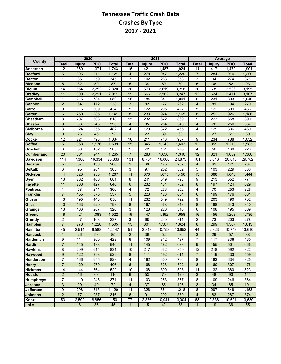|                   |                  |                 | 2020       |                 |                 |                 | 2021             |              | Average          |                  |                 |                  |  |
|-------------------|------------------|-----------------|------------|-----------------|-----------------|-----------------|------------------|--------------|------------------|------------------|-----------------|------------------|--|
| County            | Fatal            | <b>Injury</b>   | <b>PDO</b> | <b>Total</b>    | <b>Fatal</b>    | <b>Injury</b>   | <b>PDO</b>       | <b>Total</b> | Fatal            | <b>Injury</b>    | <b>PDO</b>      | <b>Total</b>     |  |
| Anderson          | 12               | 360             | 1,371      | 1,743           | 16              | 421             | 1,487            | 1,924        | 11               | 417              | 1,472           | 1,901            |  |
| <b>Bedford</b>    | 5                | 305             | 811        | 1,121           | 4               | 278             | 947              | 1,229        | $\overline{7}$   | 284              | 919             | 1,209            |  |
| <b>Benton</b>     | $\mathbf{1}$     | 85              | 259        | 345             | 3               | 102             | 253              | 358          | 3                | 94               | 274             | 371              |  |
| <b>Bledsoe</b>    | $\overline{5}$   | 32              | 50         | 87              | $\overline{5}$  | 34              | 50               | 89           | $\overline{5}$   | 36               | $\overline{52}$ | 93               |  |
| <b>Blount</b>     | 14               | 554             | 2,252      | 2,820           | 26              | 573             | 2,619            | 3,218        | 20               | 639              | 2,536           | 3,195            |  |
| <b>Bradley</b>    | 11               | 609             | 2,291      | 2,911           | 19              | 666             | 2,562            | 3,247        | 12               | 624              | 2,471           | 3,107            |  |
| Campbell          | $\mathbf{1}$     | 215             | 734        | 950             | 16              | 184             | 841              | 1,041        | 6                | 231              | 803             | 1,040            |  |
| <b>Cannon</b>     | $\overline{a}$   | 64              | 172        | 238             | 3               | 82              | 177              | 262          | $\overline{4}$   | 81               | 194             | 279              |  |
| Carroll           | 9                | 116             | 309        | 434             | 5               | 122             | 295              | 422          | 5                | 122              | 309             | 436              |  |
| <b>Carter</b>     | 6                | 250             | 885        | 1,141           | 8               | 233             | 924              | 1,165        | 8                | 252              | 926             | 1,186            |  |
| Cheatham          | 8                | 207             | 603        | 818             | 15              | 232             | 622              | 869          | 9                | 223              | 658             | 890              |  |
| <b>Chester</b>    | $\boldsymbol{9}$ | 68              | 243        | 320             | 4               | 85              | 254              | 343          | 4                | 76               | 256             | 337              |  |
| Claiborne         | 3                | 124             | 355        | 482             | 4               | 129             | $\overline{322}$ | 455          | 4                | 129              | 336             | 469              |  |
| <b>Clay</b>       | $\pmb{0}$        | 26              | 46         | $\overline{72}$ | $\overline{2}$  | 22              | 39               | 63           | $\overline{2}$   | 27               | 51              | 80               |  |
| Cocke             | 12               | 224             | 798        | 1,034           | 10              | 211             | 746              | 967          | 9                | 234              | 788             | 1,032            |  |
| <b>Coffee</b>     | 5                | 358             | 1,176      | 1,539           | 15              | 345             | 1,243            | 1,603        | 12               | 359              | 1,213           | 1,583            |  |
| <b>Crockett</b>   | 3                | 50              | 152        | 205             | 5               | 72              | 151              | 228          | 4                | 56               | 160             | 220              |  |
| <b>Cumberland</b> | $\overline{20}$  | 301             | 944        | 1,265           | $\overline{7}$  | 283             | 1,050            | 1,340        | 12               | 321              | 1,052           | 1,386            |  |
| <b>Davidson</b>   | 114              | 7,388           | 16,334     | 23,836          | 131             | 8,734           | 16,008           | 24,873       | 101              | 8,846            | 20,815          | 29,762           |  |
| <b>Decatur</b>    | $\overline{5}$   | $\overline{57}$ | 138        | 200             | $\overline{c}$  | 60              | 175              | 237          | $\overline{4}$   | 62               | 171             | 237              |  |
| <b>DeKalb</b>     | 6                | 95              | 204        | 305             | 3               | 97              | 252              | 352          | 5                | 103              | 229             | 336              |  |
| <b>Dickson</b>    | 14               | 323             | 930        | 1,267           | 11              | 370             | 1,075            | 1,456        | 13               | 388              | 1,043           | 1,444            |  |
| <b>Dyer</b>       | 13               | 202             | 466        | 681             | 8               | 241             | 549              | 798          | 9                | 213              | 552             | 774              |  |
| <b>Fayette</b>    | 11               | 208             | 427        | 646             | 6               | 232             | 464              | 702          | 8                | 197              | 424             | 629              |  |
| <b>Fentress</b>   | $\mathbf{1}$     | 58              | 241        | 300             | 4               | 72              | 276              | 352          | 4                | 70               | 253             | 326              |  |
| <b>Franklin</b>   | $\overline{7}$   | 155             | 375        | 537             | 5               | 223             | 426              | 654          | $6\phantom{1}$   | 199              | 476             | 681              |  |
| Gibson            | 13               | 195             | 448        | 656             | $\overline{11}$ | 232             | 549              | 792          | 9                | 203              | 490             | 702              |  |
| <b>Giles</b>      | 10               | 163             | 620        | 793             | $\bf 8$         | 167             | 668              | 843          | 8                | 188              | 643             | 840              |  |
| Grainger          | $\overline{13}$  | 106             | 207        | 326             | 3               | 123             | 220              | 346          | 6                | 108              | 195             | $\overline{309}$ |  |
| Greene            | 18               | 421             | 1,083      | 1,522           | 19              | 447             | 1,192            | 1,658        | 16               | 456              | 1,263           | 1,735            |  |
| Grundy            | $\overline{c}$   | 67              | 168        | 237             | 3               | 68              | 240              | 311          | $\overline{2}$   | 73               | 203             | 278              |  |
| Hamblen           | $\overline{7}$   | 278             | 1,220      | 1,505           | 13              | 304             | 1,307            | 1,624        | 8                | 299              | 1,307           | 1,613            |  |
| Hamilton          | 45               | 2,514           | 9,588      | 12,147          | 51              | 2,848           | 10,753           | 13,652       | 44               | 2,823            | 10,743          | 13,610           |  |
| <b>Hancock</b>    | $\mathbf{1}$     | $\overline{26}$ | 58         | 85              | $\overline{c}$  | 36              | 52               | 90           | 3                | $\overline{29}$  | $\overline{57}$ | 88               |  |
| Hardeman          | 9                | 114             | 300        | 423             | 6               | 109             | 312              | 427          | $\overline{7}$   | 117              | 336             | 460              |  |
| <b>Hardin</b>     | $\overline{7}$   | $\frac{145}{2}$ | 488        | 640             | 11              | $\frac{145}{2}$ | 482              | 638          | $\boldsymbol{9}$ | $\overline{155}$ | 501             | 666              |  |
| <b>Hawkins</b>    | 8                | 209             | 614        | 831             | 10              | 217             | 632              | 859          | 12               | 218              | 592             | 822              |  |
| <b>Haywood</b>    | $\boldsymbol{9}$ | 122             | 398        | 529             | 8               | 111             | 492              | 611          | $\overline{7}$   | 119              | 433             | 559              |  |
| Henderson         | $\overline{7}$   | 166             | 655        | 828             | $\overline{4}$  | 162             | 600              | 766          | 8                | 183              | 634             | 825              |  |
| <b>Henry</b>      | $\overline{7}$   | 129             | 270        | 406             | 6               | 168             | 328              | 502          | $\bf 8$          | 160              | 307             | 476              |  |
| Hickman           | 14               | 144             | 364        | 522             | 10              | 108             | 390              | 508          | 11               | 132              | 380             | 523              |  |
| <b>Houston</b>    | $\overline{2}$   | 46              | 68         | 116             | $\,6$           | 53              | 70               | 129          | $\overline{3}$   | 48               | 90              | 141              |  |
| <b>Humphreys</b>  | 7                | 119             | 245        | 371             | 11              | 103             | 253              | 367          | 8                | 109              | 246             | 364              |  |
| <b>Jackson</b>    | 3                | 29              | 40         | 72              | 4               | 37              | 65               | 106          | 3                | 34               | 65              | 101              |  |
| Jefferson         | 9                | 298             | 813        | 1,120           | 11              | 326             | 881              | 1,218        | $\bf 8$          | 297              | 848             | 1,153            |  |
| <b>Johnson</b>    | $\overline{c}$   | 77              | 237        | 316             | 6               | 91              | 292              | 389          | $\overline{4}$   | 83               | 287             | 374              |  |
| Knox              | 53               | 2,592           | 8,856      | 11,501          | 77              | 2,886           | 10,041           | 13,004       | 63               | 2,836            | 10,691          | 13,589           |  |
| Lake              | $\mathbf{1}$     | 8               | 36         | 45              | $\mathbf{1}$    | 15              | 42               | 58           | $\mathbf{1}$     | 19               | 36              | 55               |  |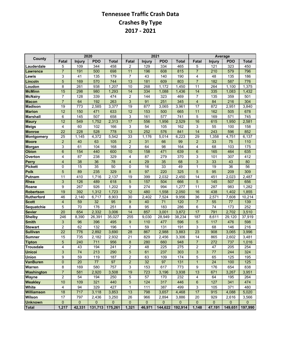|                   |                         |               | 2020             |              |                  |               | 2021            |                  |                         |                  | Average    |              |
|-------------------|-------------------------|---------------|------------------|--------------|------------------|---------------|-----------------|------------------|-------------------------|------------------|------------|--------------|
| County            | Fatal                   | <b>Injury</b> | <b>PDO</b>       | <b>Total</b> | <b>Fatal</b>     | <b>Injury</b> | <b>PDO</b>      | <b>Total</b>     | Fatal                   | <b>Injury</b>    | <b>PDO</b> | <b>Total</b> |
| Lauderdale        | 5                       | 109           | 344              | 458          | 2                | 129           | 334             | 465              | 5                       | 121              | 323        | 450          |
| <b>Lawrence</b>   | $\overline{7}$          | 191           | 500              | 698          | 11               | 196           | 608             | 815              | $\overline{7}$          | 210              | 579        | 796          |
| Lewis             | 3                       | 41            | 135              | 179          | $\overline{7}$   | 43            | 140             | 190              | $\overline{4}$          | 48               | 135        | 186          |
| Lincoln           | $\overline{5}$          | 169           | 570              | 744          | 13               | 181           | 609             | 803              | $\overline{7}$          | 182              | 587        | 776          |
| Loudon            | 8                       | 261           | 938              | 1,207        | 10               | 268           | 1,172           | 1,450            | 11                      | 264              | 1,100      | 1,375        |
| <b>McMinn</b>     | 15                      | 298           | 980              | 1,293        | 14               | 334           | 1,088           | 1,436            | 14                      | 335              | 1,083      | 1,432        |
| <b>McNairy</b>    | $\overline{7}$          | 128           | 339              | 474          | $\overline{2}$   | 144           | 323             | 469              | $\overline{7}$          | 135              | 359        | 501          |
| <b>Macon</b>      | $\overline{7}$          | 64            | 192              | 263          | 3                | 91            | 251             | 345              | $\overline{\mathbf{4}}$ | 84               | 216        | 304          |
| <b>Madison</b>    | 19                      | 773           | 2,585            | 3,377        | $\overline{19}$  | 877           | 3,065           | 3,961            | 17                      | 872              | 2,951      | 3,840        |
| <b>Marion</b>     | $\overline{12}$         | 150           | 471              | 633          | 12               | 153           | 500             | 665              | 11                      | 162              | 505        | 678          |
| <b>Marshall</b>   | 6                       | 145           | 507              | 658          | 3                | 161           | 577             | 741              | 5                       | 169              | 571        | 745          |
| <b>Maury</b>      | 12                      | 549           | 1,752            | 2,313        | 17               | 556           | 1,956           | 2,529            | 16                      | 615              | 1,950      | 2,581        |
| <b>Meigs</b>      | 4                       | 60            | 102              | 166          | 3                | 54            | 105             | 162              | 3                       | 55               | 100        | 158          |
| <b>Monroe</b>     | 22                      | 228           | 528              | 778          | 13               | 252           | 576             | 841              | 14                      | 243              | 596        | 852          |
| Montgomery        | 25                      | 1,145         | 4,372            | 5,542        | 33               | 1,176         | 5,014           | 6,223            | 29                      | 1,358            | 4,751      | 6,137        |
| <b>Moore</b>      | $\overline{2}$          | 40            | 63               | 105          | $\overline{c}$   | 31            | 66              | 99               | $\overline{2}$          | 33               | 75         | 110          |
| Morgan            | 3                       | 61            | 104              | 168          | $\overline{2}$   | 64            | 98              | 164              | 4                       | 68               | 103        | 175          |
| <b>Obion</b>      | $\overline{6}$          | 154           | 440              | 600          | 10               | 158           | 471             | 639              | $6\phantom{1}$          | 165              | 464        | 635          |
| Overton           | 4                       | 87            | 238              | 329          | 4                | 87            | 279             | 370              | 3                       | 101              | 307        | 412          |
| Perry             | 4                       | 38            | 36               | 78           | 4                | 29            | 35              | 68               | 3                       | 33               | 43         | 80           |
| <b>Pickett</b>    | 0                       | 15            | 35               | 50           | 0                | 16            | 33              | 49               | 1                       | 19               | 36         | 56           |
| <b>Polk</b>       | 5                       | 89            | 235              | 329          | 8                | 97            | 220             | 325              | 5                       | 95               | 209        | 309          |
| Putnam            | $\overline{11}$         | 410           | 1,716            | 2,137        | $\overline{19}$  | 399           | 2,032           | 2,450            | $\overline{14}$         | 451              | 2,023      | 2,487        |
| Rhea              | $\mathsf 3$             | 126           | 489              | 618          | 5                | 157           | 504             | 666              | 5                       | $\overline{145}$ | 507        | 656          |
| Roane             | 9                       | 267           | 926              | 1,202        | 9                | 274           | 994             | 1,277            | $\overline{11}$         | 287              | 983        | 1,282        |
| <b>Robertson</b>  | 19                      | 392           | 1,312            | 1,723        | 12               | 480           | 1,558           | 2,050            | 16                      | 438              | 1,402      | 1,855        |
| <b>Rutherford</b> | 46                      | 2,140         | 6,717            | 8,903        | 30               | 2,402         | 7,524           | 9,956            | 36                      | 2,571            | 7,608      | 10,214       |
| <b>Scott</b>      | $\overline{\mathbf{4}}$ | 59            | 32               | 95           | 9                | 40            | $\overline{71}$ | 120              | $\overline{7}$          | 55               | 77         | 139          |
| Sequatchie        | 5                       | 70            | 176              | 251          | 8                | 95            | 183             | 286              | 6                       | 74               | 173        | 252          |
| <b>Sevier</b>     | 20                      | 654           | 2,332            | 3,006        | 14               | 857           | 3,001           | 3,872            | 17                      | 791              | 2,702      | 3,510        |
| <b>Shelby</b>     | 246                     | 8,390         | 26,391           | 35,027       | 255              | 9,030         | 28,949          | 38,234           | 187                     | 8,611            | 29,120     | 37,919       |
| <b>Smith</b>      | 3                       | 96            | 396              | 495          | $\boldsymbol{9}$ | 110           | 477             | 596              | 5                       | 117              | 476        | 598          |
| <b>Stewart</b>    | $\overline{2}$          | 62            | 132              | 196          | $\mathbf{1}$     | 59            | 131             | 191              | 3                       | 68               | 146        | 216          |
| <b>Sullivan</b>   | $\overline{22}$         | 776           | 2,892            | 3,690        | 28               | 867           | 2,988           | 3,883            | $\overline{23}$         | 908              | 3,065      | 3,996        |
| <b>Sumner</b>     | 15                      | 735           | 2,182            | 2,932        | 21               | 829           | 2,456           | 3,306            | 14                      | 865              | 2,602      | 3,481        |
| <b>Tipton</b>     | $\overline{5}$          | 240           | $\overline{711}$ | 956          | $\bf 8$          | 280           | 660             | 948              | $\overline{7}$          | 272              | 737        | 1,016        |
| <b>Trousdale</b>  | 4                       | 43            | 194              | 241          | 2                | 48            | 225             | 275              | 2                       | 47               | 205        | 254          |
| <b>Unicoi</b>     | $\mathsf 3$             | 74            | 213              | 290          | 5                | 61            | 237             | 303              | 3                       | 77               | 244        | 324          |
| <b>Union</b>      | 9                       | 59            | 119              | 187          | $\overline{2}$   | 63            | 109             | 174              | 5                       | 65               | 125        | 195          |
| <b>VanBuren</b>   | 0                       | 20            | 77               | 97           | 2                | 32            | 97              | 131              | $\mathbf{1}$            | 24               | 100        | 125          |
| Warren            | 8                       | 169           | 580              | 757          | 3                | 153           | 617             | $\overline{773}$ | $\overline{9}$          | 176              | 654        | 838          |
| Washington        | $\overline{7}$          | 581           | 2,920            | 3,508        | 19               | 723           | 3,196           | 3,938            | 13                      | 671              | 3,267      | 3,951        |
| Wayne             | 2                       | 54            | 194              | 250          | 5                | 57            | 170             | 232              | $\overline{4}$          | 64               | 195        | 264          |
| <b>Weakley</b>    | 10                      | 109           | 321              | 440          | 5                | 124           | 317             | 446              | 6                       | 127              | 341        | 474          |
| White             | 4                       | 94            | 329              | 427          | $\mathbf{1}$     | 111           | 387             | 499              | 3                       | 105              | 371        | 480          |
| Williamson        | 18                      | 717           | 3,118            | 3,853        | 13               | 798           | 3,657           | 4,468            | 17                      | 915              | 4,088      | 5,020        |
| Wilson            | 17                      | 797           | 2,436            | 3,250        | 26               | 966           | 2,894           | 3,886            | 20                      | 929              | 2,616      | 3,566        |
| <b>Unknown</b>    | 0                       | $\mathbf 0$   | 0                | 0            | 0                | $\mathbf{0}$  | 0               | 0                | $\mathbf{0}$            | $\pmb{0}$        | 0          | 0            |
| <b>Total</b>      | 1,217                   | 42,331        | 131,713          | 175,261      | 1,321            | 46,971        | 144,622         | 192,914          | 1,148                   | 47,191           | 149,651    | 197,990      |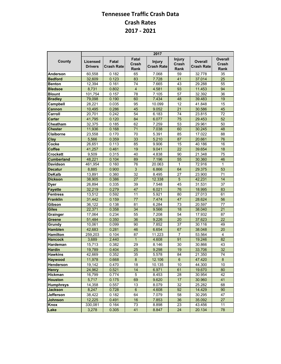<span id="page-9-0"></span>

|                   |                                   |                            |                               | 2017                               |                                |                                     |                          |
|-------------------|-----------------------------------|----------------------------|-------------------------------|------------------------------------|--------------------------------|-------------------------------------|--------------------------|
| County            | <b>Licensed</b><br><b>Drivers</b> | Fatal<br><b>Crash Rate</b> | <b>Fatal</b><br>Crash<br>Rank | <b>Injury</b><br><b>Crash Rate</b> | <b>Injury</b><br>Crash<br>Rank | <b>Overall</b><br><b>Crash Rate</b> | Overall<br>Crash<br>Rank |
| <b>Anderson</b>   | 60,558                            | 0.182                      | 65                            | 7.068                              | 59                             | 32.778                              | 35                       |
| <b>Bedford</b>    | 32,609                            | 0.123                      | 83                            | 7.728                              | 41                             | 37.014                              | 25                       |
| <b>Benton</b>     | 12,394                            | 0.161                      | 74                            | 7.665                              | 43                             | 29.288                              | 55                       |
| <b>Bledsoe</b>    | 8,731                             | 0.802                      | $\overline{4}$                | 4.581                              | 93                             | 11.453                              | 94                       |
| <b>Blount</b>     | 101,754                           | 0.157                      | 78                            | 7.105                              | 57                             | 32.392                              | 36                       |
| <b>Bradley</b>    | 79,098                            | 0.190                      | 60                            | 7.434                              | 48                             | 39.483                              | 19                       |
| <b>Campbell</b>   | 28,221                            | 0.035                      | 95                            | 10.099                             | 12                             | 41.848                              | 15                       |
| <b>Cannon</b>     | 10,495                            | 0.286                      | 45                            | 9.052                              | 21                             | 30.586                              | 45                       |
| Carroll           | 20,701                            | 0.242                      | 54                            | 6.183                              | 74                             | 23.815                              | 72                       |
| <b>Carter</b>     | 41,795                            | 0.120                      | 84                            | 6.077                              | 75                             | 29.453                              | 52                       |
| Cheatham          | 32,375                            | 0.185                      | 62                            | 7.259                              | 53                             | 29.961                              | 50                       |
| <b>Chester</b>    | 11,936                            | 0.168                      | 71                            | 7.038                              | 60                             | 30.245                              | 48                       |
| <b>Claiborne</b>  | 23,558                            | 0.170                      | 70                            | 5.391                              | 85                             | 17.022                              | 88                       |
| <b>Clay</b>       | 5,566                             | 0.359                      | 33                            | 5.210                              | 87                             | 20.661                              | 76                       |
| Cocke             | 26,651                            | 0.113                      | 85                            | 9.906                              | 15                             | 40.186                              | 16                       |
| Coffee            | 41,257                            | 0.461                      | 19                            | 9.041                              | 22                             | 39.654                              | 18                       |
| <b>Crockett</b>   | 9,509                             | 0.315                      | 40                            | 4.838                              | 90                             | 21.348                              | 75                       |
| <b>Cumberland</b> | 48,221                            | 0.104                      | 89                            | 7.196                              | 55                             | 30.360                              | 46                       |
| <b>Davidson</b>   | 461,954                           | 0.160                      | 76                            | 20.063                             | $\mathbf{1}$                   | 72.916                              | 1                        |
| <b>Decatur</b>    | 8,885                             | 0.900                      | $\mathfrak{S}$                | 6.866                              | 64                             | 29.375                              | 53                       |
| <b>DeKalb</b>     | 13,891                            | 0.360                      | 32                            | 8.495                              | 27                             | 23.900                              | 71                       |
| <b>Dickson</b>    | 38,905                            | 0.386                      | 27                            | 12.338                             | $\overline{5}$                 | 42.231                              | 14                       |
| <b>Dyer</b>       | 26,894                            | 0.335                      | 39                            | 7.548                              | 45                             | 31.531                              | 37                       |
| Fayette           | 32,219                            | 0.279                      | 47                            | 6.021                              | 76                             | 18.995                              | 83                       |
| <b>Fentress</b>   | 13,512                            | 0.592                      | 11                            | 5.921                              | 80                             | 27.013                              | 61                       |
| Franklin          | 31,442                            | 0.159                      | 77                            | 7.474                              | 47                             | 28.624                              | 56                       |
| Gibson            | 36,122                            | 0.138                      | 81                            | 6.284                              | 73                             | 20.597                              | 77                       |
| Giles             | 22,371                            | 0.358                      | 34                            | 9.566                              | 18                             | 38.040                              | 21                       |
| Grainger          | 17,064                            | 0.234                      | 55                            | 7.208                              | 54                             | 17.932                              | 87                       |
| Greene            | 51,484                            | 0.350                      | 36                            | 9.226                              | 20                             | 37.623                              | 22                       |
| Grundy            | 10,061                            | 0.099                      | 90                            | 7.852                              | 37                             | 30.116                              | 49                       |
| <b>Hamblen</b>    | 42,683                            | 0.281                      | 46                            | 6.654                              | 67                             | 38.048                              | 20                       |
| Hamilton          | 259,203                           | 0.104                      | 87                            | 11.223                             | $\overline{7}$                 | 53.564                              | 4                        |
| <b>Hancock</b>    | 3,689                             | 2.440                      | $\mathbf{1}$                  | 4.608                              | 91                             | 19.246                              | 82                       |
| Hardeman          | 15,713                            | 0.382                      | 29                            | 8.146                              | 30                             | 30.866                              | 43                       |
| <b>Hardin</b>     | 19,789                            | 0.404                      | 25                            | 9.298                              | 19                             | 33.706                              | 32                       |
| <b>Hawkins</b>    | 42,669                            | 0.352                      | 35                            | 5.578                              | 84                             | 21.350                              | 74                       |
| <b>Haywood</b>    | 11,978                            | 0.668                      | 8                             | 12.106                             | 6                              | 47.420                              | 8                        |
| <b>Henderson</b>  | 19,142                            | 0.470                      | 18                            | 10.135                             | 10                             | 44.300                              | 10                       |
| <b>Henry</b>      | 24,962                            | 0.521                      | 14                            | 6.971                              | 61                             | 19.670                              | 80                       |
| <b>Hickman</b>    | 16,799                            | 0.774                      | 5                             | 8.453                              | 28                             | 30.954                              | 42                       |
| <b>Houston</b>    | 5,717                             | 0.175                      | 69                            | 9.620                              | 17                             | 30.960                              | 41                       |
| <b>Humphreys</b>  | 14,358                            | 0.557                      | 13                            | 8.079                              | 32                             | 25.282                              | 68                       |
| <b>Jackson</b>    | 8,247                             | 0.728                      | 6                             | 4.608                              | 92                             | 14.429                              | 90                       |
| <b>Jefferson</b>  | 38,422                            | 0.182                      | 64                            | 7.079                              | 58                             | 30.295                              | 47                       |
| Johnson           | 12,225                            | 0.491                      | 16                            | 7.853                              | 36                             | 35.092                              | 27                       |
| Knox              | 330,081                           | 0.164                      | 73                            | 8.898                              | 23                             | 43.456                              | 11                       |
| Lake              | 3,278                             | 0.305                      | 41                            | 8.847                              | 24                             | 20.134                              | 78                       |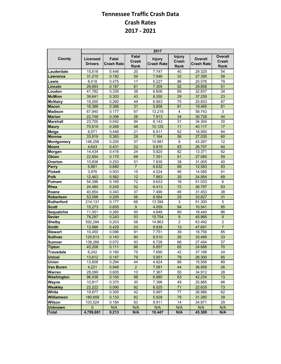|                   |                            |                            |                                      | 2017                               |                                       |                              |                                 |
|-------------------|----------------------------|----------------------------|--------------------------------------|------------------------------------|---------------------------------------|------------------------------|---------------------------------|
| County            | Licensed<br><b>Drivers</b> | Fatal<br><b>Crash Rate</b> | <b>Fatal</b><br>Crash<br><b>Rank</b> | <b>Injury</b><br><b>Crash Rate</b> | <b>Injury</b><br>Crash<br><b>Rank</b> | <b>Overall</b><br>Crash Rate | <b>Overall</b><br>Crash<br>Rank |
| Lauderdale        | 15,618                     | 0.448                      | 20                                   | 7.747                              | 40                                    | 29.325                       | 54                              |
| <b>Lawrence</b>   | 31.210                     | 0.192                      | 59                                   | 7.946                              | 33                                    | 27.395                       | 58                              |
| Lewis             | 8,418                      | 0.475                      | 17                                   | 5.227                              | 86                                    | 20.076                       | 79                              |
| Lincoln           | 26,693                     | 0.187                      | 61                                   | 7.305                              | 52                                    | 29.858                       | 51                              |
| Loudon            | 41,782                     | 0.335                      | 38                                   | 6.606                              | 69                                    | 32.837                       | 34                              |
| <b>McMinn</b>     | 39,641                     | 0.303                      | 43                                   | 8.350                              | 29                                    | 37.259                       | 23                              |
| <b>McNairy</b>    | 19.200                     | 0.260                      | 49                                   | 6.563                              | 70                                    | 25.833                       | 67                              |
| <b>Macon</b>      | 16,388                     | 0.366                      | 31                                   | 5.858                              | 81                                    | 19.465                       | 81                              |
| <b>Madison</b>    | 67,940                     | 0.177                      | 67                                   | 13.218                             | 4                                     | 58.743                       | 3                               |
| <b>Marion</b>     | 22,748                     | 0.396                      | 26                                   | 7.913                              | 34                                    | 30.728                       | 44                              |
| <b>Marshall</b>   | 23,700                     | 0.042                      | 94                                   | 8.143                              | 31                                    | 34.304                       | 30                              |
| <b>Maury</b>      | 70,619                     | 0.269                      | 48                                   | 10.125                             | 11                                    | 40.117                       | 17                              |
| <b>Meigs</b>      | 8,971                      | 0.446                      | 21                                   | 6.911                              | 62                                    | 18.950                       | 84                              |
| <b>Monroe</b>     | 33,919                     | 0.383                      | 28                                   | 7.164                              | 56                                    | 27.035                       | 60                              |
| Montgomery        | 146,256                    | 0.205                      | 57                                   | 10.981                             | 8                                     | 43.287                       | 12                              |
| <b>Moore</b>      | 4,643                      | 0.431                      | 22                                   | 5.815                              | 83                                    | 26.707                       | 64                              |
| Morgan            | 14,434                     | 0.416                      | 24                                   | 5.820                              | 82                                    | 13.371                       | 92                              |
| <b>Obion</b>      | 22,854                     | 0.175                      | 68                                   | 7.351                              | 51                                    | 27.085                       | 59                              |
| Overton           | 15.836                     | 0.253                      | 51                                   | 7.830                              | 38                                    | 31.005                       | 40                              |
| <b>Perry</b>      | 5,881                      | 0.680                      | $\overline{7}$                       | 6.632                              | 68                                    | 12.583                       | 93                              |
| <b>Pickett</b>    | 3,976                      | 0.503                      | 15                                   | 4.024                              | 95                                    | 14.085                       | 91                              |
| <b>Polk</b>       | 12,463                     | 0.562                      | 12                                   | 7.863                              | 35                                    | 24.954                       | 69                              |
| Putnam            | 54,396                     | 0.165                      | 72                                   | 9.633                              | 16                                    | 51.033                       | 6                               |
| <b>Rhea</b>       | 24,480                     | 0.245                      | 52                                   | 6.413                              | 72                                    | 26.797                       | 63                              |
| Roane             | 40,854                     | 0.343                      | 37                                   | 7.490                              | 46                                    | 31.453                       | 38                              |
| <b>Robertson</b>  | 53,596                     | 0.205                      | 56                                   | 8.564                              | 25                                    | 33.827                       | 31                              |
| <b>Rutherford</b> | 214,131                    | 0.177                      | 66                                   | 13.394                             | 3                                     | 51.300                       | 5                               |
| <b>Scott</b>      | 15,273                     | 0.655                      | $\boldsymbol{9}$                     | 4.059                              | 94                                    | 10.541                       | 95                              |
| <b>Sequatchie</b> | 11,551                     | 0.260                      | 50                                   | 4.848                              | 89                                    | 18.440                       | 86                              |
| <b>Sevier</b>     | 78,297                     | 0.243                      | 53                                   | 10.754                             | 9                                     | 45.966                       | 9                               |
| <b>Shelby</b>     | 592,284                    | 0.203                      | 58                                   | 14.863                             | $\overline{2}$                        | 63.492                       | $\overline{c}$                  |
| <b>Smith</b>      | 13,986                     | 0.429                      | 23                                   | 9.939                              | 13                                    | 47.691                       | $\overline{7}$                  |
| <b>Stewart</b>    | 10,450                     | 0.096                      | 91                                   | 7.751                              | 39                                    | 18.756                       | 85                              |
| <b>Sullivan</b>   | 125,613                    | 0.143                      | 80                                   | 8.510                              | 26                                    | 33.468                       | 33                              |
| <b>Sumner</b>     | 138,266                    | 0.072                      | 93                                   | 6.726                              | 66                                    | 27.454                       | 57                              |
| <b>Tipton</b>     | 45,208                     | 0.111                      | 86                                   | 6.857                              | 65                                    | 24.686                       | 70                              |
| Trousdale         | 6,242                      | 0.160                      | 75                                   | 7.690                              | 42                                    | 37.168                       | 24                              |
| <b>Unicoi</b>     | 13,612                     | 0.147                      | 79                                   | 5.951                              | 78                                    | 26.300                       | 65                              |
| <b>Union</b>      | 13,608                     | 0.294                      | 44                                   | 4.924                              | 88                                    | 15.506                       | 89                              |
| <b>Van Buren</b>  | 4,221                      | 0.948                      | $\overline{2}$                       | 7.581                              | 44                                    | 36.958                       | 26                              |
| <b>Warren</b>     | 28,099                     | 0.605                      | 10                                   | 7.367                              | 50                                    | 34.912                       | 28                              |
| Washington        | 96,438                     | 0.104                      | 88                                   | 6.885                              | 63                                    | 42.234                       | 13                              |
| Wayne             | 10,817                     | 0.370                      | 30                                   | 7.396                              | 49                                    | 25.885                       | 66                              |
| <b>Weakley</b>    | 22,222                     | 0.090                      | 92                                   | 6.525                              | 71                                    | 22.635                       | 73                              |
| White             | 19,677                     | 0.305                      | 42                                   | 5.997                              | 77                                    | 26.986                       | 62                              |
| <b>Williamson</b> | 180,658                    | 0.133                      | 82                                   | 5.928                              | 79                                    | 31.280                       | 39                              |
| Wilson            | 103,524                    | 0.184                      | 63                                   | 9.911                              | 14                                    | 34.871                       | 29                              |
| <b>Unknown</b>    | $\mathbf{0}$               | N/A                        | N/A                                  | N/A                                | N/A                                   | N/A                          | N/A                             |
| <b>Total</b>      | 4,799,881                  | 0.213                      | N/A                                  | 10.447                             | N/A                                   | 43.389                       | N/A                             |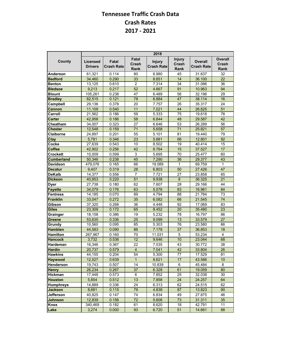|                   |                                   |                            |                                      | 2018                               |                                |                                     |                          |
|-------------------|-----------------------------------|----------------------------|--------------------------------------|------------------------------------|--------------------------------|-------------------------------------|--------------------------|
| County            | <b>Licensed</b><br><b>Drivers</b> | Fatal<br><b>Crash Rate</b> | <b>Fatal</b><br>Crash<br><b>Rank</b> | <b>Injury</b><br><b>Crash Rate</b> | <b>Injury</b><br>Crash<br>Rank | <b>Overall</b><br><b>Crash Rate</b> | Overall<br>Crash<br>Rank |
| <b>Anderson</b>   | 61,321                            | 0.114                      | 80                                   | 6.980                              | 45                             | 31.637                              | 32                       |
| <b>Bedford</b>    | 34,460                            | 0.290                      | 33                                   | 8.851                              | 14                             | 36.100                              | 22                       |
| <b>Benton</b>     | 13,125                            | 0.610                      | $\overline{2}$                       | 7.314                              | 34                             | 31.086                              | 36                       |
| <b>Bledsoe</b>    | 9,213                             | 0.217                      | 52                                   | 4.667                              | 91                             | 10.963                              | 94                       |
| <b>Blount</b>     | 105,261                           | 0.238                      | 47                                   | 6.489                              | 56                             | 32.196                              | 29                       |
| <b>Bradley</b>    | 82,515                            | 0.121                      | 78                                   | 6.884                              | 47                             | 38.114                              | 16                       |
| <b>Campbell</b>   | 29,136                            | 0.378                      | 20                                   | 7.757                              | 26                             | 35.317                              | 24                       |
| <b>Cannon</b>     | 11,109                            | 0.540                      | 11                                   | 7.021                              | 44                             | 26.825                              | 51                       |
| Carroll           | 21,562                            | 0.186                      | 59                                   | 5.333                              | 75                             | 19.618                              | 78                       |
| <b>Carter</b>     | 42,958                            | 0.186                      | 58                                   | 6.844                              | 48                             | 29.587                              | 42                       |
| Cheatham          | 34,007                            | 0.323                      | 27                                   | 6.646                              | 53                             | 26.289                              | 56                       |
| <b>Chester</b>    | 12,548                            | 0.159                      | 71                                   | 5.658                              | 71                             | 25.821                              | 57                       |
| <b>Claiborne</b>  | 24,897                            | 0.201                      | 55                                   | 5.101                              | 81                             | 19.440                              | 79                       |
| <b>Clay</b>       | 5,781                             | 0.346                      | 23                                   | 5.881                              | 68                             | 12.801                              | 92                       |
| Cocke             | 27,639                            | 0.543                      | 10                                   | 8.502                              | 19                             | 40.414                              | 15                       |
| Coffee            | 42,902                            | 0.256                      | 42                                   | 8.764                              | 15                             | 37.527                              | 17                       |
| <b>Crockett</b>   | 10,009                            | 0.599                      | 3                                    | 5.695                              | 70                             | 25.477                              | 60                       |
| <b>Cumberland</b> | 50,346                            | 0.238                      | 45                                   | 7.290                              | 36                             | 29.377                              | 43                       |
| <b>Davidson</b>   | 479,076                           | 0.165                      | 66                                   | 19.089                             | $\mathbf{1}$                   | 69.759                              | 1                        |
| <b>Decatur</b>    | 9,407                             | 0.319                      | 28                                   | 6.803                              | 50                             | 27.426                              | 47                       |
| <b>DeKalb</b>     | 14.377                            | 0.556                      | $\overline{7}$                       | 7.721                              | 27                             | 23.858                              | 65                       |
| <b>Dickson</b>    | 40,853                            | 0.220                      | $\overline{51}$                      | 9.938                              | $\bf 8$                        | 36.325                              | 21                       |
| <b>Dyer</b>       | 27,738                            | 0.180                      | 62                                   | 7.607                              | 28                             | 29.166                              | 44                       |
| Fayette           | 34,079                            | 0.176                      | 63                                   | 5.076                              | 83                             | 16.961                              | 84                       |
| <b>Fentress</b>   | 14,185                            | 0.070                      | 89                                   | 4.794                              | 88                             | 21.784                              | 73                       |
| Franklin          | 33,047                            | 0.272                      | 35                                   | 6.082                              | 66                             | 21.545                              | 74                       |
| Gibson            | 37,320                            | 0.268                      | 36                                   | 4.448                              | 92                             | 17.069                              | 83                       |
| Giles             | 23,309                            | 0.172                      | 65                                   | 8.452                              | 20                             | 35.480                              | 23                       |
| Grainger          | 18,158                            | 0.386                      | 19                                   | 5.232                              | 78                             | 16.797                              | 86                       |
| Greene            | 53,635                            | 0.336                      | 25                                   | 9.099                              | 13                             | 33.579                              | 27                       |
| Grundy            | 10,560                            | 0.095                      | 85                                   | 5.303                              | 76                             | 23.580                              | 66                       |
| <b>Hamblen</b>    | 44,583                            | 0.090                      | 86                                   | 7.178                              | 37                             | 36.853                              | 18                       |
| Hamilton          | 267,967                           | 0.160                      | 70                                   | 11.031                             | 5                              | 53.234                              | 4                        |
| <b>Hancock</b>    | 3,732                             | 0.536                      | 12                                   | 9.646                              | 10                             | 23.044                              | 68                       |
| Hardeman          | 16,346                            | 0.367                      | 22                                   | 7.035                              | 43                             | 30.772                              | 38                       |
| <b>Hardin</b>     | 20,737                            | 0.579                      | $\overline{4}$                       | 7.041                              | 42                             | 33.804                              | 26                       |
| <b>Hawkins</b>    | 44,155                            | 0.204                      | 54                                   | 5.300                              | 77                             | 17.529                              | 81                       |
| <b>Haywood</b>    | 12,527                            | 0.639                      | $\mathbf{1}$                         | 8.621                              | 17                             | 43.586                              | 10                       |
| <b>Henderson</b>  | 19,743                            | 0.507                      | 14                                   | 10.839                             | 6                              | 45.484                              | 8                        |
| <b>Henry</b>      | 26,234                            | 0.267                      | 37                                   | 6.328                              | 61                             | 19.059                              | 80                       |
| <b>Hickman</b>    | 17,448                            | 0.573                      | 6                                    | 7.852                              | 25                             | 32.038                              | 30                       |
| <b>Houston</b>    | 5,854                             | 0.512                      | 13                                   | 7.858                              | 24                             | 24.257                              | 64                       |
| <b>Humphreys</b>  | 14,889                            | 0.336                      | 24                                   | 6.313                              | 62                             | 24.515                              | 62                       |
| <b>Jackson</b>    | 8,681                             | 0.115                      | 79                                   | 4.838                              | 87                             | 13.823                              | 90                       |
| <b>Jefferson</b>  | 40,825                            | 0.147                      | 74                                   | 6.834                              | 49                             | 27.875                              | 46                       |
| <b>Johnson</b>    | 12,839                            | 0.156                      | 72                                   | 5.608                              | 73                             | 31.311                              | 35                       |
| Knox              | 340,469                           | 0.182                      | 61                                   | 8.620                              | 18                             | 42.791                              | 11                       |
| Lake              | 3,274                             | 0.000                      | 93                                   | 6.720                              | 51                             | 14.661                              | 88                       |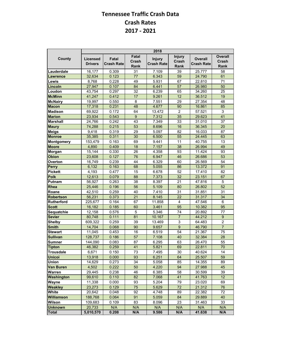|                   |                            |                            |                               | 2018                               |                                       |                                     |                                 |
|-------------------|----------------------------|----------------------------|-------------------------------|------------------------------------|---------------------------------------|-------------------------------------|---------------------------------|
| County            | Licensed<br><b>Drivers</b> | Fatal<br><b>Crash Rate</b> | <b>Fatal</b><br>Crash<br>Rank | <b>Injury</b><br><b>Crash Rate</b> | <b>Injury</b><br>Crash<br><b>Rank</b> | <b>Overall</b><br><b>Crash Rate</b> | <b>Overall</b><br>Crash<br>Rank |
| Lauderdale        | 16,177                     | 0.309                      | 31                            | 7.109                              | 39                                    | 25.777                              | 58                              |
| <b>Lawrence</b>   | 32.634                     | 0.123                      | 77                            | 6.343                              | 59                                    | 24.790                              | 61                              |
| Lewis             | 8,768                      | 0.228                      | 49                            | 5.931                              | 67                                    | 22.810                              | 71                              |
| Lincoln           | 27,947                     | 0.107                      | 84                            | 6.441                              | 57                                    | 26.980                              | 50                              |
| Loudon            | 43,754                     | 0.297                      | 32                            | 6.239                              | 65                                    | 34.260                              | 25                              |
| <b>McMinn</b>     | 41,247                     | 0.412                      | 17                            | 9.261                              | 12                                    | 36.512                              | 19                              |
| <b>McNairy</b>    | 19,997                     | 0.550                      | 8                             | 7.551                              | 29                                    | 27.354                              | 48                              |
| <b>Macon</b>      | 17,318                     | 0.231                      | 48                            | 4.677                              | 90                                    | 16.861                              | 85                              |
| <b>Madison</b>    | 69,922                     | 0.172                      | 64                            | 13.472                             | $\overline{2}$                        | 57.521                              | 3                               |
| <b>Marion</b>     | 23,934                     | 0.543                      | 9                             | 7.312                              | 35                                    | 29.623                              | 41                              |
| <b>Marshall</b>   | 24,766                     | 0.242                      | 43                            | 7.349                              | 33                                    | 31.010                              | 37                              |
| <b>Maury</b>      | 74,288                     | 0.215                      | 53                            | 8.696                              | 16                                    | 36.345                              | 20                              |
| <b>Meigs</b>      | 9,418                      | 0.319                      | 29                            | 5.097                              | 82                                    | 16.033                              | 87                              |
| <b>Monroe</b>     | 35,385                     | 0.311                      | 30                            | 6.500                              | $\overline{55}$                       | 24.445                              | 63                              |
| Montgomery        | 153,479                    | 0.163                      | 69                            | 9.441                              | 11                                    | 40.755                              | 13                              |
| <b>Moore</b>      | 4,890                      | 0.409                      | 18                            | 7.157                              | 38                                    | 26.994                              | 49                              |
| Morgan            | 15,144                     | 0.330                      | 26                            | 4.358                              | 93                                    | 11.424                              | 93                              |
| <b>Obion</b>      | 23,608                     | 0.127                      | 76                            | 6.947                              | 46                                    | 26.686                              | 53                              |
| Overton           | 16,749                     | 0.239                      | 44                            | 6.329                              | 60                                    | 26.569                              | 54                              |
| <b>Perry</b>      | 6,132                      | 0.163                      | 68                            | 5.055                              | 86                                    | 13.372                              | 91                              |
| <b>Pickett</b>    | 4,193                      | 0.477                      | 15                            | 6.678                              | 52                                    | 17.410                              | 82                              |
| <b>Polk</b>       | 12,613                     | 0.079                      | 88                            | 7.373                              | 32                                    | 23.151                              | 67                              |
| Putnam            | 56,927                     | 0.263                      | 38                            | 8.397                              | 21                                    | 47.816                              | 5                               |
| <b>Rhea</b>       | 25,446                     | 0.196                      | 56                            | 5.109                              | 80                                    | 26.802                              | 52                              |
| Roane             | 42,510                     | 0.259                      | 40                            | 7.410                              | 31                                    | 31.851                              | 31                              |
| <b>Robertson</b>  | 56,231                     | 0.373                      | 21                            | 8.145                              | 22                                    | 31.317                              | 34                              |
| <b>Rutherford</b> | 225,677                    | 0.164                      | 67                            | 11.858                             | 4                                     | 47.546                              | 6                               |
| <b>Scott</b>      | 16,182                     | 0.185                      | 60                            | 3.461                              | 95                                    | 10.382                              | 95                              |
| <b>Sequatchie</b> | 12,158                     | 0.576                      | 5                             | 5.346                              | 74                                    | 20.892                              | 77                              |
| <b>Sevier</b>     | 80,748                     | 0.111                      | 81                            | 10.167                             | 7                                     | 44.212                              | 9                               |
| <b>Shelby</b>     | 609,322                    | 0.259                      | 39                            | 13.469                             | 3                                     | 64.483                              | $\overline{c}$                  |
| <b>Smith</b>      | 14,704                     | 0.068                      | 90                            | 9.657                              | $\overline{9}$                        | 46.790                              | $\overline{7}$                  |
| <b>Stewart</b>    | 11.045                     | 0.453                      | 16                            | 6.519                              | 54                                    | 21.367                              | 75                              |
| <b>Sullivan</b>   | 128,737                    | 0.186                      | $\overline{57}$               | 7.108                              | 40                                    | 32.384                              | 28                              |
| <b>Sumner</b>     | 144,090                    | 0.083                      | 87                            | 6.295                              | 63                                    | 26.470                              | 55                              |
| <b>Tipton</b>     | 46,382                     | 0.259                      | 41                            | 5.821                              | 69                                    | 22.811                              | 70                              |
| Trousdale         | 6,671                      | 0.150                      | 73                            | 7.495                              | 30                                    | 40.624                              | 14                              |
| <b>Unicoi</b>     | 13,918                     | 0.000                      | 93                            | 6.251                              | 64                                    | 25.507                              | 59                              |
| <b>Union</b>      | 14,629                     | 0.273                      | 34                            | 5.058                              | 85                                    | 14.355                              | 89                              |
| <b>Van Buren</b>  | 4,502                      | 0.222                      | 50                            | 4.220                              | 94                                    | 27.988                              | 45                              |
| <b>Warren</b>     | 29,445                     | 0.238                      | 46                            | 6.385                              | 58                                    | 30.599                              | 39                              |
| Washington        | 99,610                     | 0.110                      | 82                            | 7.068                              | 41                                    | 41.763                              | 12                              |
| Wayne             | 11,338                     | 0.000                      | 93                            | 5.204                              | 79                                    | 23.020                              | 69                              |
| <b>Weakley</b>    | 23,273                     | 0.129                      | 75                            | 5.629                              | 72                                    | 21.312                              | 76                              |
| White             | 20,642                     | 0.048                      | 92                            | 4.748                              | 89                                    | 22.382                              | 72                              |
| <b>Williamson</b> | 188,768                    | 0.064                      | 91                            | 5.059                              | 84                                    | 29.889                              | 40                              |
| Wilson            | 109,683                    | 0.109                      | 83                            | 8.096                              | 23                                    | 31.463                              | 33                              |
| <b>Unknown</b>    | 20,733                     | N/A                        | N/A                           | N/A                                | N/A                                   | N/A                                 | N/A                             |
| <b>Total</b>      | 5,010,570                  | 0.208                      | N/A                           | 9.586                              | N/A                                   | 41.638                              | N/A                             |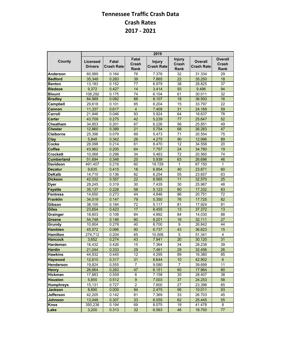|                   |                                   |                            |                               | 2019                               |                                |                                     |                          |
|-------------------|-----------------------------------|----------------------------|-------------------------------|------------------------------------|--------------------------------|-------------------------------------|--------------------------|
| County            | <b>Licensed</b><br><b>Drivers</b> | Fatal<br><b>Crash Rate</b> | <b>Fatal</b><br>Crash<br>Rank | <b>Injury</b><br><b>Crash Rate</b> | <b>Injury</b><br>Crash<br>Rank | <b>Overall</b><br><b>Crash Rate</b> | Overall<br>Crash<br>Rank |
| <b>Anderson</b>   | 60,989                            | 0.164                      | 76                            | 7.378                              | 32                             | 31.334                              | 29                       |
| <b>Bedford</b>    | 35,348                            | 0.283                      | 39                            | 7.865                              | 22                             | 35.250                              | 18                       |
| <b>Benton</b>     | 13,183                            | 0.152                      | 77                            | 6.979                              | 38                             | 28.825                              | 37                       |
| <b>Bledsoe</b>    | 9,372                             | 0.427                      | 14                            | 3.414                              | 93                             | 9.496                               | 94                       |
| <b>Blount</b>     | 108,292                           | 0.175                      | 74                            | 6.104                              | 61                             | 30.011                              | 32                       |
| <b>Bradley</b>    | 84,989                            | 0.082                      | 88                            | 8.107                              | 18                             | 36.593                              | 16                       |
| <b>Campbell</b>   | 29.618                            | 0.101                      | 85                            | 8.204                              | 15                             | 33.797                              | 22                       |
| <b>Cannon</b>     | 11,337                            | 0.617                      | $\overline{4}$                | 7.409                              | 31                             | 24.169                              | 59                       |
| Carroll           | 21,946                            | 0.046                      | 93                            | 5.924                              | 64                             | 18.637                              | 78                       |
| <b>Carter</b>     | 43,709                            | 0.275                      | 42                            | 5.239                              | 77                             | 25.647                              | 52                       |
| Cheatham          | 34,853                            | 0.201                      | 67                            | 6.226                              | 56                             | 25.851                              | 49                       |
| <b>Chester</b>    | 12,860                            | 0.389                      | 21                            | 5.754                              | 68                             | 26.283                              | 47                       |
| <b>Claiborne</b>  | 25,396                            | 0.079                      | 89                            | 5.473                              | 71                             | 20.554                              | 75                       |
| <b>Clay</b>       | 5,848                             | 0.342                      | 26                            | 4.275                              | 90                             | 12.996                              | 89                       |
| Cocke             | 28,098                            | 0.214                      | 61                            | 8.470                              | 12                             | 34.558                              | 20                       |
| Coffee            | 43,962                            | 0.205                      | 64                            | 7.757                              | 24                             | 34.780                              | 19                       |
| <b>Crockett</b>   | 10.068                            | 0.298                      | 34                            | 5.463                              | 72                             | 20.560                              | 74                       |
| <b>Cumberland</b> | 51,694                            | 0.348                      | 25                            | 5.939                              | 63                             | 26.696                              | 46                       |
| <b>Davidson</b>   | 491,407                           | 0.216                      | 60                            | 19.729                             | $\mathbf{1}$                   | 67.150                              | 1                        |
| <b>Decatur</b>    | 9,635                             | 0.415                      | 18                            | 6.954                              | 40                             | 23.871                              | 60                       |
| <b>DeKalb</b>     | 14.710                            | 0.136                      | 82                            | 6.254                              | 55                             | 23.657                              | 63                       |
| <b>Dickson</b>    | 42,032                            | 0.357                      | 22                            | 8.565                              | 11                             | 32.570                              | 25                       |
| <b>Dyer</b>       | 28,245                            | 0.319                      | 30                            | 7.435                              | 30                             | 25.987                              | 48                       |
| Fayette           | 35,137                            | 0.228                      | 58                            | 5.123                              | 80                             | 17.332                              | 83                       |
| <b>Fentress</b>   | 14,650                            | 0.273                      | 44                            | 4.846                              | 86                             | 20.751                              | 72                       |
| Franklin          | 34,019                            | 0.147                      | 79                            | 5.350                              | 76                             | 17.725                              | 82                       |
| Gibson            | 38,105                            | 0.184                      | 72                            | 5.117                              | 81                             | 17.924                              | 81                       |
| Giles             | 23,654                            | 0.423                      | 17                            | 8.455                              | 13                             | 37.372                              | 13                       |
| Grainger          | 18,603                            | 0.108                      | 84                            | 4.892                              | 84                             | 14.030                              | 88                       |
| Greene            | 54,748                            | 0.146                      | 80                            | 8.201                              | 16                             | 32.111                              | 27                       |
| Grundy            | 10,804                            | 0.278                      | 40                            | 8.700                              | 9                              | 26.842                              | 44                       |
| <b>Hamblen</b>    | 45,572                            | 0.066                      | 90                            | 6.737                              | 43                             | 36.623                              | 15                       |
| Hamilton          | 274,712                           | 0.204                      | 65                            | 10.506                             | 5                              | 51.341                              | 4                        |
| <b>Hancock</b>    | 3,652                             | 0.274                      | 43                            | 7.941                              | 20                             | 30.120                              | 31                       |
| Hardeman          | 16,432                            | 0.426                      | 15                            | 7.364                              | 34                             | 28.238                              | 39                       |
| <b>Hardin</b>     | 21,044                            | 0.333                      | 29                            | 7.461                              | 29                             | 32.456                              | 26                       |
| <b>Hawkins</b>    | 44.932                            | 0.445                      | 12                            | 4.295                              | 89                             | 16.380                              | 85                       |
| <b>Haywood</b>    | 12,610                            | 0.317                      | 31                            | 8.644                              | 10                             | 42.902                              | 6                        |
| <b>Henderson</b>  | 19,824                            | 0.555                      | $\overline{7}$                | 9.080                              | $\overline{7}$                 | 39.699                              | 11                       |
| <b>Henry</b>      | 26,664                            | 0.263                      | 47                            | 6.151                              | 60                             | 17.964                              | 80                       |
| <b>Hickman</b>    | 17,883                            | 0.559                      | 6                             | 7.158                              | 35                             | 28.407                              | 38                       |
| <b>Houston</b>    | 5,855                             | 0.512                      | $\boldsymbol{9}$              | 7.003                              | 37                             | 24.253                              | 58                       |
| <b>Humphreys</b>  | 15,131                            | 0.727                      | $\overline{2}$                | 7.600                              | 27                             | 23.396                              | 65                       |
| <b>Jackson</b>    | 8,890                             | 0.000                      | 94                            | 2.475                              | 95                             | 10.011                              | 93                       |
| <b>Jefferson</b>  | 42,205                            | 0.142                      | 81                            | 7.369                              | 33                             | 26.703                              | 45                       |
| <b>Johnson</b>    | 13,048                            | 0.307                      | 33                            | 6.055                              | 62                             | 25.445                              | 55                       |
| Knox              | 350,238                           | 0.194                      | 69                            | 8.075                              | 19                             | 41.478                              | 8                        |
| Lake              | 3,200                             | 0.313                      | 32                            | 6.563                              | 46                             | 18.750                              | 77                       |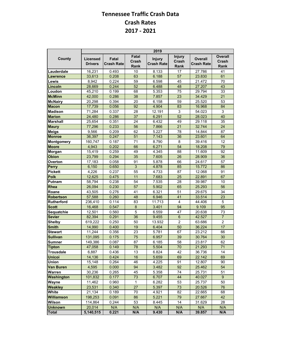|                   |                            |                            |                        | 2019                               |                                       |                              |                          |
|-------------------|----------------------------|----------------------------|------------------------|------------------------------------|---------------------------------------|------------------------------|--------------------------|
| County            | Licensed<br><b>Drivers</b> | Fatal<br><b>Crash Rate</b> | Fatal<br>Crash<br>Rank | <b>Injury</b><br><b>Crash Rate</b> | <b>Injury</b><br>Crash<br><b>Rank</b> | <b>Overall</b><br>Crash Rate | Overall<br>Crash<br>Rank |
| Lauderdale        | 16,231                     | 0.493                      | 10                     | 8.133                              | 17                                    | 27.786                       | 41                       |
| <b>Lawrence</b>   | 33,613                     | 0.208                      | 63                     | 6.188                              | 57                                    | 23.830                       | 61                       |
| Lewis             | 8,942                      | 0.224                      | 59                     | 6.598                              | 45                                    | 21.472                       | 70                       |
| Lincoln           | 28,669                     | 0.244                      | 52                     | 6.488                              | 48                                    | 27.207                       | 43                       |
| Loudon            | 45,210                     | 0.199                      | 68                     | 5.353                              | 75                                    | 29.794                       | 33                       |
| <b>McMinn</b>     | 42,000                     | 0.286                      | 38                     | 7.857                              | 23                                    | 34.429                       | 21                       |
| <b>McNairy</b>    | 20,298                     | 0.394                      | 20                     | 6.158                              | 59                                    | 25.520                       | 53                       |
| <b>Macon</b>      | 17,739                     | 0.056                      | 92                     | 4.904                              | 83                                    | 16.968                       | 84                       |
| <b>Madison</b>    | 71,284                     | 0.337                      | 28                     | 12.191                             | 3                                     | 54.023                       | 3                        |
| <b>Marion</b>     | 24,480                     | 0.286                      | 37                     | 6.291                              | 52                                    | 28.023                       | 40                       |
| <b>Marshall</b>   | 25,654                     | 0.351                      | 24                     | 6.432                              | 49                                    | 29.118                       | 35                       |
| <b>Maury</b>      | 77,296                     | 0.233                      | 56                     | 7.866                              | 21                                    | 32.744                       | 24                       |
| <b>Meigs</b>      | 9,566                      | 0.209                      | 62                     | 5.227                              | 78                                    | 14.844                       | 87                       |
| <b>Monroe</b>     | 36,397                     | 0.247                      | 51                     | 7.143                              | 36                                    | 23.601                       | 64                       |
| <b>Montgomery</b> | 160.747                    | 0.187                      | 71                     | 8.790                              | 8                                     | 39.416                       | 12                       |
| <b>Moore</b>      | 4,943                      | 0.202                      | 66                     | 6.271                              | 54                                    | 18.208                       | 79                       |
| Morgan            | 15,419                     | 0.259                      | 49                     | 4.345                              | 88                                    | 11.609                       | 92                       |
| <b>Obion</b>      | 23,799                     | 0.294                      | 35                     | 7.605                              | 26                                    | 28.909                       | 36                       |
| Overton           | 17,183                     | 0.058                      | 91                     | 5.878                              | 66                                    | 24.617                       | 57                       |
| <b>Perry</b>      | 6,150                      | 0.650                      | 3                      | 4.878                              | 85                                    | 15.772                       | 86                       |
| <b>Pickett</b>    | 4,226                      | 0.237                      | 55                     | 4.733                              | 87                                    | 12.068                       | 91                       |
| <b>Polk</b>       | 12,625                     | 0.475                      | 11                     | 7.683                              | $\overline{25}$                       | 22.891                       | 67                       |
| Putnam            | 58,794                     | 0.238                      | 54                     | 7.535                              | 28                                    | 39.987                       | 10                       |
| <b>Rhea</b>       | 26,094                     | 0.230                      | 57                     | 5.902                              | 65                                    | 25.293                       | 56                       |
| Roane             | 43,505                     | 0.276                      | 41                     | 6.321                              | 51                                    | 29.675                       | 34                       |
| <b>Robertson</b>  | 57,588                     | 0.260                      | 48                     | 6.946                              | 41                                    | 33.514                       | 23                       |
| <b>Rutherford</b> | 236,410                    | 0.114                      | 83                     | 11.713                             | 4                                     | 44.406                       | 5                        |
| <b>Scott</b>      | 16,468                     | 0.547                      | $\bf 8$                | 3.401                              | 94                                    | 9.109                        | 95                       |
| Sequatchie        | 12,501                     | 0.560                      | 5                      | 6.559                              | 47                                    | 20.638                       | 73                       |
| <b>Sevier</b>     | 82,394                     | 0.291                      | 36                     | 9.455                              | 6                                     | 42.527                       | $\overline{7}$           |
| <b>Shelby</b>     | 619,222                    | 0.250                      | 50                     | 13.932                             | $\overline{2}$                        | 63.686                       | $\overline{2}$           |
| <b>Smith</b>      | 14,990                     | 0.400                      | 19                     | 6.404                              | 50                                    | 36.224                       | 17                       |
| <b>Stewart</b>    | 11,244                     | 0.356                      | 23                     | 5.781                              | 67                                    | 23.212                       | 66                       |
| <b>Sullivan</b>   | 131,095                    | 0.175                      | 75                     | 6.957                              | 39                                    | 30.764                       | 30                       |
| <b>Sumner</b>     | 149,386                    | 0.087                      | 87                     | 6.185                              | 58                                    | 23.817                       | 62                       |
| <b>Tipton</b>     | 47,058                     | 0.149                      | 78                     | 5.504                              | 70                                    | 21.293                       | 71                       |
| <b>Trousdale</b>  | 6,887                      | 0.436                      | 13                     | 6.824                              | 42                                    | 36.736                       | 14                       |
| <b>Unicoi</b>     | 14,136                     | 0.424                      | 16                     | 5.659                              | 69                                    | 22.142                       | 69                       |
| <b>Union</b>      | 15,148                     | 0.264                      | 46                     | 4.225                              | 91                                    | 12.807                       | 90                       |
| Van Buren         | 4,595                      | 0.000                      | 94                     | 3.482                              | 92                                    | 25.462                       | 54                       |
| Warren            | 30,236                     | 0.265                      | 45                     | 5.358                              | 74                                    | 25.731                       | 51                       |
| <b>Washington</b> | 101,832                    | 0.177                      | 73                     | 6.707                              | 44                                    | 40.027                       | 9                        |
| Wayne             | 11,462                     | 0.960                      | $\mathbf{1}$           | 6.282                              | 53                                    | 25.737                       | 50                       |
| <b>Weakley</b>    | 23,531                     | 0.340                      | $\overline{27}$        | 5.397                              | 73                                    | 20.526                       | 76                       |
| <b>White</b>      | 21,134                     | 0.189                      | 70                     | 4.921                              | 82                                    | 22.665                       | 68                       |
| <b>Williamson</b> | 198,253                    | 0.091                      | 86                     | 5.221                              | 79                                    | 27.667                       | 42                       |
| Wilson            | 114,864                    | 0.244                      | 53                     | 8.445                              | 14                                    | 31.629                       | 28                       |
| <b>Unknown</b>    | 20,014                     | N/A                        | N/A                    | N/A                                | N/A                                   | N/A                          | N/A                      |
| <b>Total</b>      | 5,140,515                  | 0.221                      | N/A                    | 9.430                              | N/A                                   | 39.857                       | N/A                      |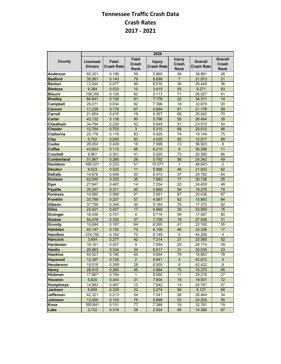|                   |                                   |                            |                                      | 2020                               |                                       |                                     |                                        |
|-------------------|-----------------------------------|----------------------------|--------------------------------------|------------------------------------|---------------------------------------|-------------------------------------|----------------------------------------|
| County            | <b>Licensed</b><br><b>Drivers</b> | Fatal<br><b>Crash Rate</b> | <b>Fatal</b><br>Crash<br><b>Rank</b> | <b>Injury</b><br><b>Crash Rate</b> | <b>Injury</b><br>Crash<br><b>Rank</b> | <b>Overall</b><br><b>Crash Rate</b> | <b>Overall</b><br>Crash<br><b>Rank</b> |
| <b>Anderson</b>   | 60,351                            | 0.199                      | 59                                   | 5.965                              | 49                                    | 28.881                              | 28                                     |
| <b>Bedford</b>    | 35,061                            | 0.143                      | 79                                   | 8.699                              | $\overline{7}$                        | 31.973                              | 21                                     |
| <b>Benton</b>     | 13,044                            | 0.077                      | 89                                   | 6.516                              | 36                                    | 26.449                              | 36                                     |
| <b>Bledsoe</b>    | 9,384                             | 0.533                      | 10                                   | 3.410                              | 93                                    | 9.271                               | 93                                     |
| <b>Blount</b>     | 108,350                           | 0.129                      | 82                                   | 5.113                              | 71                                    | 26.027                              | 41                                     |
| <b>Bradley</b>    | 84,841                            | 0.130                      | 81                                   | 7.178                              | 22                                    | 34.311                              | 14                                     |
| <b>Campbell</b>   | 29,071                            | 0.034                      | 92                                   | 7.396                              | 18                                    | 32.679                              | 20                                     |
| <b>Cannon</b>     | 11,239                            | 0.178                      | 67                                   | 5.694                              | 61                                    | 21.176                              | 59                                     |
| Carroll           | 21,654                            | 0.416                      | 19                                   | 5.357                              | 66                                    | 20.042                              | 70                                     |
| Carter            | 43,132                            | 0.139                      | 80                                   | 5.796                              | 55                                    | 26.454                              | 35                                     |
| Cheatham          | 34,794                            | 0.230                      | 52                                   | 5.949                              | 51                                    | 23.510                              | 54                                     |
| <b>Chester</b>    | 12,794                            | 0.703                      | 3                                    | 5.315                              | 68                                    | 25.012                              | 46                                     |
| <b>Claiborne</b>  | 25,178                            | 0.119                      | 83                                   | 4.925                              | 74                                    | 19.144                              | 75                                     |
| <b>Clay</b>       | 5,752                             | 0.000                      | 93                                   | 4.520                              | 83                                    | 12.517                              | 89                                     |
| Cocke             | 28.004                            | 0.429                      | 16                                   | 7.999                              | 13                                    | 36.923                              | 8                                      |
| <b>Coffee</b>     | 43.603                            | 0.115                      | 85                                   | 8.210                              | 9                                     | 35.296                              | 11                                     |
| Crockett          | 9.961                             | 0.301                      | 41                                   | 5.020                              | 73                                    | 20.580                              | 66                                     |
| <b>Cumberland</b> | 51,967                            | 0.385                      | 26                                   | 5.792                              | 56                                    | 24.342                              | 49                                     |
| <b>Davidson</b>   | 490,021                           | 0.233                      | 51                                   | 15.077                             | $\mathbf{1}$                          | 48.643                              | $\overline{2}$                         |
| <b>Decatur</b>    | 9,523                             | 0.525                      | 11                                   | 5.986                              | 48                                    | 21.002                              | 62                                     |
| <b>DeKalb</b>     | 14,676                            | 0.409                      | 20                                   | 6.473                              | 37                                    | 20.782                              | 64                                     |
| <b>Dickson</b>    | 42,040                            | 0.333                      | 35                                   | 7.683                              | 17                                    | 30.138                              | 25                                     |
| <b>Dyer</b>       | 27,847                            | 0.467                      | 14                                   | 7.254                              | 20                                    | 24.455                              | 48                                     |
| Fayette           | 35,347                            | 0.311                      | 40                                   | 5.885                              | 54                                    | 18.276                              | 79                                     |
| <b>Fentress</b>   | 14,680                            | 0.068                      | 91                                   | 3.951                              | 87                                    | 20.436                              | 67                                     |
| Franklin          | 33,789                            | 0.207                      | 57                                   | 4.587                              | 82                                    | 15.893                              | 84                                     |
| Gibson            | 37,759                            | 0.344                      | 30                                   | 5.164                              | 70                                    | 17.373                              | 82                                     |
| <b>Giles</b>      | 23,421                            | 0.427                      | 17                                   | 6.960                              | 30                                    | 33.859                              | 16                                     |
| Grainger          | 18,536                            | 0.701                      | 4                                    | 5.719                              | 59                                    | 17.587                              | 80                                     |
| Greene            | 54,478                            | 0.330                      | 37                                   | 7.728                              | 16                                    | 27.938                              | 31                                     |
| Grundy            | 10,694                            | 0.187                      | 64                                   | 6.265                              | 41                                    | 22.162                              | 55                                     |
| <b>Hamblen</b>    | 45,147                            | 0.155                      | 73                                   | 6.158                              | 46                                    | 33.336                              | 17                                     |
| <b>Hamilton</b>   | 274,782                           | 0.164                      | 72                                   | 9.149                              | 5                                     | 44.206                              | $\overline{4}$                         |
| <b>Hancock</b>    | 3,604                             | 0.277                      | 42                                   | 7.214                              | 21                                    | 23.585                              | 52                                     |
| <b>IHardeman</b>  | 16,161                            | 0.557                      | 9                                    | 7.054                              | 25                                    | 26.174                              | 39                                     |
| <b>Hardin</b>     | 20,963                            | 0.334                      | 34                                   | 6.917                              | 31                                    | 30.530                              | 23                                     |
| <b>Hawkins</b>    | 44,527                            | 0.180                      | 65                                   | 4.694                              | 79                                    | 18.663                              | 78                                     |
| <b>Haywood</b>    | 12,397                            | 0.726                      | $\overline{2}$                       | 9.841                              | $\overline{4}$                        | 42.672                              | 5                                      |
| <b>Henderson</b>  | 19,518                            | 0.359                      | 28                                   | 8.505                              | 8                                     | 42.422                              | 6                                      |
| <b>Henry</b>      | 26,415                            | 0.265                      | 45                                   | 4.884                              | 75                                    | 15.370                              | 85                                     |
| <b>Hickman</b>    | 17,867                            | 0.784                      | $\mathbf 1$                          | 8.060                              | 11                                    | 29.216                              | 27                                     |
| <b>Houston</b>    | 5,820                             | 0.344                      | 31                                   | 7.904                              | 15                                    | 19.931                              | 72                                     |
| <b>Humphreys</b>  | 14,983                            | 0.467                      | 13                                   | 7.942                              | 14                                    | 24.761                              | 47                                     |
| <b>Jackson</b>    | 8,859                             | 0.339                      | 32                                   | 3.274                              | 94                                    | 8.127                               | 94                                     |
| <b>Jefferson</b>  | 42,321                            | 0.213                      | 54                                   | 7.041                              | 26                                    | 26.464                              | 34                                     |
| <b>Johnson</b>    | 13,055                            | 0.153                      | 75                                   | 5.898                              | 53                                    | 24.205                              | 50                                     |
| Knox              | 350,841                           | 0.151                      | 77                                   | 7.388                              | 19                                    | 32.781                              | 19                                     |
| Lake              | 3,132                             | 0.319                      | 38                                   | 2.554                              | 95                                    | 14.368                              | 87                                     |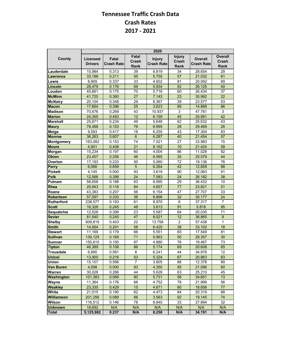|                   |                            |                            |                               | 2020                               |                                       |                              |                                 |
|-------------------|----------------------------|----------------------------|-------------------------------|------------------------------------|---------------------------------------|------------------------------|---------------------------------|
| County            | Licensed<br><b>Drivers</b> | Fatal<br><b>Crash Rate</b> | <b>Fatal</b><br>Crash<br>Rank | <b>Injury</b><br><b>Crash Rate</b> | <b>Injury</b><br>Crash<br><b>Rank</b> | <b>Overall</b><br>Crash Rate | <b>Overall</b><br>Crash<br>Rank |
| Lauderdale        | 15,984                     | 0.313                      | 39                            | 6.819                              | 34                                    | 28.654                       | 29                              |
| <b>Lawrence</b>   | 33.188                     | 0.211                      | 55                            | 5.755                              | 57                                    | 21.032                       | 61                              |
| Lewis             | 8,909                      | 0.337                      | 33                            | 4.602                              | 81                                    | 20.092                       | 69                              |
| Lincoln           | 28,479                     | 0.176                      | 69                            | 5.934                              | 52                                    | 26.125                       | 40                              |
| Loudon            | 45,661                     | 0.175                      | 70                            | 5.716                              | 60                                    | 26.434                       | 37                              |
| <b>McMinn</b>     | 41,720                     | 0.360                      | $\overline{27}$               | 7.143                              | 23                                    | 30.992                       | 22                              |
| <b>McNairy</b>    | 20,104                     | 0.348                      | 29                            | 6.367                              | 39                                    | 23.577                       | 53                              |
| <b>Macon</b>      | 17,664                     | 0.396                      | 25                            | 3.623                              | 89                                    | 14.889                       | 86                              |
| <b>Madison</b>    | 70,676                     | 0.269                      | 43                            | 10.937                             | 3                                     | 47.781                       | 3                               |
| <b>Marion</b>     | 24,355                     | 0.493                      | 12                            | 6.159                              | $\overline{45}$                       | 25.991                       | $\overline{42}$                 |
| <b>Marshall</b>   | 25,671                     | 0.234                      | 49                            | 5.648                              | 62                                    | 25.632                       | 43                              |
| <b>Maury</b>      | 78,488                     | 0.153                      | 76                            | 6.995                              | 28                                    | 29.469                       | 26                              |
| <b>Meigs</b>      | 9,593                      | 0.417                      | 18                            | 6.255                              | 43                                    | 17.304                       | 83                              |
| <b>Monroe</b>     | 36,263                     | 0.607                      | $\,6$                         | 6.287                              | 40                                    | 21.454                       | $\overline{57}$                 |
| Montgomery        | 163,082                    | 0.153                      | 74                            | 7.021                              | 27                                    | 33.983                       | 15                              |
| <b>Moore</b>      | 4,901                      | 0.408                      | 21                            | 8.162                              | 10                                    | 21.424                       | 58                              |
| Morgan            | 15,234                     | 0.197                      | 60                            | 4.004                              | 86                                    | 11.028                       | 92                              |
| <b>Obion</b>      | 23,457                     | 0.256                      | 46                            | 6.565                              | 35                                    | 25.579                       | 44                              |
| Overton           | 17.193                     | 0.233                      | 50                            | 5.060                              | 72                                    | 19.136                       | 76                              |
| <b>Perry</b>      | 6,066                      | 0.659                      | $\overline{5}$                | 6.264                              | 42                                    | 12.859                       | 88                              |
| <b>Pickett</b>    | 4,145                      | 0.000                      | 93                            | 3.619                              | 90                                    | 12.063                       | 91                              |
| <b>Polk</b>       | 12,566                     | 0.398                      | 24                            | 7.083                              | 24                                    | 26.182                       | 38                              |
| Putnam            | 58,658                     | 0.188                      | 63                            | 6.990                              | 29                                    | 36.432                       | 10                              |
| <b>Rhea</b>       | 25,943                     | 0.116                      | 84                            | 4.857                              | 77                                    | 23.821                       | 51                              |
| Roane             | 43,383                     | 0.207                      | 56                            | 6.154                              | 47                                    | 27.707                       | 33                              |
| <b>Robertson</b>  | 57,097                     | 0.333                      | 36                            | 6.866                              | 32                                    | 30.177                       | 24                              |
| <b>Rutherford</b> | 238,577                    | 0.193                      | 61                            | 8.970                              | 6                                     | 37.317                       | 7                               |
| <b>Scott</b>      | 16,328                     | 0.245                      | 48                            | 3.613                              | 91                                    | 5.818                        | 95                              |
| <b>Sequatchie</b> | 12,528                     | 0.399                      | 23                            | 5.587                              | 64                                    | 20.035                       | 71                              |
| <b>Sevier</b>     | 81,540                     | 0.245                      | 47                            | 8.021                              | 12                                    | 36.865                       | 9                               |
| <b>Shelby</b>     | 609,819                    | 0.403                      | 22                            | 13.758                             | $\overline{2}$                        | 57.438                       | 1                               |
| <b>Smith</b>      | 14,954                     | 0.201                      | 58                            | 6.420                              | 38                                    | 33.102                       | 18                              |
| <b>Stewart</b>    | 11,169                     | 0.179                      | 66                            | 5.551                              | 65                                    | 17.549                       | 81                              |
| <b>Sullivan</b>   | 130,125                    | 0.169                      | $\overline{71}$               | 5.963                              | 50                                    | 28.357                       | 30                              |
| Sumner            | 150,610                    | 0.100                      | 87                            | 4.880                              | 76                                    | 19.467                       | 73                              |
| <b>Tipton</b>     | 46,389                     | 0.108                      | 86                            | 5.174                              | 69                                    | 20.608                       | 65                              |
| Trousdale         | 6,890                      | 0.581                      | 8                             | 6.241                              | 44                                    | 34.978                       | 12                              |
| <b>Unicoi</b>     | 13,900                     | 0.216                      | 53                            | 5.324                              | 67                                    | 20.863                       | 63                              |
| <b>Union</b>      | 15,107                     | 0.596                      | $\overline{7}$                | 3.905                              | 88                                    | 12.378                       | 90                              |
| <b>Van Buren</b>  | 4,598                      | 0.000                      | 93                            | 4.350                              | 85                                    | 21.096                       | 60                              |
| <b>Warren</b>     | 30,028                     | 0.266                      | 44                            | 5.628                              | 63                                    | 25.210                       | 45                              |
| Washington        | 101,383                    | 0.069                      | 90                            | 5.731                              | 58                                    | 34.601                       | 13                              |
| Wayne             | 11,364                     | 0.176                      | 68                            | 4.752                              | 78                                    | 21.999                       | 56                              |
| <b>Weakley</b>    | 23,335                     | 0.429                      | 15                            | 4.671                              | 80                                    | 18.856                       | 77                              |
| White             | 21,015                     | 0.190                      | 62                            | 4.473                              | 84                                    | 20.319                       | 68                              |
| <b>Williamson</b> | 201,256                    | 0.089                      | 88                            | 3.563                              | 92                                    | 19.145                       | 74                              |
| Wilson            | 116,512                    | 0.146                      | 78                            | 6.840                              | 33                                    | 27.894                       | 32                              |
| <b>Unknown</b>    | 18,692                     | N/A                        | N/A                           | N/A                                | N/A                                   | N/A                          | N/A                             |
| <b>Total</b>      | 5,125,982                  | 0.237                      | N/A                           | 8.258                              | N/A                                   | 34.191                       | N/A                             |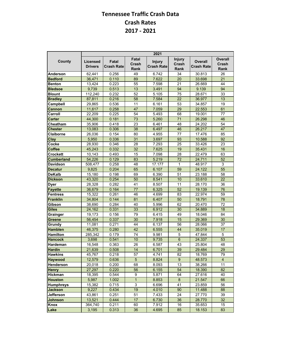| 2021                                                                                                                                                                                                                             |                                        |
|----------------------------------------------------------------------------------------------------------------------------------------------------------------------------------------------------------------------------------|----------------------------------------|
| <b>Fatal</b><br><b>Injury</b><br>County<br><b>Injury</b><br>Licensed<br>Fatal<br><b>Overall</b><br>Crash<br>Crash<br><b>Crash Rate</b><br><b>Drivers</b><br><b>Crash Rate</b><br><b>Crash Rate</b><br><b>Rank</b><br><b>Rank</b> | <b>Overall</b><br>Crash<br><b>Rank</b> |
| 49<br>6.742<br>34<br><b>Anderson</b><br>62,441<br>0.256<br>30.813                                                                                                                                                                | 26                                     |
| <b>Bedford</b><br>7.622<br>36,471<br>0.110<br>89<br>20<br>33.698                                                                                                                                                                 | 21                                     |
| 55<br>21<br>13,424<br>0.223<br>7.598<br>26.669<br><b>Benton</b>                                                                                                                                                                  | 44                                     |
| 13<br><b>Bledsoe</b><br>9,739<br>0.513<br>3.491<br>94<br>9.139                                                                                                                                                                   | 94                                     |
| 52<br><b>Blount</b><br>0.232<br>5.105<br>75<br>112,240<br>28.671                                                                                                                                                                 | 33                                     |
| <b>Bradley</b><br>87,811<br>0.216<br>58<br>7.584<br>22<br>36.977                                                                                                                                                                 | 13                                     |
| 0.536<br>11<br>53<br>6.161<br>34.857<br><b>Campbell</b><br>29,865                                                                                                                                                                | 19                                     |
| 47<br>0.258<br>7.059<br>29<br>22.553<br>11,617<br><b>Cannon</b>                                                                                                                                                                  | 61                                     |
| 0.225<br>54<br>5.493<br>68<br>22,209<br>19.001<br>Carroll                                                                                                                                                                        | 77                                     |
| Carter<br>73<br>44,300<br>0.181<br>5.260<br>71<br>26.298                                                                                                                                                                         | 46                                     |
| 23<br>48<br>Cheatham<br>0.418<br>6.461<br>24.202<br>35,906                                                                                                                                                                       | 54                                     |
| <b>Chester</b><br>0.306<br>38<br>6.497<br>46<br>26.217<br>13,083                                                                                                                                                                 | 47                                     |
| <b>Claiborne</b><br>0.154<br>4.955<br>77<br>17.476<br>26,036<br>80                                                                                                                                                               | 85                                     |
| 31<br>5,950<br>0.336<br>3.697<br>93<br>10.588<br><b>Clay</b>                                                                                                                                                                     | 92                                     |
| 7.293<br>0.346<br>28<br>25<br>33.426<br>Cocke<br>28.930                                                                                                                                                                          | 23                                     |
| <b>Coffee</b><br>0.332<br>32<br>19<br>45,243<br>7.625<br>35.431                                                                                                                                                                  | 16                                     |
| Crockett<br>15<br>28<br>10,143<br>0.493<br>7.098<br>22.479                                                                                                                                                                       | 63                                     |
| 0.129<br>5.219<br>24.711<br><b>Cumberland</b><br>54.226<br>83<br>72                                                                                                                                                              | 52                                     |
| 0.258<br>48<br>17.177<br>48.917<br><b>Davidson</b><br>508,477<br>1                                                                                                                                                               | $\mathsf 3$                            |
| 65<br>59<br><b>Decatur</b><br>9,825<br>0.204<br>6.107<br>24.122                                                                                                                                                                  | 55                                     |
| 69<br>51<br>23.188<br><b>DeKalb</b><br>15.180<br>0.198<br>6.390                                                                                                                                                                  | 58                                     |
| 10<br><b>Dickson</b><br>50<br>8.541<br>33.610<br>43,320<br>0.254                                                                                                                                                                 | 22                                     |
| 0.282<br>41<br>8.507<br>11<br>28.170<br>28,328<br><b>Dyer</b>                                                                                                                                                                    | 36                                     |
| 77<br>6.325<br>52<br>19.139<br>Fayette<br>36,679<br>0.164                                                                                                                                                                        | 76                                     |
| 0.261<br>4.699<br>83<br>22.974<br>15,322<br>46<br><b>Fentress</b>                                                                                                                                                                | 59                                     |
| 50<br>34,804<br>81<br>6.407<br>18.791<br>Franklin<br>0.144                                                                                                                                                                       | 78                                     |
| 0.284<br>40<br>5.996<br>62<br>20.470<br>Gibson<br>38,690                                                                                                                                                                         | 72                                     |
| <b>Giles</b><br>33<br>30<br>24,162<br>0.331<br>6.912<br>34.889                                                                                                                                                                   | 18                                     |
| Grainger<br>19,173<br>0.156<br>79<br>6.415<br>49<br>18.046                                                                                                                                                                       | 84                                     |
| 30<br>15<br>56,454<br>0.337<br>7.918<br>29.369<br>Greene                                                                                                                                                                         | 30                                     |
| 0.271<br>44<br>6.137<br>56<br>28.066<br>11,081<br>Grundy                                                                                                                                                                         | 37                                     |
| <b>Hamblen</b><br>42<br>46,375<br>0.280<br>6.555<br>44<br>35.019                                                                                                                                                                 | 17                                     |
| <b>Hamilton</b><br>5<br>0.179<br>74<br>285.342<br>9.981<br>47.844                                                                                                                                                                | 5                                      |
| <b>Hancock</b><br>3,698<br>0.541<br>10<br>9.735<br>$6\phantom{1}$<br>24.337                                                                                                                                                      | 53                                     |
| 26<br>43<br>16,548<br>0.363<br>6.587<br>25.804<br><b>IHardeman</b>                                                                                                                                                               | 48                                     |
| 14<br>39<br><b>Hardin</b><br>21,639<br>0.508<br>6.701<br>29.484                                                                                                                                                                  | 29                                     |
| 57<br>82<br><b>Hawkins</b><br>45,767<br>0.218<br>4.741<br>18.769                                                                                                                                                                 | 79                                     |
| <b>Haywood</b><br>$\sqrt{5}$<br>12,579<br>0.636<br>8.824<br>9<br>48.573                                                                                                                                                          | 4                                      |
| <b>Henderson</b><br>68<br>13<br>20,018<br>0.200<br>8.093<br>38.266                                                                                                                                                               | 11                                     |
| <b>Henry</b><br>54<br>27,297<br>0.220<br>56<br>6.155<br>18.390                                                                                                                                                                   | 82                                     |
| <b>Hickman</b><br>27.616<br>18,395<br>0.544<br>9<br>5.871<br>64                                                                                                                                                                  | 40                                     |
| $\mathbf{1}$<br>$\bf 8$<br><b>Houston</b><br>5,987<br>1.002<br>8.853<br>21.547                                                                                                                                                   | 66                                     |
| <b>Humphreys</b><br>3<br>15,382<br>0.715<br>41<br>23.859<br>6.696                                                                                                                                                                | 56                                     |
| <b>Jackson</b><br>19<br>90<br>9,227<br>0.434<br>4.010<br>11.488                                                                                                                                                                  | 88                                     |
| <b>Jefferson</b><br>51<br>43,861<br>0.251<br>7.433<br>24<br>27.770                                                                                                                                                               | 39                                     |
| <b>Johnson</b><br>17<br>28.770<br>13,521<br>0.444<br>6.730<br>36                                                                                                                                                                 | 32                                     |
| 364,740<br>0.211<br>60<br>7.912<br>16<br>35.653<br>Knox                                                                                                                                                                          | 15                                     |
|                                                                                                                                                                                                                                  |                                        |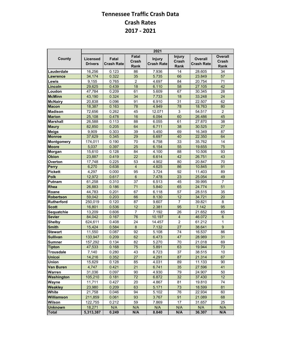|                   |                                   |                            |                                      | 2021                               |                                       |                                     |                                 |
|-------------------|-----------------------------------|----------------------------|--------------------------------------|------------------------------------|---------------------------------------|-------------------------------------|---------------------------------|
| County            | <b>Licensed</b><br><b>Drivers</b> | Fatal<br><b>Crash Rate</b> | <b>Fatal</b><br>Crash<br><b>Rank</b> | <b>Injury</b><br><b>Crash Rate</b> | <b>Injury</b><br>Crash<br><b>Rank</b> | <b>Overall</b><br><b>Crash Rate</b> | <b>Overall</b><br>Crash<br>Rank |
| Lauderdale        | 16,256                            | 0.123                      | 86                                   | 7.936                              | 14                                    | 28.605                              | 34                              |
| Lawrence          | 34,174                            | 0.322                      | 35                                   | 5.735                              | 66                                    | 23.849                              | 57                              |
| Lewis             | 9,155                             | 0.765                      | $\overline{c}$                       | 4.697                              | 84                                    | 20.754                              | 71                              |
| Lincoln           | 29,625                            | 0.439                      | 18                                   | 6.110                              | 58                                    | 27.105                              | 42                              |
| Loudon            | 47,784                            | 0.209                      | 61                                   | 5.609                              | 67                                    | 30.345                              | 28                              |
| <b>McMinn</b>     | 43,190                            | 0.324                      | 34                                   | 7.733                              | 18                                    | 33.248                              | 24                              |
| <b>McNairy</b>    | 20,838                            | 0.096                      | 91                                   | 6.910                              | 31                                    | 22.507                              | 62                              |
| <b>Macon</b>      | 18,387                            | 0.163                      | 78                                   | 4.949                              | 78                                    | 18.763                              | 80                              |
| <b>Madison</b>    | 72,656                            | 0.262                      | 45                                   | 12.071                             | 3                                     | 54.517                              | 2                               |
| <b>Marion</b>     | 25,108                            | 0.478                      | 16                                   | 6.094                              | 60                                    | 26.486                              | 45                              |
| Marshall          | 26,588                            | 0.113                      | 88                                   | 6.055                              | 61                                    | 27.870                              | 38                              |
| <b>Maury</b>      | 82,850                            | 0.205                      | 64                                   | 6.711                              | 38                                    | 30.525                              | 27                              |
| <b>Meigs</b>      | 9,909                             | 0.303                      | 39                                   | 5.450                              | 69                                    | 16.349                              | 87                              |
| <b>Monroe</b>     | 37,629                            | 0.345                      | 29                                   | 6.697                              | 40                                    | 22.350                              | 64                              |
| <b>Montgomery</b> | 174,011                           | 0.190                      | 70                                   | 6.758                              | 33                                    | 35.762                              | 14                              |
| <b>Moore</b>      | 5,037                             | 0.397                      | 25                                   | 6.154                              | 55                                    | 19.655                              | 75                              |
| Morgan            | 15,610                            | 0.128                      | 84                                   | 4.100                              | 88                                    | 10.506                              | 93                              |
| <b>Obion</b>      | 23,887                            | 0.419                      | 22                                   | 6.614                              | 42                                    | 26.751                              | 43                              |
| Overton           | 17,748                            | 0.225                      | 53                                   | 4.902                              | 80                                    | 20.847                              | 70                              |
| <b>Perry</b>      | 6,270                             | 0.638                      | $\overline{4}$                       | 4.625                              | 86                                    | 10.845                              | 91                              |
| <b>Pickett</b>    | 4,297                             | 0.000                      | 95                                   | 3.724                              | 92                                    | 11.403                              | 89                              |
| Polk              | 12,972                            | 0.617                      | $6\phantom{1}$                       | 7.478                              | $\overline{23}$                       | 25.054                              | 49                              |
| Putnam            | 61,258                            | 0.310                      | 37                                   | 6.513                              | 45                                    | 39.995                              | $\overline{7}$                  |
| Rhea              | 26,883                            | 0.186                      | 71                                   | 5.840                              | 65                                    | 24.774                              | 51                              |
| Roane             | 44,783                            | 0.201                      | 67                                   | 6.118                              | 57                                    | 28.515                              | 35                              |
| <b>Robertson</b>  | 59,042                            | 0.203                      | 66                                   | 8.130                              | 12                                    | 34.721                              | 20                              |
| <b>Rutherford</b> | 250,019                           | 0.120                      | 87                                   | 9.607                              | $\overline{7}$                        | 39.821                              | 8                               |
| <b>Scott</b>      | 16,801                            | 0.536                      | 12                                   | 2.381                              | 95                                    | 7.142                               | 95                              |
| <b>Sequatchie</b> | 13,209                            | 0.606                      | $\overline{7}$                       | 7.192                              | 26                                    | 21.652                              | 65                              |
| <b>Sevier</b>     | 84,042                            | 0.167                      | 76                                   | 10.197                             | $\overline{\mathcal{A}}$              | 46.072                              | 6                               |
| <b>Shelby</b>     | 624,611                           | 0.408                      | 24                                   | 14.457                             | $\overline{2}$                        | 61.212                              | $\mathbf{1}$                    |
| <b>Smith</b>      | 15,424                            | 0.584                      | 8                                    | 7.132                              | $\overline{27}$                       | 38.641                              | 9                               |
| <b>Stewart</b>    | 11,550                            | 0.087                      | 92                                   | 5.108                              | 74                                    | 16.537                              | 86                              |
| <b>Sullivan</b>   | 133.947                           | 0.209                      | 62                                   | 6.473                              | 47                                    | 28.989                              | 31                              |
| <b>Sumner</b>     | 157,292                           | 0.134                      | 82                                   | 5.270                              | 70                                    | 21.018                              | 69                              |
| <b>Tipton</b>     | 47,533                            | 0.168                      | 75                                   | 5.891                              | 63                                    | 19.944                              | 73                              |
| <b>Trousdale</b>  | 7,140                             | 0.280                      | 43                                   | 6.723                              | 37                                    | 38.515                              | 10                              |
| <b>Unicoi</b>     | 14,216                            | 0.352                      | 27                                   | 4.291                              | 87                                    | 21.314                              | 67                              |
| <b>Union</b>      | 15,629                            | 0.128                      | 85                                   | 4.031                              | 89                                    | 11.133                              | 90                              |
| Van Buren         | 4,747                             | 0.421                      | 21                                   | 6.741                              | 35                                    | 27.596                              | 41                              |
| <b>Warren</b>     | 31,036                            | 0.097                      | 90                                   | 4.930                              | 79                                    | 24.907                              | 50                              |
| Washington        | 105,210                           | 0.181                      | 72                                   | 6.872                              | 32                                    | 37.430                              | 12                              |
| Wayne             | 11,711                            | 0.427                      | 20                                   | 4.867                              | 81                                    | 19.810                              | 74                              |
| <b>Weakley</b>    | 23,980                            | 0.209                      | 63                                   | 5.171                              | 73                                    | 18.599                              | 81                              |
| <b>White</b>      | 21,758                            | 0.046                      | 94                                   | 5.102                              | 76                                    | 22.934                              | 60                              |
| <b>Williamson</b> | 211,859                           | 0.061                      | 93                                   | 3.767                              | 91                                    | 21.089                              | 68                              |
| Wilson            | 122,755                           | 0.212                      | 59                                   | 7.869                              | 17                                    | 31.657                              | 25                              |
| <b>Unknown</b>    | 18,271                            | N/A                        | N/A                                  | N/A                                | N/A                                   | N/A                                 | N/A                             |
| <b>Total</b>      | 5,313,387                         | 0.249                      | N/A                                  | 8.840                              | N/A                                   | 36.307                              | N/A                             |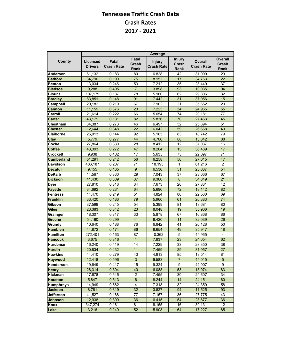|                   | Average                           |                            |                               |                                    |                                       |                                     |                                        |  |  |
|-------------------|-----------------------------------|----------------------------|-------------------------------|------------------------------------|---------------------------------------|-------------------------------------|----------------------------------------|--|--|
| County            | <b>Licensed</b><br><b>Drivers</b> | Fatal<br><b>Crash Rate</b> | Fatal<br>Crash<br><b>Rank</b> | <b>Injury</b><br><b>Crash Rate</b> | <b>Injury</b><br>Crash<br><b>Rank</b> | <b>Overall</b><br><b>Crash Rate</b> | <b>Overall</b><br>Crash<br><b>Rank</b> |  |  |
| <b>Anderson</b>   | 61,132                            | 0.183                      | 80                            | 6.828                              | 42                                    | 31.090                              | 29                                     |  |  |
| <b>Bedford</b>    | 34.790                            | 0.190                      | 75                            | 8.152                              | 17                                    | 34.763                              | 22                                     |  |  |
| <b>Benton</b>     | 13,034                            | 0.246                      | 53                            | 7.212                              | 35                                    | 28.449                              | 37                                     |  |  |
| <b>Bledsoe</b>    | 9,288                             | 0.495                      | $\overline{7}$                | 3.898                              | 93                                    | 10.035                              | 94                                     |  |  |
| <b>Blount</b>     | 107,179                           | 0.187                      | 78                            | 5.960                              | 62                                    | 29.806                              | 32                                     |  |  |
| <b>Bradley</b>    | 83,851                            | 0.148                      | 91                            | 7.442                              | 31                                    | 37.056                              | 15                                     |  |  |
| <b>Campbell</b>   | 29,182                            | 0.219                      | 67                            | 7.902                              | 21                                    | 35.652                              | 20                                     |  |  |
| <b>Cannon</b>     | 11,159                            | 0.376                      | 20                            | 7.223                              | 34                                    | 24.965                              | 55                                     |  |  |
| Carroll           | 21,614                            | 0.222                      | 66                            | 5.654                              | 74                                    | 20.181                              | 77                                     |  |  |
| Carter            | 43,179                            | 0.181                      | 82                            | 5.836                              | 70                                    | 27.463                              | 45                                     |  |  |
| Cheatham          | 34,387                            | 0.273                      | 46                            | 6.497                              | 52                                    | 25.894                              | 51                                     |  |  |
| <b>Chester</b>    | 12,644                            | 0.348                      | 22                            | 6.042                              | 59                                    | 26.668                              | 49                                     |  |  |
| <b>Claiborne</b>  | 25,013                            | 0.144                      | 92                            | 5.165                              | 83                                    | 18.742                              | 79                                     |  |  |
| <b>Clay</b>       | 5,779                             | 0.277                      | 44                            | 4.706                              | 88                                    | 13.842                              | 88                                     |  |  |
| Cocke             | 27,864                            | 0.330                      | 28                            | 8.412                              | 12                                    | 37.037                              | 16                                     |  |  |
| <b>Coffee</b>     | 43,393                            | 0.272                      | 47                            | 8.264                              | 13                                    | 36.489                              | 17                                     |  |  |
| <b>Crockett</b>   | 9,938                             | 0.402                      | 17                            | 5.635                              | 75                                    | 22.097                              | 71                                     |  |  |
| <b>Cumberland</b> | 51,291                            | 0.242                      | 56                            | 6.258                              | 56                                    | 27.015                              | 47                                     |  |  |
| <b>Davidson</b>   | 486,187                           | 0.207                      | 71                            | 18.195                             | 1                                     | 61.216                              | $\overline{2}$                         |  |  |
| <b>Decatur</b>    | 9,455                             | 0.465                      | 9                             | 6.536                              | 51                                    | 25.087                              | 54                                     |  |  |
| <b>DeKalb</b>     | 14,567                            | 0.330                      | 29                            | 7.043                              | 37                                    | 23.066                              | 67                                     |  |  |
| <b>Dickson</b>    | 41,430                            | 0.309                      | 37                            | 9.360                              | $\bf 8$                               | 34.849                              | 21                                     |  |  |
| <b>Dyer</b>       | 27,810                            | 0.316                      | 34                            | 7.673                              | 26                                    | 27.831                              | 42                                     |  |  |
| Fayette           | 34,692                            | 0.231                      | 64                            | 5.690                              | 72                                    | 18.142                              | 82                                     |  |  |
| <b>Fentress</b>   | 14,470                            | 0.249                      | 51                            | 4.824                              | 86                                    | 22.530                              | 69                                     |  |  |
| Franklin          | 33,420                            | 0.186                      | 79                            | 5.960                              | 61                                    | 20.383                              | 74                                     |  |  |
| Gibson            | 37,599                            | 0.245                      | 54                            | 5.399                              | 81                                    | 18.681                              | 80                                     |  |  |
| <b>Giles</b>      | 23,383                            | 0.342                      | 23                            | 8.048                              | 19                                    | 35.906                              | 19                                     |  |  |
| Grainger          | 18,307                            | 0.317                      | 33                            | 5.878                              | 67                                    | 16.868                              | 86                                     |  |  |
| Greene            | 54,160                            | 0.299                      | 41                            | 8.420                              | 11                                    | 32.039                              | 26                                     |  |  |
| Grundy            | 10,640                            | 0.188                      | 76                            | 6.842                              | 41                                    | 26.128                              | 50                                     |  |  |
| <b>Hamblen</b>    | 44,872                            | 0.174                      | 86                            | 6.654                              | 49                                    | 35.947                              | 18                                     |  |  |
| <b>Hamilton</b>   | 272,401                           | 0.163                      | 87                            | 10.362                             | 5                                     | 49.965                              | $\overline{4}$                         |  |  |
| <b>Hancock</b>    | 3,675                             | 0.816                      | $\mathbf{1}$                  | 7.837                              | 23                                    | 24.054                              | 62                                     |  |  |
| Hardeman          | 16,240                            | 0.419                      | 14                            | 7.229                              | 33                                    | 28.350                              | 38                                     |  |  |
| <b>Hardin</b>     | 20,834                            | 0.432                      | 11                            | 7.459                              | 29                                    | 31.957                              | 27                                     |  |  |
| <b>Hawkins</b>    | 44,410                            | 0.279                      | 43                            | 4.913                              | 85                                    | 18.514                              | 81                                     |  |  |
|                   |                                   |                            |                               |                                    |                                       |                                     |                                        |  |  |
| <b>Haywood</b>    | 12,418                            | 0.596                      | 3                             | 9.583                              | $\overline{7}$<br>9                   | 45.015                              | 5<br>9                                 |  |  |
| <b>Henderson</b>  | 19,649                            | 0.417                      | 15                            | 9.324                              |                                       | 42.007                              |                                        |  |  |
| <b>Henry</b>      | 26,314                            | 0.304                      | 40                            | 6.088                              | 58                                    | 18.074                              | 83                                     |  |  |
| <b>Hickman</b>    | 17,678                            | 0.645                      | 2                             | 7.455                              | 30                                    | 29.607                              | 34                                     |  |  |
| <b>Houston</b>    | 5,847                             | 0.513                      | $\, 6$                        | 8.244                              | 14                                    | 24.151                              | 60                                     |  |  |
| <b>Humphreys</b>  | 14,949                            | 0.562                      | 4                             | 7.318                              | 32                                    | 24.350                              | 58                                     |  |  |
| <b>Jackson</b>    | 8,781                             | 0.319                      | 32                            | 3.827                              | 94                                    | 11.525                              | 93                                     |  |  |
| <b>Jefferson</b>  | 41,527                            | 0.188                      | 77                            | 7.157                              | 36                                    | 27.775                              | 43                                     |  |  |
| <b>Johnson</b>    | 12,938                            | 0.309                      | 36                            | 6.415                              | 54                                    | 28.877                              | 36                                     |  |  |
| Knox              | 347,274                           | 0.181                      | 81                            | 8.165                              | 16                                    | 39.131                              | 12                                     |  |  |
| Lake              | 3,216                             | 0.249                      | 52                            | 5.908                              | 64                                    | 17.227                              | 85                                     |  |  |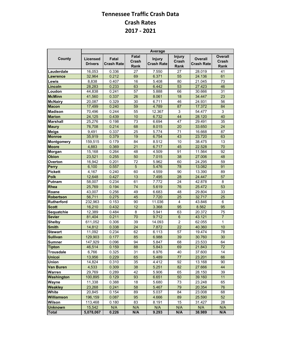|                   |                            |                            |                               | Average                            |                                       |                              |                                        |
|-------------------|----------------------------|----------------------------|-------------------------------|------------------------------------|---------------------------------------|------------------------------|----------------------------------------|
| County            | Licensed<br><b>Drivers</b> | Fatal<br><b>Crash Rate</b> | Fatal<br>Crash<br><b>Rank</b> | <b>Injury</b><br><b>Crash Rate</b> | <b>Injury</b><br>Crash<br><b>Rank</b> | <b>Overall</b><br>Crash Rate | <b>Overall</b><br>Crash<br><b>Rank</b> |
| Lauderdale        | 16,053                     | 0.336                      | 27                            | 7.550                              | 27                                    | 28.019                       | 41                                     |
| <b>Lawrence</b>   | 32,964                     | 0.212                      | 69                            | 6.371                              | 55                                    | 24.136                       | 61                                     |
| Lewis             | 8,838                      | 0.407                      | 16                            | 5.408                              | 80                                    | 21.045                       | 73                                     |
| Lincoln           | 28,283                     | 0.233                      | 63                            | 6.442                              | 53                                    | 27.423                       | 46                                     |
| Loudon            | 44,838                     | 0.241                      | 57                            | 5.888                              | 66                                    | 30.666                       | 31                                     |
| <b>McMinn</b>     | 41,560                     | 0.337                      | 26                            | 8.061                              | 18                                    | 34.447                       | 23                                     |
| <b>McNairy</b>    | 20,087                     | 0.329                      | 30                            | 6.711                              | 46                                    | 24.931                       | 56                                     |
| <b>Macon</b>      | 17,499                     | 0.240                      | 59                            | 4.789                              | 87                                    | 17.372                       | 84                                     |
| <b>Madison</b>    | 70,496                     | 0.244                      | 55                            | 12.367                             | 3                                     | 54.477                       | 3                                      |
| <b>Marion</b>     | 24,125                     | 0.439                      | 10                            | 6.732                              | 44                                    | 28.120                       | 40                                     |
| <b>Marshall</b>   | 25,276                     | 0.198                      | 73                            | 6.694                              | 47                                    | 29.491                       | 35                                     |
| <b>Maury</b>      | 76,708                     | 0.214                      | 68                            | 8.015                              | 20                                    | 33.650                       | 24                                     |
| <b>Meigs</b>      | 9,491                      | 0.337                      | 25                            | 5.774                              | 71                                    | 16.668                       | 87                                     |
| <b>Monroe</b>     | 35,919                     | 0.379                      | 19                            | 6.754                              | 43                                    | 23.720                       | 63                                     |
| <b>Montgomery</b> | 159,515                    | 0.179                      | 84                            | 8.512                              | 10                                    | 38.475                       | 13                                     |
| <b>Moore</b>      | 4,883                      | 0.369                      | 21                            | 6.717                              | 45                                    | 22.528                       | 70                                     |
| Morgan            | 15,168                     | 0.264                      | 48                            | 4.509                              | 91                                    | 11.564                       | 92                                     |
| <b>Obion</b>      | 23,521                     | 0.255                      | 50                            | 7.015                              | 38                                    | 27.006                       | 48                                     |
| Overton           | 16,942                     | 0.201                      | 72                            | 5.962                              | 60                                    | 24.295                       | 59                                     |
| <b>Perry</b>      | 6,100                      | 0.557                      | 5                             | 5.476                              | 78                                    | 13.082                       | 91                                     |
| <b>Pickett</b>    | 4.167                      | 0.240                      | 60                            | 4.559                              | 90                                    | 13.390                       | 89                                     |
| <b>Polk</b>       | 12,648                     | 0.427                      | 13                            | 7.495                              | $\overline{28}$                       | 24.447                       | $\overline{57}$                        |
| Putnam            | 58,007                     | 0.234                      | 61                            | 7.772                              | 24                                    | 42.878                       | 8                                      |
| <b>Rhea</b>       | 25,769                     | 0.194                      | 74                            | 5.619                              | 76                                    | 25.472                       | 53                                     |
| Roane             | 43,007                     | 0.256                      | 49                            | 6.683                              | 48                                    | 29.804                       | 33                                     |
| <b>Robertson</b>  | 56,711                     | 0.275                      | 45                            | 7.720                              | 25                                    | 32.717                       | 25                                     |
| <b>Rutherford</b> | 232,963                    | 0.153                      | 90                            | 11.036                             | 4                                     | 43.846                       | 6                                      |
| <b>Scott</b>      | 16,210                     | 0.432                      | 12                            | 3.368                              | 95                                    | 8.562                        | 95                                     |
| Sequatchie        | 12,389                     | 0.484                      | 8                             | 5.941                              | 63                                    | 20.372                       | 75                                     |
| <b>Sevier</b>     | 81,404                     | 0.211                      | 70                            | 9.712                              | 6                                     | 43.121                       | $\overline{7}$                         |
| <b>Shelby</b>     | 611,052                    | 0.306                      | 39                            | 14.093                             | $\overline{2}$                        | 62.055                       | 1                                      |
| <b>Smith</b>      | 14,812                     | 0.338                      | 24                            | 7.872                              | 22                                    | 40.360                       | 10                                     |
| <b>Stewart</b>    | 11.092                     | 0.234                      | 62                            | 6.113                              | 57                                    | 19.474                       | 78                                     |
| <b>Sullivan</b>   | 129,903                    | 0.177                      | 85                            | 6.988                              | 39                                    | 30.760                       | 30                                     |
| <b>Sumner</b>     | 147,929                    | 0.096                      | 94                            | 5.847                              | 68                                    | 23.533                       | 64                                     |
| <b>Tipton</b>     | 46,514                     | 0.159                      | 88                            | 5.843                              | 69                                    | 21.843                       | 72                                     |
| <b>Trousdale</b>  | 6,766                      | 0.325                      | 31                            | 6.976                              | 40                                    | 37.600                       | 14                                     |
| <b>Unicoi</b>     | 13,956                     | 0.229                      | 65                            | 5.489                              | 77                                    | 23.201                       | 66                                     |
| <b>Union</b>      | 14,824                     | 0.310                      | 35                            | 4.412                              | 92                                    | 13.168                       | 90                                     |
| Van Buren         | 4,533                      | 0.309                      | 38                            | 5.251                              | 82                                    | 27.666                       | 44                                     |
| Warren            | 29,769                     | 0.289                      | 42                            | 5.906                              | 65                                    | 28.150                       | 39                                     |
| <b>Washington</b> | 100,895                    | 0.129                      | 93                            | 6.651                              | 50                                    | 39.160                       | 11                                     |
| Wayne             | 11,338                     | 0.388                      | 18                            | 5.680                              | 73                                    | 23.248                       | 65                                     |
| <b>Weakley</b>    | 23,268                     | 0.241                      | 58                            | 5.467                              | 79                                    | 20.354                       | 76                                     |
| <b>White</b>      | 20,845                     | 0.154                      | 89                            | 5.037                              | 84                                    | 23.008                       | 68                                     |
| <b>Williamson</b> | 196,159                    | 0.087                      | 95                            | 4.666                              | 89                                    | 25.590                       | 52                                     |
| Wilson            | 113,468                    | 0.180                      | 83                            | 8.191                              | 15                                    | 31.427                       | 28                                     |
| <b>Unknown</b>    | 15,542                     | N/A                        | N/A                           | N/A                                | N/A                                   | N/A                          | N/A                                    |
| <b>Total</b>      | 5,078,067                  | 0.226                      | N/A                           | 9.293                              | N/A                                   | 38.989                       | N/A                                    |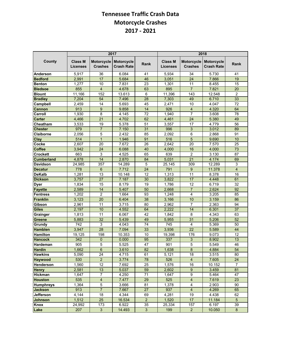<span id="page-21-0"></span>

|                   |                                   | 2017                                |                                 |                 |                            | 2018                                |                                        |                 |
|-------------------|-----------------------------------|-------------------------------------|---------------------------------|-----------------|----------------------------|-------------------------------------|----------------------------------------|-----------------|
| County            | <b>Class M</b><br><b>Licenses</b> | <b>Motorcycle</b><br><b>Crashes</b> | Motorcycle<br><b>Crash Rate</b> | Rank            | <b>Class M</b><br>Licenses | <b>Motorcycle</b><br><b>Crashes</b> | <b>Motorcycle</b><br><b>Crash Rate</b> | Rank            |
| Anderson          | 5,917                             | 36                                  | 6.084                           | 41              | 5,934                      | 34                                  | 5.730                                  | 41              |
| <b>Bedford</b>    | 2,991                             | 17                                  | 5.684                           | 46              | 3,051                      | 24                                  | 7.866                                  | 19              |
| <b>Benton</b>     | 1,277                             | 10                                  | 7.831                           | 23              | 1,301                      | 11                                  | 8.455                                  | 15              |
| <b>Bledsoe</b>    | 855                               | $\overline{4}$                      | 4.678                           | 63              | 895                        | $\overline{7}$                      | 7.821                                  | 20              |
| <b>Blount</b>     | 11,166                            | 152                                 | 13.613                          | 6               | 11,396                     | 143                                 | 12.548                                 | $\overline{2}$  |
| <b>Bradley</b>    | 7,204                             | 54                                  | 7.496                           | 28              | 7,303                      | 49                                  | 6.710                                  | 33              |
| Campbell          | 2,459                             | 14                                  | 5.693                           | 45              | 2,471                      | 10                                  | 4.047                                  | 72              |
| Cannon            | 913                               | 9                                   | 9.858                           | 14              | 926                        | $\overline{4}$                      | 4.320                                  | 64              |
| Carroll           | 1,930                             | 8                                   | 4.145                           | 72              | 1,940                      | $\overline{7}$                      | 3.608                                  | $\overline{78}$ |
| <b>Carter</b>     | 4,466                             | 21                                  | 4.702                           | 62              | 4,461                      | 24                                  | 5.380                                  | 49              |
| Cheatham          | 3,533                             | 19                                  | 5.378                           | 51              | 3,557                      | 17                                  | 4.779                                  | 56              |
| <b>Chester</b>    | 979                               | $\overline{7}$                      | 7.150                           | 31              | 996                        | 3                                   | 3.012                                  | 89              |
| <b>Claiborne</b>  | 2,056                             | 5                                   | 2.432                           | 85              | 2,092                      | 6                                   | 2.868                                  | 91              |
| <b>Clay</b>       | 514                               | $\mathbf{1}$                        | 1.946                           | 91              | 516                        | $\overline{5}$                      | 9.690                                  | 10              |
| Cocke             | 2,607                             | 20                                  | 7.672                           | 26              | 2,642                      | 20                                  | 7.570                                  | 25              |
| <b>Coffee</b>     | 3,942                             | $\overline{24}$                     | 6.088                           | 40              | 4,000                      | 16                                  | 4.000                                  | 73              |
| <b>Crockett</b>   | 663                               | 3                                   | 4.525                           | 65              | 639                        | $\overline{2}$                      | 3.130                                  | 87              |
| <b>Cumberland</b> | 4,878                             | 14                                  | 2.870                           | 84              | 5,031                      | 21                                  | 4.174                                  | 69              |
| <b>Davidson</b>   | 24,985                            | 357                                 | 14.289                          | 5               | 25,145                     | 309                                 | 12.289                                 | 3               |
| <b>Decatur</b>    | 778                               | $6\phantom{1}$                      | 7.712                           | $\overline{24}$ | 791                        | 9                                   | 11.378                                 | $\overline{4}$  |
| <b>DeKalb</b>     | 1,281                             | 13                                  | 10.148                          | 12              | 1,313                      | 11                                  | 8.378                                  | 16              |
| <b>Dickson</b>    | 3,757                             | 27                                  | 7.187                           | 30              | 3,822                      | 17                                  | 4.448                                  | 61              |
| <b>Dyer</b>       | 1,834                             | 15                                  | 8.179                           | 19              | 1,786                      | 12                                  | 6.719                                  | 32              |
| Fayette           | 2,589                             | 14                                  | 5.407                           | 50              | 2,668                      | $\overline{7}$                      | 2.624                                  | 92              |
| <b>Fentress</b>   | 1,202                             | $\overline{2}$                      | 1.664                           | 93              | 1,248                      | $\overline{\mathbf{4}}$             | 3.205                                  | 85              |
| <b>Franklin</b>   | 3,123                             | $\overline{20}$                     | 6.404                           | 38              | 3,166                      | 10                                  | 3.159                                  | 86              |
| <b>Gibson</b>     | 2,961                             | 11                                  | 3.715                           | 80              | 2,962                      | $\overline{7}$                      | 2.363                                  | 94              |
| <b>Giles</b>      | 2,197                             | 10                                  | 4.552                           | 64              | 2,222                      | 14                                  | 6.301                                  | 37              |
| Grainger          | 1,813                             | 11                                  | 6.067                           | 42              | 1,842                      | 8                                   | 4.343                                  | 63              |
| <b>Greene</b>     | 5,883                             | 32                                  | 5.439                           | 49              | 5,955                      | 31                                  | 5.206                                  | 52              |
| Grundy            | 742                               | 3                                   | 4.043                           | 74              | 745                        | $\overline{4}$                      | 5.369                                  | 50              |
| <b>Hamblen</b>    | 3,947                             | 28                                  | 7.094                           | 33              | 3,936                      | 22                                  | 5.589                                  | 44              |
| Hamilton          | 19,125                            | 198                                 | 10.353                          | 10              | 19,398                     | 176                                 | 9.073                                  | 12              |
| <b>Hancock</b>    | 342                               | $\bf 0$                             | 0.000                           | 95              | 337                        | 3                                   | 8.902                                  | 13              |
| Hardeman          | 905                               | 5                                   | 5.525                           | 47              | 901                        | 5                                   | 5.549                                  | 46              |
| <b>Hardin</b>     | 1,662                             | $\,6$                               | 3.610                           | 82              | 1,638                      | $\bf8$                              | 4.884                                  | $\overline{54}$ |
| <b>Hawkins</b>    | 5,090                             | 24                                  | 4.715                           | 61              | 5,121                      | $\overline{18}$                     | 3.515                                  | $\overline{80}$ |
| <b>Haywood</b>    | 530                               | $\overline{2}$                      | 3.774                           | 78              | 526                        | $\overline{4}$                      | 7.605                                  | 24              |
| <b>Henderson</b>  | 1,560                             | 12                                  | 7.692                           | 25              | 1,576                      | 16                                  | 10.152                                 | $\overline{7}$  |
| <b>Henry</b>      | 2,581                             | 13                                  | 5.037                           | 59              | 2,602                      | $\boldsymbol{9}$                    | 3.459                                  | 81              |
| Hickman           | 1,647                             | $\overline{7}$                      | 4.250                           | 71              | 1,647                      | 9                                   | 5.464                                  | 47              |
| <b>Houston</b>    | 535                               | 4                                   | 7.477                           | 29              | 525                        | $\overline{4}$                      | 7.619                                  | 23              |
| <b>Humphreys</b>  | 1,364                             | 5                                   | 3.666                           | 81              | 1,378                      | $\overline{\mathbf{4}}$             | 2.903                                  | 90              |
| <b>Jackson</b>    | 913                               | $\overline{7}$                      | 7.667                           | 27              | 937                        | $\overline{4}$                      | 4.269                                  | 65              |
| Jefferson         | 4,144                             | 18                                  | 4.344                           | 69              | 4,281                      | 19                                  | 4.438                                  | 62              |
| <b>Johnson</b>    | 1,512                             | 25                                  | 16.534                          | $\overline{2}$  | 1,520                      | 17                                  | 11.184                                 | $5^{\circ}$     |
| Knox              | 24,992                            | 173                                 | 6.922                           | 35              | 25,334                     | 157                                 | 6.197                                  | 39              |
| Lake              | 207                               | 3                                   | 14.493                          | $\mathfrak{S}$  | 199                        | 2 <sup>1</sup>                      | 10.050                                 | 8               |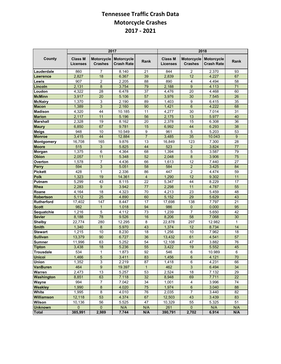|                   |                            |                              | 2017                            |                |                                   |                                     | 2018                            |                  |
|-------------------|----------------------------|------------------------------|---------------------------------|----------------|-----------------------------------|-------------------------------------|---------------------------------|------------------|
| County            | <b>Class M</b><br>Licenses | Motorcycle<br><b>Crashes</b> | Motorcycle<br><b>Crash Rate</b> | Rank           | <b>Class M</b><br><b>Licenses</b> | <b>Motorcycle</b><br><b>Crashes</b> | Motorcycle<br><b>Crash Rate</b> | <b>Rank</b>      |
| Lauderdale        | 860                        | $\overline{7}$               | 8.140                           | 21             | 844                               | $\overline{2}$                      | 2.370                           | 93               |
| Lawrence          | 2,827                      | 18                           | 6.367                           | 39             | 2,839                             | 12                                  | 4.227                           | 67               |
| Lewis             | 907                        | $\overline{2}$               | 2.205                           | 88             | 890                               | 4                                   | 4.494                           | 58               |
| Lincoln           | 2,131                      | 8                            | 3.754                           | 79             | 2,188                             | $\boldsymbol{9}$                    | 4.113                           | 71               |
| Loudon            | 4,322                      | 28                           | 6.478                           | 37             | 4,476                             | 20                                  | 4.468                           | 60               |
| <b>McMinn</b>     | 3,917                      | 20                           | 5.106                           | 57             | 3,976                             | 30                                  | 7.545                           | 26               |
| <b>McNairy</b>    | 1,370                      | 3                            | 2.190                           | 89             | 1,403                             | 9                                   | 6.415                           | 35               |
| <b>Macon</b>      | 1,389                      | 3                            | 2.160                           | 90             | 1,421                             | $6\phantom{1}$                      | 4.222                           | 68               |
| <b>Madison</b>    | 4,320                      | 44                           | 10.185                          | 11             | 4,277                             | 30                                  | 7.014                           | 31               |
| <b>Marion</b>     | 2,117                      | 11                           | 5.196                           | 56             | 2,175                             | 13                                  | 5.977                           | 40               |
| <b>Marshall</b>   | 2,328                      | 19                           | 8.162                           | 20             | 2,378                             | 15                                  | 6.308                           | 36               |
| <b>Maury</b>      | 6,850                      | 67                           | 9.781                           | 15             | 6,992                             | 44                                  | 6.293                           | 38               |
| <b>Meigs</b>      | 948                        | 10                           | 10.549                          | 9              | 961                               | 5                                   | 5.203                           | 53               |
| <b>Monroe</b>     | 3,415                      | 44                           | 12.884                          | $\overline{7}$ | 3,485                             | 35                                  | 10.043                          | $\boldsymbol{9}$ |
| <b>Montgomery</b> | 16,708                     | 165                          | 9.876                           | 13             | 16,849                            | 123                                 | 7.300                           | 28               |
| <b>Moore</b>      | $\overline{515}$           | 3                            | 5.825                           | 44             | 523                               | $\overline{2}$                      | 3.824                           | $\overline{77}$  |
| Morgan            | 1,375                      | 6                            | 4.364                           | 68             | 1,394                             | 5                                   | 3.587                           | 79               |
| <b>Obion</b>      | 2,057                      | 11                           | 5.348                           | 52             | 2,048                             | $\bf 8$                             | 3.906                           | $\overline{75}$  |
| Overton           | 1,578                      | $\overline{7}$               | 4.436                           | 66             | 1,613                             | 12                                  | 7.440                           | 27               |
| Perry             | 594                        | 3                            | 5.051                           | 58             | 584                               | $\sqrt{2}$                          | 3.425                           | 84               |
| <b>Pickett</b>    | 428                        | 1                            | 2.336                           | 86             | 447                               | $\overline{2}$                      | 4.474                           | 59               |
| <b>Polk</b>       | 1,323                      | 19                           | 14.361                          | $\overline{4}$ | 1,290                             | $\overline{12}$                     | 9.302                           | 11               |
| Putnam            | 5,299                      | 43                           | 8.115                           | 22             | 5,347                             | 44                                  | 8.229                           | 17               |
| <b>Rhea</b>       | 2,283                      | 9                            | 3.942                           | 77             | 2,298                             | 11                                  | 4.787                           | 55               |
| Roane             | 4,164                      | 18                           | 4.323                           | 70             | 4,213                             | 23                                  | 5.459                           | 48               |
| <b>Robertson</b>  | 5,112                      | $\overline{25}$              | 4.890                           | 60             | 5,152                             | 29                                  | 5.629                           | 43               |
| <b>Rutherford</b> | 17,402                     | 147                          | 8.447                           | 17             | 17,698                            | 138                                 | 7.797                           | $\overline{21}$  |
| <b>Scott</b>      | 982                        | $\mathbf{1}$                 | 1.018                           | 94             | 986                               | $\mathbf{0}$                        | 0.000                           | 95               |
| Sequatchie        | 1,216                      | 5                            | 4.112                           | 73             | 1,239                             | $\overline{7}$                      | 5.650                           | 42               |
| <b>Sevier</b>     | 8,188                      | 78                           | 9.526                           | 16             | 8,206                             | 58                                  | 7.068                           | 30               |
| <b>Shelby</b>     | 22,774                     | 280                          | 12.295                          | 8              | 22,878                            | 297                                 | 12.982                          | 1                |
| <b>Smith</b>      | 1,340                      | $\boldsymbol{8}$             | 5.970                           | 43             | 1,374                             | 12                                  | 8.734                           | 14               |
| <b>Stewart</b>    | 1,215                      | 10                           | 8.230                           | 18             | 1,256                             | 10                                  | 7.962                           | 18               |
| <b>Sullivan</b>   | 13,379                     | 90                           | 6.727                           | 36             | 13,432                            | 61                                  | 4.541                           | 57               |
| Sumner            | 11,996                     | 63                           | 5.252                           | 54             | 12,108                            | 47                                  | 3.882                           | 76               |
| <b>Tipton</b>     | 3,438                      | 18                           | 5.236                           | 55             | 3,422                             | 19                                  | 5.552                           | 45               |
| <b>Trousdale</b>  | 534                        | 1                            | 1.873                           | 92             | 546                               | 6                                   | 10.989                          | 6                |
| <b>Unicoi</b>     | 1,466                      | 5                            | 3.411                           | 83             | 1,456                             | $\,6\,$                             | 4.121                           | 70               |
| Union             | 1,352                      | 3                            | 2.219                           | 87             | 1,418                             | $6 \overline{}$                     | 4.231                           | 66               |
| <b>VanBuren</b>   | 464                        | $\overline{9}$               | 19.397                          | $\mathbf{1}$   | 462                               | $\mathbf{3}$                        | 6.494                           | 34               |
| Warren            | 2,473                      | 13                           | 5.257                           | 53             | 2,524                             | 18                                  | 7.132                           | 29               |
| Washington        | 8,851                      | 63                           | 7.118                           | 32             | 8,948                             | 69                                  | 7.711                           | 22               |
| Wayne             | 994                        | $\overline{7}$               | 7.042                           | 34             | 1,001                             | 4                                   | 3.996                           | 74               |
| <b>Weakley</b>    | 1,990                      | 8                            | 4.020                           | 75             | 1,974                             | $\sqrt{6}$                          | 3.040                           | 88               |
| <b>White</b>      | 1,995                      | 8                            | 4.010                           | 76             | 2,035                             | $\overline{7}$                      | 3.440                           | 82               |
| <b>Williamson</b> | 12,118                     | 53                           | 4.374                           | 67             | 12,503                            | 43                                  | 3.439                           | 83               |
| Wilson            | 10,136                     | 56                           | 5.525                           | 47             | 10,329                            | 55                                  | 5.325                           | 51               |
| <b>Unknown</b>    | $\mathbf{0}$               | $\mathbf{0}$                 | N/A                             | N/A            | 261                               | $\mathbf{0}$                        | N/A                             | N/A              |
| <b>Total</b>      | 385,991                    | 2,989                        | 7.744                           | N/A            | 390,791                           | 2,702                               | 6.914                           | N/A              |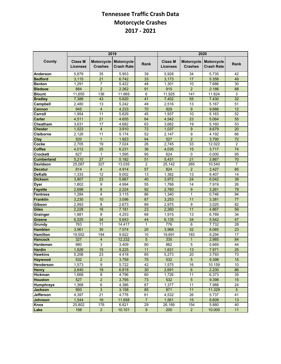|                   |                                   |                                     | 2019                            |                |                                   | 2020                                |                                        |                 |
|-------------------|-----------------------------------|-------------------------------------|---------------------------------|----------------|-----------------------------------|-------------------------------------|----------------------------------------|-----------------|
| County            | <b>Class M</b><br><b>Licenses</b> | <b>Motorcycle</b><br><b>Crashes</b> | Motorcycle<br><b>Crash Rate</b> | Rank           | <b>Class M</b><br><b>Licenses</b> | <b>Motorcycle</b><br><b>Crashes</b> | <b>Motorcycle</b><br><b>Crash Rate</b> | Rank            |
| Anderson          | 5,879                             | 35                                  | 5.953                           | 39             | 5,928                             | 34                                  | 5.735                                  | 42              |
| <b>Bedford</b>    | 3,115                             | 21                                  | 6.742                           | 33             | 3,173                             | 17                                  | 5.358                                  | 49              |
| <b>Benton</b>     | 1,291                             | 7                                   | $\overline{5.422}$              | 48             | 1,301                             | 10                                  | 7.686                                  | 30              |
| <b>Bledsoe</b>    | 884                               | $\overline{2}$                      | 2.262                           | 91             | 915                               | $\overline{2}$                      | 2.186                                  | 88              |
| <b>Blount</b>     | 11,655                            | 136                                 | 11.669                          | 6              | 11,925                            | 141                                 | 11.824                                 | 3               |
| <b>Bradley</b>    | 7,388                             | 43                                  | 5.820                           | 41             | 7,402                             | 55                                  | 7.430                                  | 32              |
| Campbell          | 2,480                             | 13                                  | 5.242                           | 49             | 2,516                             | 13                                  | 5.167                                  | 51              |
| Cannon            | 945                               | $\overline{4}$                      | 4.233                           | 70             | 929                               | 9                                   | 9.688                                  | 12              |
| Carroll           | 1,954                             | 11                                  | 5.629                           | 45             | 1,937                             | 10                                  | 5.163                                  | 52              |
| <b>Carter</b>     | 4,511                             | 21                                  | 4.655                           | 64             | 4,542                             | 23                                  | 5.064                                  | 55              |
| Cheatham          | 3,631                             | 17                                  | 4.682                           | 63             | 3,682                             | 19                                  | 5.160                                  | 53              |
| <b>Chester</b>    | 1,023                             | $\overline{4}$                      | 3.910                           | 72             | 1,037                             | 9                                   | 8.679                                  | 20              |
| <b>Claiborne</b>  | 2,126                             | 11                                  | 5.174                           | 52             | 2,147                             | 9                                   | 4.192                                  | 66              |
| <b>Clay</b>       | 520                               | $\mathbf{1}$                        | 1.923                           | 94             | 527                               | $\overline{2}$                      | 3.795                                  | 72              |
| Cocke             | 2,705                             | 19                                  | 7.024                           | 26             | 2,745                             | 33                                  | 12.022                                 | $\overline{2}$  |
| <b>Coffee</b>     | 4,012                             | $\overline{25}$                     | 6.231                           | 36             | 4,035                             | 15                                  | 3.717                                  | $\overline{74}$ |
| <b>Crockett</b>   | 627                               | 1                                   | 1.595                           | 95             | 624                               | 0                                   | 0.000                                  | 95              |
| <b>Cumberland</b> | 5,210                             | 27                                  | 5.182                           | 51             | 5,431                             | 21                                  | 3.867                                  | 70              |
| <b>Davidson</b>   | 25,087                            | 327                                 | 13.035                          | $\overline{2}$ | 25,142                            | 265                                 | 10.540                                 | 7               |
| <b>Decatur</b>    | 814                               | $\overline{4}$                      | 4.914                           | 57             | 824                               | $\overline{2}$                      | 2.427                                  | 85              |
| <b>DeKalb</b>     | 1,333                             | 12                                  | 9.002                           | 13             | 1,382                             | 13                                  | 9.407                                  | 14              |
| <b>Dickson</b>    | 3,907                             | 23                                  | 5.887                           | 40             | 3,972                             | 24                                  | 6.042                                  | 39              |
| <b>Dyer</b>       | 1,802                             | 9                                   | 4.994                           | 55             | 1,768                             | 14                                  | 7.919                                  | 26              |
| Fayette           | 2,698                             | 6                                   | 2.224                           | 92             | 2,760                             | 9                                   | 3.261                                  | 79              |
| <b>Fentress</b>   | 1,284                             | $\overline{\mathbf{4}}$             | 3.115                           | 86             | 1,340                             | $\mathbf{1}$                        | 0.746                                  | 94              |
| <b>Franklin</b>   | 3,230                             | 10                                  | 3.096                           | 87             | 3,253                             | 11                                  | 3.381                                  | 77              |
| <b>Gibson</b>     | 2,993                             | 8                                   | 2.673                           | 89             | 2,975                             | 9                                   | 3.025                                  | 82              |
| <b>Giles</b>      | 2,228                             | 16                                  | 7.181                           | 23             | 2,260                             | 11                                  | 4.867                                  | 59              |
| Grainger          | 1,881                             | 8                                   | 4.253                           | 68             | 1,915                             | 13                                  | 6.789                                  | 34              |
| <b>Greene</b>     | 6,025                             | 34                                  | 5.643                           | 44             | 6,135                             | 34                                  | 5.542                                  | 47              |
| Grundy            | 763                               | 11                                  | 14.417                          | $\mathbf{1}$   | 776                               | 6                                   | 7.732                                  | 28              |
| <b>Hamblen</b>    | 3,961                             | 30                                  | 7.574                           | 20             | 3,968                             | 32                                  | 8.065                                  | 23              |
| Hamilton          | 19,552                            | 194                                 | 9.922                           | 10             | 19.691                            | 183                                 | 9.294                                  | 17              |
| <b>Hancock</b>    | 327                               | $\overline{4}$                      | 12.232                          | 5              | 335                               | $\mathbf{1}$                        | 2.985                                  | 84              |
| Hardeman          | 880                               | 3                                   | 3.409                           | 80             | 882                               | 5                                   | 5.669                                  | 44              |
| <b>Hardin</b>     | 1,626                             | 15                                  | 9.225                           | 11             | 1,631                             | 13                                  | 7.971                                  | $\overline{25}$ |
| <b>Hawkins</b>    | 5,206                             | $\overline{23}$                     | 4.418                           | 65             | 5,273                             | 20                                  | 3.793                                  | $\overline{73}$ |
| <b>Haywood</b>    | 532                               | $\overline{c}$                      | 3.759                           | 75             | 532                               | $\sqrt{5}$                          | 9.398                                  | 15              |
| <b>Henderson</b>  | 1,573                             | 9                                   | 5.722                           | 42             | 1,575                             | 16                                  | 10.159                                 | 10              |
| <b>Henry</b>      | 2,640                             | 18                                  | 6.818                           | 30             | 2,691                             | $\,6\,$                             | 2.230                                  | 86              |
| Hickman           | 1,668                             | 8                                   | 4.796                           | 60             | 1,726                             | 11                                  | 6.373                                  | 35              |
| <b>Houston</b>    | 527                               | $\overline{c}$                      | 3.795                           | 73             | 532                               | $\sqrt{5}$                          | 9.398                                  | 15              |
| <b>Humphreys</b>  | 1,368                             | 6                                   | 4.386                           | 67             | 1,377                             | $\overline{11}$                     | 7.988                                  | 24              |
| <b>Jackson</b>    | 950                               | $\overline{3}$                      | 3.158                           | 85             | 971                               | 11                                  | 11.329                                 | $\overline{5}$  |
| Jefferson         | 4,397                             | 21                                  | 4.776                           | 61             | 4,532                             | 26                                  | 5.737                                  | 41              |
| <b>Johnson</b>    | 1,544                             | 18                                  | 11.658                          | $\overline{7}$ | 1,561                             | 15                                  | 9.609                                  | 13              |
| Knox              | 25,802                            | 176                                 | 6.821                           | 29             | 26,189                            | 154                                 | 5.880                                  | 40              |
| Lake              | 198                               | $\overline{2}$                      | 10.101                          | 9              | 200                               | $\overline{2}$                      | 10.000                                 | 11              |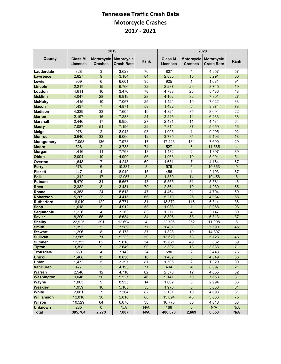|                                |                                   |                                     | 2019                                   |                 |                            |                                     | 2020                                   |                 |
|--------------------------------|-----------------------------------|-------------------------------------|----------------------------------------|-----------------|----------------------------|-------------------------------------|----------------------------------------|-----------------|
| County                         | <b>Class M</b><br><b>Licenses</b> | <b>Motorcycle</b><br><b>Crashes</b> | <b>Motorcycle</b><br><b>Crash Rate</b> | Rank            | <b>Class M</b><br>Licenses | <b>Motorcycle</b><br><b>Crashes</b> | <b>Motorcycle</b><br><b>Crash Rate</b> | Rank            |
| Lauderdale                     | 828                               | 3                                   | 3.623                                  | 76              | 807                        | 4                                   | 4.957                                  | 57              |
| Lawrence                       | 2,827                             | 9                                   | 3.184                                  | 84              | 2,835                      | 15                                  | 5.291                                  | 50              |
| Lewis                          | 909                               | 6                                   | 6.601                                  | 35              | 925                        | 1                                   | 1.081                                  | 91              |
| Lincoln                        | 2,217                             | 15                                  | 6.766                                  | 32              | 2,287                      | 20                                  | 8.745                                  | 19              |
| Loudon                         | 4,611                             | 16                                  | 3.470                                  | 78              | 4,783                      | 26                                  | 5.436                                  | 48              |
| <b>McMinn</b>                  | 4,047                             | 28                                  | 6.919                                  | 28              | 4,102                      | 32                                  | 7.801                                  | $\overline{27}$ |
| <b>McNairy</b>                 | 1,415                             | 10                                  | 7.067                                  | 25              | 1,424                      | 10                                  | 7.022                                  | 33              |
| <b>Macon</b>                   | 1,437                             | $\overline{7}$                      | 4.871                                  | 59              | 1,482                      | $5\phantom{.0}$                     | 3.374                                  | 78              |
| <b>Madison</b>                 | 4,339                             | 33                                  | 7.605                                  | 19              | 4,324                      | $\overline{35}$                     | 8.094                                  | 22              |
| <b>Marion</b>                  | 2,197                             | 16                                  | 7.283                                  | 21              | 2,246                      | 14                                  | 6.233                                  | 38              |
| <b>Marshall</b>                | 2,446                             | 17                                  | 6.950                                  | 27              | 2,481                      | 11                                  | 4.434                                  | 64              |
| <b>Maury</b>                   | 7,087                             | 51                                  | 7.196                                  | 22              | 7,314                      | 37                                  | 5.059                                  | 56              |
| <b>Meigs</b>                   | 978                               | $\overline{c}$                      | 2.045                                  | 93              | 1,005                      | 1                                   | 0.995                                  | 92              |
| <b>Monroe</b>                  | 3,640                             | 33                                  | 9.066                                  | 12              | 3,735                      | 34                                  | 9.103                                  | 18              |
| <b>Montgomery</b>              | 17,058                            | 136                                 | 7.973                                  | 17              | 17,426                     | 134                                 | 7.690                                  | 29              |
| <b>Moore</b>                   | 528                               | $\overline{2}$                      | 3.788                                  | 74              | 527                        | $6\phantom{1}$                      | 11.385                                 | $\overline{4}$  |
| Morgan                         | 1,416                             | 11                                  | 7.768                                  | 18              | 1,432                      | $\overline{2}$                      | 1.397                                  | 89              |
| <b>Obion</b>                   | 2,004                             | 10                                  | 4.990                                  | 56              | 1,963                      | 10                                  | 5.094                                  | 54              |
| Overton                        | 1,648                             | $\overline{7}$                      | 4.248                                  | 69              | 1,681                      | $\overline{7}$                      | 4.164                                  | 67              |
| Perry                          | 578                               | 6                                   | 10.381                                 | $\bf 8$         | 579                        | $6\phantom{1}$                      | 10.363                                 | 9               |
| <b>Pickett</b>                 | 447                               | $\overline{\mathbf{4}}$             | 8.949                                  | 15              | 456                        | 1                                   | 2.193                                  | 87              |
| <b>Polk</b>                    | 1,312                             | 17                                  | 12.957                                 | 3               | 1,339                      | 14                                  | 10.456                                 | 8               |
| Putnam                         | 5,470                             | 31                                  | 5.667                                  | 43              | 5,555                      | 31                                  | 5.581                                  | 46              |
| <b>Rhea</b>                    | 2,332                             | $\boldsymbol{8}$                    | 3.431                                  | 79              | 2,364                      | 10                                  | 4.230                                  | 65              |
| Roane                          | 4,353                             | 24                                  | 5.513                                  | 47              | 4,464                      | 21                                  | 4.704                                  | 60              |
| <b>Robertson</b>               | 5,209                             | 23                                  | 4.415                                  | 66              | 5,270                      | 26                                  | 4.934                                  | 58              |
| Rutherford                     | 18,019                            | 122                                 | 6.771                                  | 31              | 18,372                     | 116                                 | 6.314                                  | 36              |
| <b>Scott</b>                   | 1,018                             | 5                                   | 4.912                                  | 58              | 1,033                      | $\mathbf{1}$                        | 0.968                                  | 93              |
| Sequatchie                     | 1,226                             | $\overline{\mathbf{4}}$             | 3.263                                  | 83              | 1,271                      | $\overline{4}$                      | 3.147                                  | 80              |
| <b>Sevier</b>                  | 8,290                             | 55                                  | 6.634                                  | 34              | 8,396                      | 53                                  | 6.313                                  | 37              |
| <b>Shelby</b>                  | 22,925                            | 291                                 | 12.694                                 | $\overline{4}$  | 22,706                     | 252                                 | 11.098                                 | 6               |
| <b>Smith</b>                   | 1,393                             | 5                                   | 3.589                                  | $\overline{77}$ | 1,431                      | 8                                   | 5.590                                  | 45              |
| <b>Stewart</b>                 | 1,296                             | 8                                   | 6.173                                  | 37              | 1,328                      | 19                                  | 14.307                                 | 1               |
| <b>Sullivan</b>                | 13,569                            | $\overline{71}$                     | 5.233                                  | 50              | 13,629                     | 78                                  | 5.723                                  | 43              |
| <b>Sumner</b>                  | 12,355                            | 62                                  | 5.018                                  | 54              | 12,621                     | 49                                  | 3.882                                  | 69              |
| <b>Tipton</b>                  | 3,398                             | $\boldsymbol{9}$                    | 2.649                                  | 90              | 3,392                      | 13                                  | 3.833                                  | 71              |
| <b>Trousdale</b>               | 560                               | 4                                   | 7.143                                  | 24              | 580                        | 2                                   | 3.448                                  | 76              |
| <b>Unicoi</b>                  | 1,468                             | 13                                  | 8.856                                  | 16              | 1,482                      | 6                                   | 4.049                                  | 68              |
| Union                          | 1,472                             | $\overline{5}$                      | 3.397                                  | 81              | 1,505                      | $\overline{2}$                      | 1.329                                  | 90              |
| <b>VanBuren</b>                | 477                               | $\overline{2}$                      | 4.193                                  | 71              | 494                        | $\overline{\mathbf{4}}$             | 8.097                                  | 21              |
| Warren                         | 2,548                             | 12                                  | 4.710                                  | 62              | 2,578                      | 12                                  | 4.655                                  | 62              |
| Washington                     | 9,046                             | 50                                  | 5.527                                  | 46              | 9,141                      | 70                                  | 7.658                                  | 31              |
| Wayne                          | 1,005                             | 9                                   | 8.955                                  | $\overline{14}$ | 1,002                      | $\overline{3}$                      | 2.994                                  | 83              |
| <b>Weakley</b>                 | 1,959                             | 10                                  | 5.105                                  | 53              | 1,978                      | $6\phantom{a}$                      | 3.033                                  | 81              |
| <b>White</b>                   | 2,081                             | $\overline{7}$                      | 3.364                                  | 82              | 2,131                      | $10$                                | 4.693                                  | 61              |
| <b>Williamson</b>              | 12,810                            | 36                                  | 2.810                                  | 88              | 13,094                     | 48                                  | 3.666                                  | 75              |
| Wilson                         | 10,529                            | 64                                  | 6.078                                  | 38              | 10,776                     | 50                                  | 4.640                                  | 63              |
| <b>Unknown</b><br><b>Total</b> | 235                               | $\pmb{0}$                           | N/A                                    | N/A             | 168                        | $\mathbf{0}$                        | N/A                                    | N/A             |
|                                | 395,764                           | 2,773                               | 7.007                                  | N/A             | 400,878                    | 2,669                               | 6.658                                  | N/A             |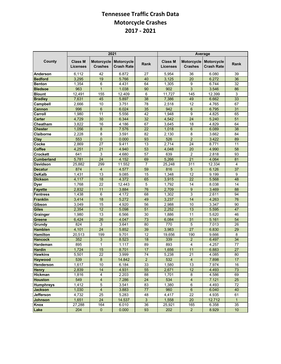|                   |                                   | 2021                                |                                 |                 |                            |                                     | Average                                |                |
|-------------------|-----------------------------------|-------------------------------------|---------------------------------|-----------------|----------------------------|-------------------------------------|----------------------------------------|----------------|
| County            | <b>Class M</b><br><b>Licenses</b> | <b>Motorcycle</b><br><b>Crashes</b> | Motorcycle<br><b>Crash Rate</b> | Rank            | <b>Class M</b><br>Licenses | <b>Motorcycle</b><br><b>Crashes</b> | <b>Motorcycle</b><br><b>Crash Rate</b> | Rank           |
| <b>Anderson</b>   | 6,112                             | 42                                  | 6.872                           | 27              | 5,954                      | 36                                  | 6.080                                  | 39             |
| <b>Bedford</b>    | 3,295                             | 19                                  | 5.766                           | 40              | 3,125                      | 20                                  | 6.272                                  | 36             |
| <b>Benton</b>     | 1,354                             | 6                                   | 4.431                           | 64              | 1,305                      | 9                                   | 6.744                                  | 32             |
| <b>Bledsoe</b>    | 963                               | $\overline{1}$                      | 1.038                           | 90              | 902                        | 3                                   | 3.546                                  | 86             |
| <b>Blount</b>     | 12,491                            | 155                                 | 12.409                          | 6               | 11,727                     | 145                                 | 12.399                                 | $\mathfrak{S}$ |
| <b>Bradley</b>    | 7,631                             | 45                                  | 5.897                           | 38              | 7,386                      | 49                                  | 6.662                                  | 33             |
| Campbell          | 2,666                             | 10                                  | 3.751                           | 78              | 2,518                      | 12                                  | 4.765                                  | 67             |
| Cannon            | 996                               | $6\phantom{1}$                      | 6.024                           | 35              | 942                        | $6\phantom{1}$                      | 6.795                                  | 31             |
| Carroll           | 1,980                             | 11                                  | 5.556                           | 42              | 1,948                      | 9                                   | 4.825                                  | 65             |
| Carter            | 4,729                             | 30                                  | 6.344                           | 32              | 4,542                      | 24                                  | 5.240                                  | 51             |
| Cheatham          | 3,822                             | 16                                  | 4.186                           | 67              | 3,645                      | 18                                  | 4.829                                  | 64             |
| <b>Chester</b>    | 1,056                             | 8                                   | 7.576                           | 22              | 1,018                      | $6\phantom{1}$                      | 6.089                                  | 38             |
| Claiborne         | 2,228                             | 8                                   | 3.591                           | 82              | 2,130                      | 8                                   | 3.662                                  | 84             |
| Clay              | 553                               | $\pmb{0}$                           | 0.000                           | 93              | 526                        | $\overline{2}$                      | 3.422                                  | 89             |
| Cocke             | 2,869                             | 27                                  | 9.411                           | 13              | 2,714                      | 24                                  | 8.771                                  | 11             |
| <b>Coffee</b>     | 4,251                             | 21                                  | 4.940                           | 53              | 4,048                      | 20                                  | 4.990                                  | 58             |
| <b>Crockett</b>   | 641                               | 3                                   | 4.680                           | 57              | 639                        | $\overline{2}$                      | 2.818                                  | 93             |
| <b>Cumberland</b> | 5,781                             | 24                                  | 4.152                           | 69              | 5,266                      | 21                                  | 4.064                                  | 81             |
| <b>Davidson</b>   | 25,882                            | 299                                 | 11.552                          | $\overline{7}$  | 25,248                     | 311                                 | 12.334                                 | 4              |
| <b>Decatur</b>    | 874                               | $\overline{4}$                      | 4.577                           | 59              | 816                        | $\overline{5}$                      | 6.126                                  | 37             |
| <b>DeKalb</b>     | 1,431                             | 13                                  | 9.085                           | 15              | 1,348                      | $\overline{12}$                     | 9.199                                  | 9              |
| <b>Dickson</b>    | 4,117                             | 18                                  | 4.372                           | 65              | 3,915                      | 22                                  | 5.568                                  | 48             |
| <b>Dyer</b>       | 1,768                             | 22                                  | 12.443                          | 5               | 1,792                      | 14                                  | 8.038                                  | 14             |
| Fayette           | 2,832                             | 11                                  | 3.884                           | 76              | 2,709                      | 9                                   | 3.469                                  | 88             |
| <b>Fentress</b>   | 1,438                             | 6                                   | 4.172                           | 68              | 1,302                      | $\mathsf 3$                         | 2.611                                  | 94             |
| <b>Franklin</b>   | 3,414                             | 18                                  | 5.272                           | 49              | 3,237                      | 14                                  | 4.263                                  | 76             |
| <b>Gibson</b>     | 3,049                             | 15                                  | 4.920                           | 56              | 2,988                      | 10                                  | 3.347                                  | 90             |
| <b>Giles</b>      | 2,354                             | 12                                  | 5.098                           | 51              | 2,252                      | 13                                  | 5.595                                  | 47             |
| Grainger          | 1,980                             | 13                                  | 6.566                           | 30              | 1,886                      | 11                                  | 5.620                                  | 46             |
| <b>Greene</b>     | 6,424                             | 26                                  | 4.047                           | 73              | 6,084                      | 31                                  | 5.161                                  | 54             |
| Grundy            | 824                               | 3                                   | 3.641                           | 80              | 770                        | 5                                   | 7.013                                  | 26             |
| <b>Hamblen</b>    | 4,101                             | 24                                  | 5.852                           | 39              | 3,983                      | $\overline{27}$                     | 6.830                                  | 29             |
| Hamilton          | 20,513                            | 199                                 | 9.701                           | 12              | 19,656                     | 190                                 | 9.666                                  | 8              |
| <b>Hancock</b>    | 352                               | 3                                   | 8.523                           | 18              | 339                        | $\overline{2}$                      | 6.497                                  | 34             |
| Hardeman          | 895                               | 1                                   | 1.117                           | 89              | 893                        | 4                                   | 4.257                                  | 77             |
| <b>Hardin</b>     | 1,724                             | 15                                  | 8.701                           | 17              | 1,656                      | 11                                  | 6.883                                  | 27             |
| <b>Hawkins</b>    | 5,501                             | 22                                  | 3.999                           | 74              | 5,238                      | 21                                  | 4.085                                  | 80             |
| <b>Haywood</b>    | 539                               | $\bf 8$                             | 14.842                          | $\overline{2}$  | 532                        | $\overline{4}$                      | 7.898                                  | 17             |
| <b>Henderson</b>  | 1,617                             | 10                                  | 6.184                           | 33              | 1,580                      | 13                                  | 7.974                                  | 16             |
| <b>Henry</b>      | 2,839                             | 14                                  | 4.931                           | 55              | 2,671                      | 12                                  | 4.493                                  | 73             |
| Hickman           | 1,816                             | 4                                   | 2.203                           | 88              | 1,701                      | 8                                   | 4.586                                  | 69             |
| <b>Houston</b>    | 549                               | 4                                   | 7.286                           | 24              | 534                        | $\overline{4}$                      | 7.121                                  | 25             |
| <b>Humphreys</b>  | 1,412                             | 5                                   | 3.541                           | 83              | 1,380                      | 6                                   | 4.493                                  | 72             |
| <b>Jackson</b>    | 1,030                             | $\overline{\mathbf{4}}$             | 3.883                           | $\overline{77}$ | 960                        | $6\overline{6}$                     | 6.040                                  | 40             |
| <b>Jefferson</b>  | 4,732                             | 25                                  | 5.283                           | 48              | 4,417                      | 22                                  | 4.935                                  | 61             |
| <b>Johnson</b>    | 1,651                             | 24                                  | 14.537                          | $\mathbf{3}$    | 1,558                      | 20                                  | 12.712                                 | $\mathbf{1}$   |
| Knox              | 27,288                            | 164                                 | 6.010                           | 36              | 25,921                     | 165                                 | 6.358                                  | 35             |
| Lake              | 204                               | $\mathbf{0}$                        | 0.000                           | 93              | 202                        | 2 <sup>1</sup>                      | 8.929                                  | 10             |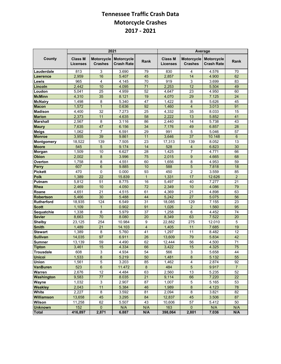|                   | 2021<br>Average            |                              |                                 |                 |                            |                                     |                                        |                 |
|-------------------|----------------------------|------------------------------|---------------------------------|-----------------|----------------------------|-------------------------------------|----------------------------------------|-----------------|
| County            | <b>Class M</b><br>Licenses | Motorcycle<br><b>Crashes</b> | Motorcycle<br><b>Crash Rate</b> | Rank            | <b>Class M</b><br>Licenses | <b>Motorcycle</b><br><b>Crashes</b> | <b>Motorcycle</b><br><b>Crash Rate</b> | Rank            |
| Lauderdale        | 813                        | 3                            | 3.690                           | 79              | 830                        | 4                                   | 4.576                                  | 70              |
| Lawrence          | 2,959                      | 16                           | 5.407                           | 45              | 2,857                      | 14                                  | 4.900                                  | 62              |
| Lewis             | 965                        | $\overline{4}$               | 4.145                           | 70              | 919                        | 3                                   | 3.699                                  | 83              |
| Lincoln           | 2,442                      | 10                           | 4.095                           | 71              | 2,253                      | $\overline{12}$                     | 5.504                                  | 49              |
| Loudon            | 5,041                      | 25                           | 4.959                           | 52              | 4,647                      | 23                                  | 4.950                                  | 60              |
| <b>McMinn</b>     | 4,310                      | 35                           | 8.121                           | 19              | 4,070                      | 29                                  | 7.125                                  | 24              |
| <b>McNairy</b>    | 1,498                      | 8                            | 5.340                           | 47              | 1,422                      | 8                                   | 5.626                                  | 45              |
| <b>Macon</b>      | 1,572                      | $\mathbf{1}$                 | 0.636                           | 92              | 1,460                      | $\overline{4}$                      | 3.013                                  | 91              |
| <b>Madison</b>    | 4,400                      | 32                           | 7.273                           | 25              | 4,332                      | 35                                  | 8.033                                  | 15              |
| <b>Marion</b>     | 2,373                      | 11                           | 4.635                           | 58              | 2,222                      | 13                                  | 5.852                                  | 41              |
| <b>Marshall</b>   | 2,567                      | 8                            | 3.116                           | 86              | 2,440                      | 14                                  | 5.738                                  | 43              |
| <b>Maury</b>      | 7,635                      | 47                           | 6.156                           | 34              | 7,176                      | 49                                  | 6.857                                  | 28              |
| <b>Meigs</b>      | 1,062                      | $\overline{7}$               | 6.591                           | 29              | 991                        | 5                                   | 5.046                                  | 57              |
| <b>Monroe</b>     | 3,955                      | 39                           | 9.861                           | 11              | 3,646                      | $\overline{37}$                     | 10.148                                 | $6\phantom{1}$  |
| <b>Montgomery</b> | 18,522                     | 139                          | 7.505                           | 23              | 17,313                     | 139                                 | 8.052                                  | 13              |
| <b>Moore</b>      | $\overline{545}$           | 5                            | 9.174                           | 14              | 528                        | $\overline{4}$                      | 6.823                                  | 30              |
| Morgan            | 1,509                      | 10                           | 6.627                           | 28              | 1,425                      | $\overline{7}$                      | 4.771                                  | 66              |
| <b>Obion</b>      | 2,002                      | $\bf 8$                      | 3.996                           | 75              | 2,015                      | 9                                   | 4.665                                  | 68              |
| Overton           | 1,758                      | 8                            | 4.551                           | 60              | 1,656                      | 8                                   | 4.953                                  | 59              |
| Perry             | 607                        | 6                            | 9.885                           | 10              | 588                        | $\overline{5}$                      | 7.818                                  | 18              |
| <b>Pickett</b>    | 470                        | 0                            | 0.000                           | 93              | 450                        | $\overline{2}$                      | 3.559                                  | 85              |
| <b>Polk</b>       | 1,389                      | $\overline{22}$              | 15.839                          | $\overline{1}$  | 1,331                      | 17                                  | 12.626                                 | $\overline{2}$  |
| Putnam            | 5,812                      | 51                           | 8.775                           | 16              | 5,497                      | 40                                  | 7.277                                  | $\overline{21}$ |
| <b>Rhea</b>       | 2,469                      | 10                           | 4.050                           | 72              | 2,349                      | 10                                  | 4.086                                  | 79              |
| Roane             | 4,651                      | $\overline{21}$              | 4.515                           | 61              | 4,369                      | 21                                  | 4.898                                  | 63              |
| <b>Robertson</b>  | 5,466                      | 30                           | 5.488                           | 44              | 5,242                      | $\overline{27}$                     | 5.075                                  | 56              |
| <b>Rutherford</b> | 18,935                     | 124                          | 6.549                           | 31              | 18,085                     | 129                                 | 7.155                                  | $\overline{23}$ |
| <b>Scott</b>      | 1,109                      | $\mathbf{1}$                 | 0.902                           | 91              | 1,026                      | $\overline{2}$                      | 1.560                                  | 95              |
| Sequatchie        | 1,338                      | 8                            | 5.979                           | 37              | 1,258                      | 6                                   | 4.452                                  | 74              |
| <b>Sevier</b>     | 8,663                      | 70                           | 8.080                           | 20              | 8,349                      | 63                                  | 7.522                                  | 20              |
| <b>Shelby</b>     | 23,125                     | 254                          | 10.984                          | 9               | 22,882                     | 275                                 | 12.010                                 | 5               |
| <b>Smith</b>      | 1,489                      | 21                           | 14.103                          | $\overline{4}$  | 1,405                      | 11                                  | 7.685                                  | 19              |
| <b>Stewart</b>    | 1,389                      | 8                            | 5.760                           | 41              | 1,297                      | 11                                  | 8.482                                  | 12              |
| <b>Sullivan</b>   | 14,035                     | 97                           | 6.911                           | $\overline{26}$ | 13,609                     | 79                                  | 5.834                                  | 42              |
| <b>Sumner</b>     | 13,139                     | 59                           | 4.490                           | 62              | 12,444                     | 56                                  | 4.500                                  | 71              |
| <b>Tipton</b>     | 3,461                      | 15                           | 4.334                           | 66              | 3,422                      | 15                                  | 4.325                                  | 75              |
| <b>Trousdale</b>  | 608                        | 3                            | 4.934                           | 54              | 566                        | 3                                   | 5.658                                  | 44              |
| <b>Unicoi</b>     | 1,533                      | $\bf 8$                      | 5.219                           | 50              | 1,481                      | $\bf 8$                             | 5.132                                  | 55              |
| Union             | 1,561                      | 5                            | 3.203                           | 85              | 1,462                      | $\overline{4}$                      | 2.874                                  | 92              |
| <b>VanBuren</b>   | 523                        | $\,$ 6 $\,$                  | 11.472                          | $8\phantom{1}$  | 484                        | $\overline{5}$                      | 9.917                                  | $\overline{7}$  |
| Warren            | 2,676                      | $\overline{12}$              | 4.484                           | 63              | 2,560                      | 13                                  | 5.235                                  | 52              |
| Washington        | 9,583                      | 77                           | 8.035                           | 21              | 9,114                      | 66                                  | 7.220                                  | 22              |
| Wayne             | 1,032                      | $\ensuremath{\mathsf{3}}$    | 2.907                           | 87              | 1,007                      | $\sqrt{5}$                          | 5.165                                  | 53              |
| <b>Weakley</b>    | 2,043                      | 11                           | 5.384                           | 46              | 1,989                      | $\bf{8}$                            | 4.123                                  | 78              |
| <b>White</b>      | 2,227                      | $\,8\,$                      | 3.592                           | 81              | 2,094                      | 8                                   | 3.821                                  | 82              |
| <b>Williamson</b> | 13,658                     | 45                           | 3.295                           | 84              | 12,837                     | 45                                  | 3.506                                  | 87              |
| Wilson            | 11,258                     | 62                           | 5.507                           | 43              | 10,606                     | 57                                  | 5.412                                  | 50              |
| <b>Unknown</b>    | 152                        | $\mathbf 0$                  | N/A                             | N/A             | 163                        | $\pmb{0}$                           | N/A                                    | N/A             |
| <b>Total</b>      | 416,897                    | 2,871                        | 6.887                           | N/A             | 398,064                    | 2,801                               | 7.036                                  | N/A             |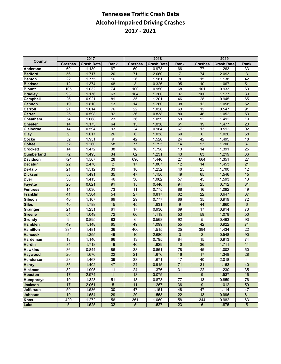<span id="page-27-0"></span>

|                   |                  | 2017              |                 |                 | 2018              |                 |                  | 2019              |                 |
|-------------------|------------------|-------------------|-----------------|-----------------|-------------------|-----------------|------------------|-------------------|-----------------|
| County            | <b>Crashes</b>   | <b>Crash Rate</b> | Rank            | <b>Crashes</b>  | <b>Crash Rate</b> | Rank            | <b>Crashes</b>   | <b>Crash Rate</b> | Rank            |
| Anderson          | 69               | 1.139             | 67              | 60              | 0.978             | 66              | 77               | 1.263             | 33              |
| <b>Bedford</b>    | 56               | 1.717             | 20              | 71              | 2.060             | $\overline{7}$  | 74               | 2.093             | 3               |
| <b>Benton</b>     | 22               | 1.775             | 16              | 26              | 1.981             | 8               | $\overline{15}$  | 1.138             | 42              |
| <b>Bledsoe</b>    | 12               | 1.374             | 48              | 3               | 0.326             | 95              | 10               | 1.067             | 51              |
| <b>Blount</b>     | 105              | 1.032             | $\overline{74}$ | 100             | 0.950             | 68              | 101              | 0.933             | 69              |
| <b>Bradley</b>    | 93               | 1.176             | 63              | 104             | 1.260             | 37              | 100              | 1.177             | 39              |
| Campbell          | 26               | 0.921             | 81              | 35              | 1.201             | $\overline{46}$ | 28               | 0.945             | 65              |
| <b>Cannon</b>     | 19               | 1.810             | 13              | 14              | 1.260             | 38              | 12               | 1.058             | 52              |
| Carroll           | 21               | 1.014             | 76              | 22              | 1.020             | 63              | 12               | 0.547             | 91              |
| <b>Carter</b>     | 25               | 0.598             | 92              | 36              | 0.838             | 80              | 46               | 1.052             | 53              |
| Cheatham          | 54               | 1.668             | 23              | 36              | 1.059             | 59              | 52               | 1.492             | 19              |
| <b>Chester</b>    | $\overline{14}$  | 1.173             | 64              | 13              | 1.036             | 61              | 19               | 1.477             | 20              |
| <b>Claiborne</b>  | 14               | 0.594             | 93              | 24              | 0.964             | 67              | 13               | 0.512             | 92              |
| Clay              | $\boldsymbol{9}$ | 1.617             | 26              | $\,6\,$         | 1.038             | 60              | $\,6$            | 1.026             | 58              |
| Cocke             | 52               | 1.951             | 9               | 42              | 1.520             | 24              | 42               | 1.495             | 18              |
| <b>Coffee</b>     | 52               | 1.260             | 58              | 77              | 1.795             | 14              | 53               | 1.206             | 37              |
| <b>Crockett</b>   | $\overline{14}$  | 1.472             | 38              | 18              | 1.798             | 13              | 14               | 1.391             | $\overline{25}$ |
| <b>Cumberland</b> | $\overline{72}$  | 1.493             | 34              | 62              | 1.231             | 43              | 63               | 1.219             | 36              |
| <b>Davidson</b>   | 724              | 1.567             | 28              | 690             | 1.440             | $\overline{27}$ | 664              | 1.351             | $\overline{27}$ |
| <b>Decatur</b>    | 22               | 2.476             | $\overline{2}$  | 17              | 1.807             | 12              | 14               | 1.453             | 21              |
| <b>DeKalb</b>     | $\overline{21}$  | 1.512             | 33              | $\overline{18}$ | 1.252             | 40              | $\overline{25}$  | 1.700             | 12              |
| <b>Dickson</b>    | 58               | 1.491             | 35              | 47              | 1.150             | 49              | 65               | 1.546             | 15              |
| <b>Dyer</b>       | 38               | 1.413             | 46              | 30              | 1.082             | 57              | 45               | 1.593             | 13              |
| <b>Fayette</b>    | 20               | 0.621             | 91              | 15              | 0.440             | 94              | 25               | 0.712             | 81              |
| <b>Fentress</b>   | 14               | 1.036             | 73              | 11              | 0.775             | 88              | 16               | 1.092             | 49              |
| <b>Franklin</b>   | 41               | 1.304             | $\overline{54}$ | $\overline{27}$ | 0.817             | $\overline{82}$ | 22               | 0.647             | 87              |
| Gibson            | 40               | 1.107             | 69              | 29              | 0.777             | 86              | 35               | 0.919             | 72              |
| Giles             | 40               | 1.788             | 15              | 45              | 1.931             | $\overline{9}$  | 44               | 1.860             | $\,6\,$         |
| Grainger          | 21               | 1.231             | 61              | 17              | 0.936             | 69              | 17               | 0.914             | $\overline{73}$ |
| <b>Greene</b>     | 54               | 1.049             | $\overline{72}$ | 60              | 1.119             | 53              | $\overline{59}$  | 1.078             | $\overline{50}$ |
| Grundy            | 9                | 0.895             | 83              | 6               | 0.568             | 92              | 5                | 0.463             | 93              |
| <b>Hamblen</b>    | 49               | 1.148             | 65              | 49              | 1.099             | 55              | 42               | 0.922             | 71              |
| <b>Hamilton</b>   | 384              | 1.481             | 36              | 406             | 1.515             | 25              | 394              | 1.434             | 22              |
| <b>Hancock</b>    | 5                | 1.355             | 49              | 10              | 2.680             | $\mathfrak{S}$  | $\overline{2}$   | 0.548             | 90              |
| Hardeman          | 18               | 1.146             | 66              | $\overline{13}$ | 0.795             | 84              | 15               | 0.913             | 74              |
| <b>Hardin</b>     | 34               | 1.718             | 19              | 40              | 1.929             | 10              | 36               | 1.711             | 11              |
| <b>Hawkins</b>    | 36               | 0.844             | 86              | $\overline{38}$ | 0.861             | $\overline{78}$ | 45               | 1.002             | 60              |
| <b>Haywood</b>    | 20               | 1.670             | 22              | 21              | 1.676             | 16              | 17               | 1.348             | 28              |
| <b>Henderson</b>  | $\overline{28}$  | 1.463             | 39              | 33              | 1.671             | 17              | 40               | 2.018             | $\overline{4}$  |
| <b>Henry</b>      | 35               | 1.402             | 47              | 24              | 0.915             | $71$            | 31               | 1.163             | 40              |
| <b>Hickman</b>    | 32               | 1.905             | 11              | 24              | 1.376             | 31              | 22               | 1.230             | 35              |
| <b>Houston</b>    | 17               | 2.974             | $\mathbf{1}$    | 18              | 3.075             | $\mathbf{1}$    | $\overline{9}$   | 1.537             | 16              |
| <b>Humphreys</b>  | 19               | 1.323             | 51              | 13              | 0.873             | 77              | 13               | 0.859             | 76              |
| <b>Jackson</b>    | 17               | 2.061             | 5               | 11              | 1.267             | 36              | $\boldsymbol{9}$ | 1.012             | 59              |
| Jefferson         | 59               | 1.536             | 30              | 47              | 1.151             | 48              | 47               | 1.114             | 47              |
| <b>Johnson</b>    | 19               | 1.554             | 29              | $\overline{20}$ | 1.558             | 22              | 13               | 0.996             | 61              |
| Knox              | 420              | 1.272             | 56              | 361             | 1.060             | 58              | 344              | 0.982             | 63              |
| Lake              | $5\phantom{.0}$  | 1.525             | 32              | 5 <sup>5</sup>  | 1.527             | 23              | $6\phantom{.}$   | 1.875             | 5 <sup>5</sup>  |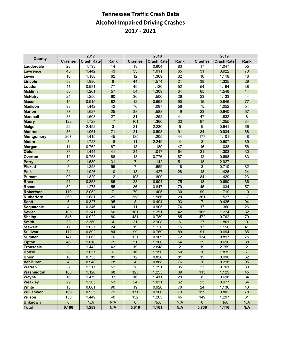| County            |                         | 2017              |                 |                     | 2018              |                 | 2019                  |                   |                         |  |
|-------------------|-------------------------|-------------------|-----------------|---------------------|-------------------|-----------------|-----------------------|-------------------|-------------------------|--|
|                   | <b>Crashes</b>          | <b>Crash Rate</b> | Rank            | <b>Crashes</b>      | <b>Crash Rate</b> | Rank            | <b>Crashes</b>        | <b>Crash Rate</b> | Rank                    |  |
| Lauderdale        | 28                      | 1.793             | 14              | 13                  | 0.804             | 83              | 17                    | 1.047             | 55                      |  |
| <b>Lawrence</b>   | 45                      | 1.442             | 43              | 33                  | 1.011             | 65              | 31                    | 0.922             | $\overline{70}$         |  |
| Lewis             | 10                      | 1.188             | 62              | 12                  | 1.369             | 32              | 10                    | 1.118             | 46                      |  |
| Lincoln           | 53                      | 1.986             | 8               | 44                  | 1.574             | 21              | 38                    | 1.325             | 29                      |  |
| Loudon            | 41                      | 0.981             | 77              | 49                  | 1.120             | 52              | 54                    | 1.194             | 38                      |  |
| <b>McMinn</b>     | 50                      | 1.261             | $\overline{57}$ | 54                  | 1.309             | 34              | 65                    | 1.548             | 14                      |  |
| <b>McNairy</b>    | $\overline{24}$         | 1.250             | 60              | $\overline{30}$     | 1.500             | $\overline{26}$ | $\overline{23}$       | 1.133             | 44                      |  |
| <b>Macon</b>      | 15                      | 0.915             | 82              | 12                  | 0.693             | 90              | 15                    | 0.846             | 77                      |  |
| <b>Madison</b>    | $\overline{98}$         | 1.442             | 42              | $\overline{76}$     | 1.087             | 56              | $\overline{75}$       | 1.052             | 54                      |  |
| <b>Marion</b>     | $\overline{37}$         | 1.627             | $\overline{25}$ | 38                  | 1.588             | 19              | $\overline{23}$       | 0.940             | 67                      |  |
| <b>Marshall</b>   | $\overline{38}$         | 1.603             | $\overline{27}$ | 31                  | 1.252             | 41              | $\overline{47}$       | 1.832             | 8                       |  |
| <b>Maury</b>      | 122                     | 1.728             | 17              | 101                 | 1.360             | 33              | 97                    | 1.255             | 34                      |  |
| <b>Meigs</b>      | 22                      | 2.452             | 3               | 21                  | 2.230             | 5               | 9                     | 0.941             | 66                      |  |
| <b>Monroe</b>     | 36                      | 1.061             | 71              | 21                  | 0.593             | 91              | 34                    | 0.934             | 68                      |  |
| <b>Montgomery</b> | 207                     | 1.415             | 45              | 185                 | 1.205             | 44              | 177                   | 1.101             | 48                      |  |
| <b>Moore</b>      | $\bf 8$                 | 1.723             | $\overline{18}$ | 11                  | 2.249             | $\overline{4}$  | $\mathbf{3}$          | 0.607             | 89                      |  |
| Morgan            | $\overline{11}$         | 0.762             | 87              | $\overline{18}$     | 1.189             | 47              | 16                    | 1.038             | 56                      |  |
| <b>Obion</b>      | 33                      | 1.444             | 41              | $\overline{24}$     | 1.017             | 64              | 31                    | 1.303             | 30                      |  |
| Overton           | 12                      | 0.758             | 88              | 13                  | 0.776             | 87              | 12                    | 0.698             | 83                      |  |
| Perry             | 9                       | 1.530             | 31              | $\overline{7}$      | 1.142             | 51              | 18                    | 2.927             | $\mathbf{1}$            |  |
| <b>Pickett</b>    | 5                       | 1.258             | 59              | $\overline{7}$      | 1.669             | 18              | 3                     | 0.710             | 82                      |  |
| Polk              | $\overline{24}$         | 1.926             | 10              | $\overline{18}$     | 1.427             | $\overline{28}$ | $\overline{18}$       | 1.426             | 24                      |  |
| Putnam            | 99                      | 1.820             | 12              | 103                 | 1.809             | 11              | 84                    | 1.429             | $\overline{23}$         |  |
| Rhea              | $\overline{21}$         | 0.858             | 85              | $\overline{23}$     | 0.904             | 75              | $\overline{18}$       | 0.690             | 86                      |  |
| Roane             | 52                      | 1.273             | 55              | $\overline{36}$     | 0.847             | 79              | 45                    | 1.034             | 57                      |  |
| <b>Robertson</b>  | 110                     | 2.052             | $\overline{7}$  | 79                  | 1.405             | 30              | 99                    | 1.719             | 10                      |  |
| <b>Rutherford</b> | 360                     | 1.681             | $\overline{21}$ | 358                 | 1.586             | $\overline{20}$ | 361                   | 1.527             | $\overline{17}$         |  |
| <b>Scott</b>      | 5                       | 0.327             | 95              | 8                   | 0.494             | 93              | $\overline{7}$        | 0.425             | 94                      |  |
| Sequatchie        | $\overline{\mathbf{4}}$ | 0.346             | 94              | 11                  | 0.905             | 74              | 17                    | 1.360             | 26                      |  |
| <b>Sevier</b>     | 105                     | 1.341             | 50              | 101                 | 1.251             | 42              | 105                   | 1.274             | 32                      |  |
| <b>Shelby</b>     | 546                     | 0.922             | 80              | 481                 | 0.789             | 85              | 472                   | 0.762             | 79                      |  |
| <b>Smith</b>      | 33                      | 2.360             | $\overline{4}$  | 31                  | 2.108             | $\,6\,$         | $\overline{27}$       | 1.801             | $\boldsymbol{9}$        |  |
| <b>Stewart</b>    | 17                      | 1.627             | 24              | $\overline{19}$     | 1.720             | 15              | 13                    | 1.156             | 41                      |  |
| <b>Sullivan</b>   | 112                     | 0.892             | 84              | 99                  | 0.769             | 89              | 91                    | 0.694             | 85                      |  |
| <b>Sumner</b>     | 147                     | 1.063             | 70              | 131                 | 0.909             | 72              | 134                   | 0.897             | 75                      |  |
| <b>Tipton</b>     | 46                      | 1.018             | $\overline{75}$ | $\overline{51}$     | 1.100             | 54              | 29                    | 0.616             | 88                      |  |
| <b>Trousdale</b>  | 9                       | 1.442             | 43              | 19                  | 2.848             | $\overline{2}$  | 19                    | 2.759             | $\overline{\mathbf{c}}$ |  |
| <b>Unicoi</b>     | $\overline{28}$         | 2.057             | $\,6$           | 16                  | 1.150             | 50              | 26                    | 1.839             | $\overline{7}$          |  |
| <b>Union</b>      | 10                      | 0.735             | 89              | $\overline{12}$     | 0.820             | 81              | 15                    | 0.990             | 62                      |  |
| <b>VanBuren</b>   | $\overline{4}$          | 0.948             | 78              | $\overline{4}$      | 0.888             | 76              | $\mathbf{1}$          | 0.218             | 95                      |  |
| Warren            | $\overline{37}$         | 1.317             | 52              | $\overline{38}$     | 1.291             | 35              | $\overline{23}$       | 0.761             | 80                      |  |
| Washington        | 108                     | 1.120             | 68              | 125                 | 1.255             | 39              | 115                   | 1.129             | 45                      |  |
| Wayne             | 16                      | 1.479             | 37              | 16                  | 1.411             | 29              | 8                     | 0.698             | 84                      |  |
| <b>Weakley</b>    | 29                      | 1.305             | 53              | 24                  | 1.031             | 62              | 23                    | 0.977             | 64                      |  |
| White             | 13                      | 0.661             | 90              | 19                  | 0.920             | $70\,$          | 24                    | 1.136             | 43                      |  |
| <b>Williamson</b> | 169                     | 0.935             | 79              | 171                 | 0.906             | 73              | 159                   | 0.802             | 78                      |  |
| Wilson            | 150                     | 1.449             | 40              |                     |                   | 45              |                       |                   |                         |  |
|                   | 0                       |                   |                 | 132<br>$\mathbf{0}$ | 1.203             |                 | 149<br>$\overline{0}$ | 1.297             | 31                      |  |
| <b>Unknown</b>    |                         | N/A               | N/A             |                     | N/A               | N/A             |                       | N/A               | N/A                     |  |
| <b>Total</b>      | 6,186                   | 1.289             | N/A             | 5,819               | 1.161             | N/A             | 5,738                 | 1.116             | N/A                     |  |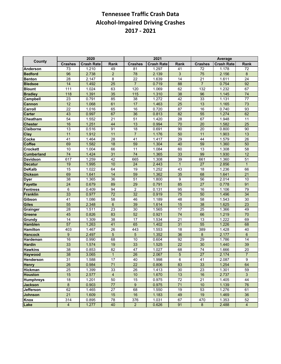|                   |                         | 2020              |                         |                 | 2021              |                 |                 | Average           |                  |
|-------------------|-------------------------|-------------------|-------------------------|-----------------|-------------------|-----------------|-----------------|-------------------|------------------|
| County            | <b>Crashes</b>          | <b>Crash Rate</b> | Rank                    | <b>Crashes</b>  | <b>Crash Rate</b> | Rank            | <b>Crashes</b>  | <b>Crash Rate</b> | Rank             |
| Anderson          | 73                      | 1.210             | 49                      | 81              | 1.297             | 41              | 72              | 1.178             | 72               |
| <b>Bedford</b>    | 96                      | 2.738             | $\overline{2}$          | 78              | 2.139             | 3               | 75              | 2.156             | 8                |
| <b>Benton</b>     | 28                      | 2.147             | 8                       | 22              | 1.639             | 14              | 21              | 1.611             | 24               |
| <b>Bledsoe</b>    | 14                      | 1.492             | 25                      | $\overline{7}$  | 0.719             | 88              | $\overline{7}$  | 0.754             | 92               |
| <b>Blount</b>     | 111                     | 1.024             | 63                      | 120             | 1.069             | 62              | 132             | 1.232             | 67               |
| <b>Bradley</b>    | 118                     | 1.391             | 35                      | 115             | 1.310             | 38              | 96              | 1.145             | 74               |
| Campbell          | 23                      | 0.791             | 85                      | 38              | 1.272             | 42              | 33              | 1.131             | $\overline{77}$  |
| <b>Cannon</b>     | 12                      | 1.068             | 61                      | 17              | 1.463             | $\overline{25}$ | 13              | 1.165             | 73               |
| Carroll           | 22                      | 1.016             | 65                      | 16              | 0.720             | 87              | 16              | 0.740             | 93               |
| <b>Carter</b>     | 43                      | 0.997             | 67                      | 36              | 0.813             | 82              | $\overline{55}$ | 1.274             | 62               |
| Cheatham          | 54                      | 1.552             | 21                      | 51              | 1.420             | 28              | 67              | 1.948             | 11               |
| <b>Chester</b>    | 16                      | 1.251             | 44                      | 13              | 0.994             | 70              | $\overline{20}$ | 1.582             | $\overline{25}$  |
| <b>Claiborne</b>  | 13                      | 0.516             | 91                      | 18              | 0.691             | 90              | 20              | 0.800             | 90               |
| Clay              | 11                      | 1.912             | 11                      | $\overline{7}$  | 1.176             | 50              | 11              | 1.903             | 13               |
| Cocke             | 41                      | 1.464             | 28                      | 41              | 1.417             | 29              | 44              | 1.579             | 26               |
| <b>Coffee</b>     | 69                      | 1.582             | 18                      | 59              | 1.304             | 40              | 59              | 1.360             | 50               |
| <b>Crockett</b>   | 10                      | 1.004             | 66                      | $\overline{11}$ | 1.084             | 60              | 13              | 1.308             | $\overline{58}$  |
| <b>Cumberland</b> | $\overline{74}$         | 1.424             | 31                      | 74              | 1.365             | 33              | 99              | 1.930             | 12               |
| <b>Davidson</b>   | 617                     | 1.259             | $\overline{42}$         | 665             | 1.308             | 39              | 661             | 1.360             | 51               |
| <b>Decatur</b>    | 19                      | 1.995             | 10                      | 24              | 2.443             | $\mathbf{1}$    | 27              | 2.856             | $\mathbf{1}$     |
| <b>DeKalb</b>     | $\overline{15}$         | 1.022             | 64                      | $\overline{19}$ | 1.252             | 43              | 18              | 1.236             | 66               |
| <b>Dickson</b>    | 69                      | 1.641             | 14                      | 59              | 1.362             | 35              | 68              | 1.641             | 21               |
| <b>Dyer</b>       | 38                      | 1.365             | 36                      | 51              | 1.800             | 9               | 56              | 2.014             | 10               |
| <b>Fayette</b>    | 24                      | 0.679             | 89                      | 29              | 0.791             | 85              | 27              | 0.778             | 91               |
| <b>Fentress</b>   | 6                       | 0.409             | 94                      | $\overline{c}$  | 0.131             | 95              | 16              | 1.106             | 79               |
| <b>Franklin</b>   | 33                      | 0.977             | $\overline{72}$         | 32              | 0.919             | $\overline{75}$ | 50              | 1.496             | 34               |
| Gibson            | 41                      | 1.086             | 58                      | 46              | 1.189             | 48              | 58              | 1.543             | 30               |
| <b>Giles</b>      | 55                      | 2.348             | $\,$ 6 $\,$             | 39              | 1.614             | 15              | 38              | 1.625             | $\overline{23}$  |
| Grainger          | 28                      | 1.511             | 23                      | 30              | 1.565             | 17              | 25              | 1.366             | 49               |
| <b>Greene</b>     | 45                      | 0.826             | 83                      | 52              | 0.921             | 74              | 66              | 1.219             | 70               |
| Grundy            | 14                      | 1.309             | 38                      | 17              | 1.534             | 21              | 13              | 1.222             | 69               |
| <b>Hamblen</b>    | 57                      | 1.263             | 41                      | 65              | 1.402             | 31              | 55              | 1.226             | 68               |
| <b>Hamilton</b>   | 403                     | 1.467             | 26                      | 443             | 1.553             | 18              | 389             | 1.428             | 40               |
| <b>Hancock</b>    | 9                       | 2.497             | 5                       | 5               | 1.352             | 36              | 8               | 2.177             | $6\phantom{1}$   |
| Hardeman          | 16                      | 0.990             | 68                      | 10              | 0.604             | 92              | 29              | 1.786             | 14               |
| <b>Hardin</b>     | 33                      | 1.574             | 19                      | 33              | 1.525             | $\overline{22}$ | 30              | 1.440             | 39               |
| <b>Hawkins</b>    | 38                      | 0.853             | 82                      | $\overline{47}$ | 1.027             | 68              | $\overline{74}$ | 1.666             | 20               |
| <b>Haywood</b>    | 38                      | 3.065             | $\mathbf 1$             | 26              | 2.067             | $\sqrt{5}$      | 27              | 2.174             | 7                |
| <b>Henderson</b>  | $\overline{31}$         | 1.588             | 17                      | 40              | 1.998             | 6               | $\overline{41}$ | 2.087             | $\boldsymbol{9}$ |
| <b>Henry</b>      | 26                      | 0.984             | 71                      | 22              | 0.806             | 83              | 33              | 1.254             | 64               |
| <b>Hickman</b>    | 25                      | 1.399             | 33                      | 26              | 1.413             | 30              | 23              | 1.301             | 59               |
| <b>Houston</b>    | 15                      | 2.577             | $\overline{\mathbf{4}}$ | 10              | 1.670             | 13              | 16              | 2.737             | $\overline{3}$   |
| <b>Humphreys</b>  | 18                      | 1.201             | 50                      | 15              | 0.975             | $72\,$          | 21              | 1.405             | 44               |
| <b>Jackson</b>    | $\bf 8$                 | 0.903             | $\overline{77}$         | $9$             | 0.975             | $\overline{71}$ | 10              | 1.139             | 76               |
| Jefferson         | 62                      | 1.465             | 27                      | 68              | 1.550             | 19              | 53              | 1.276             | 61               |
| <b>Johnson</b>    | 21                      | 1.609             | 15                      | 16              | 1.183             | 49              | 19              | 1.469             | 36               |
| Knox              | 314                     | 0.895             | 78                      | 376             | 1.031             | 67              | 470             | 1.353             | 52               |
| Lake              | $\overline{\mathbf{4}}$ | 1.277             | 40                      | 2 <sup>1</sup>  | 0.626             | 91              | 8 <sup>°</sup>  | 2.488             | $\overline{4}$   |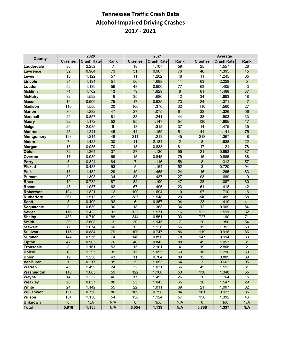|                   |                 | 2020              |                  |                 | 2021              |                 |                 | Average           |                 |
|-------------------|-----------------|-------------------|------------------|-----------------|-------------------|-----------------|-----------------|-------------------|-----------------|
| County            | <b>Crashes</b>  | <b>Crash Rate</b> | Rank             | <b>Crashes</b>  | <b>Crash Rate</b> | Rank            | <b>Crashes</b>  | <b>Crash Rate</b> | <b>Rank</b>     |
| Lauderdale        | 36              | 2.252             | 7                | 18              | 1.107             | 59              | 25              | 1.557             | 28              |
| Lawrence          | 32              | 0.964             | $\overline{73}$  | 31              | 0.907             | 76              | 46              | 1.395             | 45              |
| Lewis             | 10              | 1.122             | 57               | 11              | 1.202             | 46              | 11              | 1.245             | 65              |
| Lincoln           | 34              | 1.194             | 51               | 50              | 1.688             | 11              | 63              | 2.228             | 5               |
| Loudon            | 52              | 1.139             | 56               | 43              | 0.900             | 77              | 63              | 1.405             | 43              |
| <b>McMinn</b>     | $\overline{71}$ | 1.702             | 13               | 79              | 1.829             | $\bf 8$         | 61              | 1.468             | $\overline{37}$ |
| <b>McNairy</b>    | 32              | 1.592             | 16               | 35              | 1.680             | 12              | 34              | 1.693             | 18              |
| <b>Macon</b>      | 16              | 0.906             | 75               | 17              | 0.925             | $\overline{73}$ | $\overline{24}$ | 1.371             | 47              |
| <b>Madison</b>    | 110             | 1.556             | 20               | 100             | 1.376             | $\overline{32}$ | 110             | 1.560             | 27              |
| <b>Marion</b>     | 30              | 1.232             | 47               | $\overline{27}$ | 1.075             | 61              | 32              | 1.326             | 56              |
| <b>Marshall</b>   | 22              | 0.857             | 81               | 33              | 1.241             | 44              | 38              | 1.503             | 33              |
| <b>Maury</b>      | 92              | 1.172             | 52               | 95              | 1.147             | 54              | 130             | 1.695             | 17              |
| <b>Meigs</b>      | 20              | 2.085             | $\boldsymbol{9}$ | 13              | 1.312             | 37              | 14              | 1.475             | 35              |
| <b>Monroe</b>     | 45              | 1.241             | 45               | 44              | 1.169             | 51              | 41              | 1.141             | 75              |
| <b>Montgomery</b> | 198             | 1.214             | 48               | 211             | 1.213             | 45              | 218             | 1.367             | 48              |
| <b>Moore</b>      | $\overline{7}$  | 1.428             | 30               | 11              | 2.184             | $\overline{2}$  | $\bf 8$         | 1.638             | $\overline{22}$ |
| Morgan            | 15              | 0.985             | 70               | $\overline{13}$ | 0.833             | 81              | 17              | 1.121             | 78              |
| <b>Obion</b>      | 32              | 1.364             | 37               | $\overline{27}$ | 1.130             | $\overline{55}$ | 21              | 0.893             | 87              |
| Overton           | $\overline{17}$ | 0.989             | 69               | 15              | 0.845             | 79              | 15              | 0.885             | 88              |
| Perry             | 5               | 0.824             | 84               | $\overline{7}$  | 1.116             | 58              | 8               | 1.312             | 57              |
| <b>Pickett</b>    | $\overline{2}$  | 0.483             | 93               | 5               | 1.164             | 52              | 3               | 0.720             | 94              |
| <b>Polk</b>       | 18              | 1.432             | 29               | 19              | 1.465             | 24              | 16              | 1.265             | 63              |
| Putnam            | 82              | 1.398             | 34               | 88              | 1.437             | 27              | 98              | 1.689             | 19              |
| Rhea              | 19              | 0.732             | 87               | 32              | 1.190             | 47              | $\overline{28}$ | 1.087             | 80              |
| Roane             | 45              | 1.037             | 62               | 67              | 1.496             | 23              | 61              | 1.418             | 42              |
| <b>Robertson</b>  | 104             | 1.821             | 12               | 100             | 1.694             | 10              | 97              | 1.710             | 16              |
| <b>Rutherford</b> | 361             | 1.513             | 22               | 387             | 1.548             | 20              | 340             | 1.459             | 38              |
| <b>Scott</b>      | 8               | 0.490             | 92               | $6\phantom{1}$  | 0.357             | 94              | $\overline{23}$ | 1.419             | 41              |
| Sequatchie        | 8               | 0.639             | 90               | 18              | 1.363             | 34              | 12              | 0.969             | 84              |
| <b>Sevier</b>     | 116             | 1.423             | 32               | 132             | 1.571             | 16              | 123             | 1.511             | 32              |
| <b>Shelby</b>     | 433             | 0.710             | 88               | 344             | 0.551             | 93              | 727             | 1.190             | 71              |
| <b>Smith</b>      | 39              | 2.608             | 3                | 30              | 1.945             | $\overline{7}$  | 20              | 1.350             | 54              |
| <b>Stewart</b>    | $\overline{12}$ | 1.074             | 60               | 13              | 1.126             | 56              | $\overline{15}$ | 1.352             | 53              |
| <b>Sullivan</b>   | 115             | 0.884             | 79               | 100             | 0.747             | 86              | 119             | 0.916             | 86              |
| <b>Sumner</b>     | 144             | 0.956             | $\overline{74}$  | 140             | 0.890             | $\overline{78}$ | 147             | 0.994             | 83              |
| <b>Tipton</b>     | 42              | 0.905             | 76               | 40              | 0.842             | 80              | 49              | 1.053             | 81              |
| <b>Trousdale</b>  | 8               | 1.161             | 53               | 15              | 2.101             | $\overline{4}$  | 19              | 2.808             | $\overline{c}$  |
| <b>Unicoi</b>     | 18              | 1.295             | 39               | 15              | 1.055             | 63              | 18              | 1.290             | 60              |
| <b>Union</b>      | 19              | 1.258             | 43               | $\overline{11}$ | 0.704             | 89              | 12              | 0.809             | 89              |
| <b>VanBuren</b>   | $\mathbf{1}$    | 0.217             | 95               | 5               | 1.053             | 64              | 3               | 0.662             | 95              |
| Warren            | 45              | 1.499             | 24               | $\overline{32}$ | 1.031             | 66              | 45              | 1.512             | 31              |
| <b>Washington</b> | 110             | 1.085             | 59               | 122             | 1.160             | 53              | 136             | 1.348             | 55              |
| Wayne             | 14              | 1.232             | 46               | 17              | 1.452             | 26              | 20              | 1.764             | 15              |
| <b>Weakley</b>    | $\overline{20}$ | 0.857             | 80               | $\overline{25}$ | 1.043             | 65              | 36              | 1.547             | $\overline{29}$ |
| <b>White</b>      | 24              | 1.142             | 55               | 22              | 1.011             | 69              | 21              | 1.007             | 82              |
| <b>Williamson</b> | 151             | 0.750             | 86               | 169             | 0.798             | 84              | 181             | 0.923             | 85              |
| Wilson            | 134             | 1.150             | 54               | 138             | 1.124             | 57              | 158             | 1.392             | 46              |
| <b>Unknown</b>    | $\mathbf{0}$    | N/A               | N/A              | $\mathbf{0}$    | N/A               | N/A             | 0               | N/A               | N/A             |
| <b>Total</b>      | 5,918           | 1.155             | N/A              | 6,054           | 1.139             | N/A             | 6,788           | 1.337             | N/A             |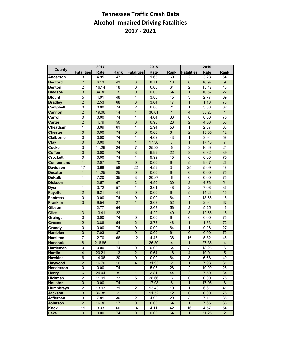<span id="page-31-0"></span>

|                   |                         | 2017   |                |                   | 2018  |                |                         | 2019  |                  |
|-------------------|-------------------------|--------|----------------|-------------------|-------|----------------|-------------------------|-------|------------------|
| County            | <b>Fatalities</b>       | Rate   | Rank           | <b>Fatalities</b> | Rate  | Rank           | <b>Fatalities</b>       | Rate  | Rank             |
| <b>Anderson</b>   | 3                       | 4.95   | 47             | 1                 | 1.63  | 60             | 2                       | 3.28  | 64               |
| <b>Bedford</b>    | $\overline{2}$          | 6.13   | 43             | 3                 | 8.71  | 18             | $6\phantom{1}$          | 16.97 | $\boldsymbol{9}$ |
| <b>Benton</b>     | $\overline{2}$          | 16.14  | 18             | 0                 | 0.00  | 64             | 2                       | 15.17 | 13               |
| <b>Bledsoe</b>    | 3                       | 34.36  | 3              | $\overline{0}$    | 0.00  | 64             | $\mathbf{1}$            | 10.67 | 22               |
| <b>Blount</b>     | 5                       | 4.91   | 48             | $\overline{4}$    | 3.80  | 45             | 3                       | 2.77  | 69               |
| <b>Bradley</b>    | $\overline{2}$          | 2.53   | 68             | 3                 | 3.64  | 47             | $\overline{1}$          | 1.18  | 73               |
| Campbell          | 0                       | 0.00   | 74             | $\overline{2}$    | 6.86  | 24             | 1                       | 3.38  | 62               |
| Cannon            | $\overline{2}$          | 19.06  | 14             | $\overline{4}$    | 36.01 | $\mathbf{1}$   | $\overline{4}$          | 35.28 | $\mathbf{1}$     |
| Carroll           | $\mathbf 0$             | 0.00   | 74             | 1                 | 4.64  | 33             | 0                       | 0.00  | 75               |
| <b>Carter</b>     | $\overline{2}$          | 4.79   | 50             | 3                 | 6.98  | 23             | $\overline{2}$          | 4.58  | 53               |
| Cheatham          | 1                       | 3.09   | 61             | 1                 | 2.94  | 53             | 1                       | 2.87  | 68               |
| <b>Chester</b>    | $\mathbf 0$             | 0.00   | 74             | $\overline{0}$    | 0.00  | 64             | $\overline{2}$          | 15.55 | 12               |
| Claiborne         | 0                       | 0.00   | 74             | 1                 | 4.02  | 43             | 1                       | 3.94  | 58               |
| Clay              | $\mathbf 0$             | 0.00   | 74             | $\mathbf{1}$      | 17.30 | 7              | $\mathbf{1}$            | 17.10 | $\overline{7}$   |
| Cocke             | 3                       | 11.26  | 24             | $\overline{7}$    | 25.33 | $\overline{5}$ | 3                       | 10.68 | 21               |
| <b>Coffee</b>     | $\mathbf 0$             | 0.00   | 74             | 3                 | 6.99  | 22             | 3                       | 6.82  | 39               |
| <b>Crockett</b>   | 0                       | 0.00   | 74             | 1                 | 9.99  | 15             | 0                       | 0.00  | 75               |
| <b>Cumberland</b> | 1                       | 2.07   | 70             | $\mathbf{0}$      | 0.00  | 64             | 5                       | 9.67  | 26               |
| <b>Davidson</b>   | 17                      | 3.68   | 58             | 22                | 4.59  | 34             | 25                      | 5.09  | 48               |
| <b>Decatur</b>    | $\overline{1}$          | 11.25  | 25             | $\overline{0}$    | 0.00  | 64             | $\overline{0}$          | 0.00  | 75               |
| <b>DeKalb</b>     | 1                       | 7.20   | 35             | 3                 | 20.87 | 6              | 0                       | 0.00  | 75               |
| <b>Dickson</b>    | $\mathbf{1}$            | 2.57   | 67             | $\overline{2}$    | 4.90  | 30             | $\overline{2}$          | 4.76  | 51               |
| <b>Dyer</b>       | 1                       | 3.72   | 57             | 1                 | 3.61  | 48             | $\overline{c}$          | 7.08  | 36               |
| Fayette           | $\overline{2}$          | 6.21   | 41             | $\mathbf 0$       | 0.00  | 64             | 5                       | 14.23 | 15               |
| <b>Fentress</b>   | 0                       | 0.00   | 74             | $\mathbf 0$       | 0.00  | 64             | 2                       | 13.65 | 16               |
| Franklin          | 3                       | 9.54   | 27             | $\overline{1}$    | 3.03  | 52             | $\overline{1}$          | 2.94  | 67               |
| Gibson            | 1                       | 2.77   | 64             | 1                 | 2.68  | 56             | $\overline{2}$          | 5.25  | 46               |
| <b>Giles</b>      | $\mathsf 3$             | 13.41  | 22             | $\mathbf{1}$      | 4.29  | 40             | $\mathbf{3}$            | 12.68 | 18               |
| <b>Grainger</b>   | 0                       | 0.00   | 74             | 0                 | 0.00  | 64             | 0                       | 0.00  | 75               |
| Greene            | $\overline{2}$          | 3.88   | 54             | $\overline{2}$    | 3.73  | 46             | $\mathbf{1}$            | 1.83  | 72               |
| Grundy            | 0                       | 0.00   | 74             | $\mathbf 0$       | 0.00  | 64             | 1                       | 9.26  | 27               |
| <b>Hamblen</b>    | 3                       | 7.03   | 37             | $\mathbf 0$       | 0.00  | 64             | $\mathbf 0$             | 0.00  | 75               |
| <b>Hamilton</b>   | $\overline{7}$          | 2.70   | 66             | 12                | 4.48  | 36             | 16                      | 5.82  | 45               |
| <b>Hancock</b>    | $\overline{\bf 8}$      | 216.86 | $\mathbf{1}$   | $\mathbf{1}$      | 26.80 | $\overline{4}$ | $\mathbf{1}$            | 27.38 | $\overline{4}$   |
| <b>Hardeman</b>   | 0                       | 0.00   | 74             | 0                 | 0.00  | 64             | 3                       | 18.26 | 6                |
| <b>Hardin</b>     | $\overline{4}$          | 20.21  | 13             | $\overline{2}$    | 9.64  | 16             | $\overline{\mathbf{4}}$ | 19.01 | $\overline{5}$   |
| <b>Hawkins</b>    | 6                       | 14.06  | 20             | 0                 | 0.00  | 64             | 3                       | 6.68  | 40               |
| <b>Haywood</b>    | $\overline{2}$          | 16.70  | 16             | $\overline{4}$    | 31.93 | $\overline{2}$ | $\overline{1}$          | 7.93  | 31               |
| <b>Henderson</b>  | 0                       | 0.00   | 74             | 1                 | 5.07  | 28             | 2                       | 10.09 | 25               |
| <b>Henry</b>      | 6                       | 24.04  | 8              | $\mathbf{1}$      | 3.81  | 44             | $\overline{2}$          | 7.50  | 34               |
| <b>Hickman</b>    | 2                       | 11.91  | 23             | 5                 | 28.66 | 3              | 0                       | 0.00  | 75               |
| <b>Houston</b>    | 0                       | 0.00   | 74             | $\mathbf{1}$      | 17.08 | $\bf 8$        | 1                       | 17.08 | 8                |
| <b>Humphreys</b>  | $\overline{c}$          | 13.93  | 21             | $\overline{c}$    | 13.43 | 10             | $\mathbf{1}$            | 6.61  | 41               |
| Jackson           | $\overline{3}$          | 36.38  | $\overline{2}$ | $\mathbf{1}$      | 11.52 | 12             | $\pmb{0}$               | 0.00  | 75               |
| <b>Jefferson</b>  | 3                       | 7.81   | 30             | $\overline{2}$    | 4.90  | 29             | 3                       | 7.11  | 35               |
| <b>Johnson</b>    | $\overline{\mathbf{c}}$ | 16.36  | 17             | 0                 | 0.00  | 64             | $\mathbf{1}$            | 7.66  | 33               |
| Knox              | 11                      | 3.33   | 60             | 14                | 4.11  | 42             | 16                      | 4.57  | 54               |
| Lake              | $\pmb{0}$               | 0.00   | 74             | $\mathbf{0}$      | 0.00  | 64             | $\mathbf{1}$            | 31.25 | $\overline{2}$   |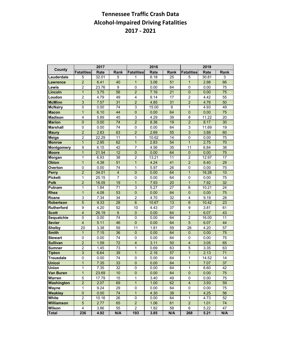|                   |                         | 2017  |                 |                         | 2018  |      |                         | 2019  |                 |
|-------------------|-------------------------|-------|-----------------|-------------------------|-------|------|-------------------------|-------|-----------------|
| County            | <b>Fatalities</b>       | Rate  | Rank            | <b>Fatalities</b>       | Rate  | Rank | <b>Fatalities</b>       | Rate  | Rank            |
| Lauderdale        | 5                       | 32.01 | 5               | 1                       | 6.18  | 25   | 5                       | 30.81 | 3               |
| Lawrence          | $\overline{c}$          | 6.41  | 40              | $\mathbf{1}$            | 3.06  | 51   | $\mathbf{1}$            | 2.98  | 66              |
| Lewis             | $\overline{2}$          | 23.76 | 9               | 0                       | 0.00  | 64   | 0                       | 0.00  | 75              |
| Lincoln           | $\overline{1}$          | 3.75  | 56              | $\overline{c}$          | 7.16  | 21   | $\overline{0}$          | 0.00  | 75              |
| Loudon            | $\overline{2}$          | 4.79  | 49              | $\overline{\mathbf{4}}$ | 9.14  | 17   | $\overline{2}$          | 4.42  | 55              |
| <b>McMinn</b>     | $\mathsf 3$             | 7.57  | 31              | $\overline{2}$          | 4.85  | 31   | $\overline{2}$          | 4.76  | 50              |
| <b>McNairy</b>    | 0                       | 0.00  | 74              | 3                       | 15.00 | 9    | 1                       | 4.93  | 49              |
| <b>Macon</b>      | $\overline{1}$          | 6.10  | 44              | $\mathbf 0$             | 0.00  | 64   | $\overline{0}$          | 0.00  | 75              |
| <b>Madison</b>    | 4                       | 5.89  | 45              | 3                       | 4.29  | 39   | 8                       | 11.22 | 20              |
| <b>Marion</b>     | $\overline{0}$          | 0.00  | 74              | $\overline{2}$          | 8.36  | 19   | $\overline{2}$          | 8.17  | 30              |
| <b>Marshall</b>   | 0                       | 0.00  | 74              | 0                       | 0.00  | 64   | 3                       | 11.69 | 19              |
| <b>Maury</b>      | $\overline{2}$          | 2.83  | 63              | $\overline{2}$          | 2.69  | 55   | 3                       | 3.88  | 60              |
| <b>Meigs</b>      | $\overline{2}$          | 22.29 | 11              | 1                       | 10.62 | 14   | 0                       | 0.00  | 75              |
| <b>Monroe</b>     | $\overline{1}$          | 2.95  | 62              | $\mathbf{1}$            | 2.83  | 54   | $\mathbf{1}$            | 2.75  | 70              |
| <b>Montgomery</b> | 9                       | 6.15  | 42              | 7                       | 4.56  | 35   | 11                      | 6.84  | 38              |
| <b>Moore</b>      | $\overline{1}$          | 21.54 | 12              | $\mathbf 0$             | 0.00  | 64   | $\overline{0}$          | 0.00  | 75              |
| Morgan            | 1                       | 6.93  | 38              | $\overline{2}$          | 13.21 | 11   | $\overline{2}$          | 12.97 | 17              |
| <b>Obion</b>      | $\mathbf{1}$            | 4.38  | 51              | 1                       | 4.24  | 41   | $\overline{2}$          | 8.40  | 29              |
| Overton           | 0                       | 0.00  | 74              | 1                       | 5.97  | 26   | 0                       | 0.00  | 75              |
| Perry             | $\overline{2}$          | 34.01 | $\overline{4}$  | $\mathbf{0}$            | 0.00  | 64   | $\mathbf{1}$            | 16.26 | 10              |
| <b>Pickett</b>    | 1                       | 25.15 | $\overline{7}$  | $\mathbf 0$             | 0.00  | 64   | 0                       | 0.00  | $\overline{75}$ |
| Polk              | $\overline{2}$          | 16.05 | 19              | $\mathbf{1}$            | 7.93  | 20   | $\overline{1}$          | 7.92  | 32              |
| Putnam            | 1                       | 1.84  | 71              | 3                       | 5.27  | 27   | 6                       | 10.21 | 24              |
| Rhea              | 1                       | 4.08  | 53              | $\mathbf 0$             | 0.00  | 64   | 0                       | 0.00  | 75              |
| Roane             | 3                       | 7.34  | 34              | $\overline{2}$          | 4.70  | 32   | 4                       | 9.19  | 28              |
| <b>Robertson</b>  | $\overline{5}$          | 9.33  | 28              | $\overline{6}$          | 10.67 | 13   | 6                       | 10.42 | 23              |
| <b>Rutherford</b> | 9                       | 4.20  | 52              | 10                      | 4.43  | 37   | 9                       | 3.81  | 61              |
| <b>Scott</b>      | $\overline{4}$          | 26.19 | $6\phantom{1}6$ | $\mathbf{0}$            | 0.00  | 64   | $\overline{1}$          | 6.07  | 43              |
| <b>Sequatchie</b> | 0                       | 0.00  | 74              | 0                       | 0.00  | 64   | $\overline{c}$          | 16.00 | 11              |
| <b>Sevier</b>     | 4                       | 5.11  | 46              | $\overline{0}$          | 0.00  | 64   | $\overline{5}$          | 6.07  | 44              |
| <b>Shelby</b>     | 20                      | 3.38  | 59              | 11                      | 1.81  | 59   | 26                      | 4.20  | 57              |
| <b>Smith</b>      | 1                       | 7.15  | 36              | $\mathbf{0}$            | 0.00  | 64   | $\overline{0}$          | 0.00  | 75              |
| <b>Stewart</b>    | 0                       | 0.00  | 74              | 0                       | 0.00  | 64   | $\mathbf{0}$            | 0.00  | 75              |
| <b>Sullivan</b>   | $\overline{2}$          | 1.59  | 72              | $\overline{4}$          | 3.11  | 50   | 4                       | 3.05  | 65              |
| <b>Sumner</b>     | $\overline{2}$          | 1.45  | 73              | 1                       | 0.69  | 63   | 5                       | 3.35  | 63              |
| <b>Tipton</b>     | $\overline{3}$          | 6.64  | 39              | $\mathbf{1}$            | 2.16  | 57   | $\mathbf{1}$            | 2.13  | 71              |
| <b>Trousdale</b>  | 0                       | 0.00  | 74              | 0                       | 0.00  | 64   | 1                       | 14.52 | 14              |
| <b>Unicoi</b>     | 1                       | 7.35  | 33              | 0                       | 0.00  | 64   | $\mathbf{1}$            | 7.07  | 37              |
| Un <u>ion</u>     | $\mathbf{1}$            | 7.35  | $\overline{32}$ | $\pmb{0}$               | 0.00  | 64   | 1                       | 6.60  | $\overline{42}$ |
| Van Buren         | $\mathbf{1}$            | 23.69 | 10              | 0                       | 0.00  | 64   | 0                       | 0.00  | 75              |
| <b>Warren</b>     | 5                       | 17.79 | 15              | 1                       | 3.40  | 49   | 0                       | 0.00  | 75              |
| <b>Washington</b> | $\overline{2}$          | 2.07  | 69              | $\mathbf{1}$            | 1.00  | 62   | $\overline{\mathbf{4}}$ | 3.93  | 59              |
| <b>Wayne</b>      | 1                       | 9.24  | 29              | 0                       | 0.00  | 64   | 0                       | 0.00  | 75              |
| <b>Weakley</b>    | $\overline{0}$          | 0.00  | 74              | $\overline{1}$          | 4.30  | 38   | $\overline{1}$          | 4.25  | 56              |
| <b>White</b>      | $\overline{c}$          | 10.16 | 26              | 0                       | 0.00  | 64   | $\mathbf{1}$            | 4.73  | 52              |
| Williamson        | 5                       | 2.77  | 65              | $\overline{2}$          | 1.06  | 61   | $\overline{a}$          | 1.01  | 74              |
| <b>Wilson</b>     | $\overline{\mathbf{4}}$ | 3.86  | 55              | $\sqrt{2}$              | 1.82  | 58   | 6                       | 5.22  | 47              |
| <b>Total</b>      | 236                     | 4.92  | N/A             | 193                     | 3.85  | N/A  | 268                     | 5.21  | N/A             |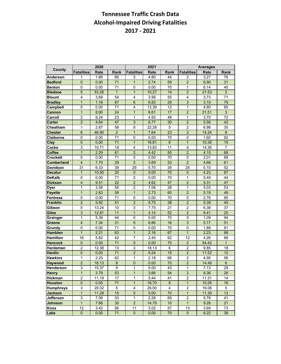|                   |                         | 2020  |                |                         | 2021<br><b>Averages</b> |                 |                           |       |                 |
|-------------------|-------------------------|-------|----------------|-------------------------|-------------------------|-----------------|---------------------------|-------|-----------------|
| County            | <b>Fatalities</b>       | Rate  | Rank           | <b>Fatalities</b>       | Rate                    | Rank            | <b>Fatalities</b>         | Rate  | Rank            |
| Anderson          | 1                       | 1.66  | 66             | 3                       | $\overline{4}$ .80      | 44              | $\overline{c}$            | 3.27  | 76              |
| <b>Bedford</b>    | 0                       | 0.00  | 71             | $\mathbf{1}$            | 2.74                    | 59              | $\overline{2}$            | 6.90  | 31              |
| <b>Benton</b>     | 0                       | 0.00  | 71             | 0                       | 0.00                    | 70              | 1                         | 6.14  | 40              |
| <b>Bledsoe</b>    | 5                       | 53.28 | $\overline{1}$ | $\mathbf{1}$            | 10.27                   | 14              | $\overline{2}$            | 21.53 | $\overline{2}$  |
| <b>Blount</b>     | $\overline{\mathbf{4}}$ | 3.69  | 54             | $\overline{\mathbf{4}}$ | 3.56                    | 55              | $\overline{\mathbf{4}}$   | 3.73  | 71              |
| <b>Bradley</b>    | $\mathbf{1}$            | 1.18  | 67             | $6\phantom{1}$          | 6.83                    | 29              | $\ensuremath{\mathsf{3}}$ | 3.10  | 79              |
| Campbell          | 0                       | 0.00  | 71             | $\overline{4}$          | 13.39                   | 12              | 1                         | 4.80  | 60              |
| <b>Cannon</b>     | $\overline{1}$          | 8.90  | 24             | $\mathbf{1}$            | 8.61                    | 17              | $\overline{2}$            | 21.51 | 3               |
| Carroll           | $\overline{2}$          | 9.24  | 23             | 1                       | 4.50                    | 48              | 1                         | 3.70  | 72              |
| <b>Carter</b>     | $\overline{2}$          | 4 6 4 | 47             | 3                       | 6.77                    | 30              | $\overline{2}$            | 5.56  | 42              |
| Cheatham          | 1                       | 2.87  | 58             | 8                       | 22.28                   | 5               | $\overline{c}$            | 6.98  | 30              |
| <b>Chester</b>    | $\overline{6}$          | 46.90 | $\overline{2}$ | $\mathbf{1}$            | 7.64                    | 23              | $\overline{2}$            | 14.24 | 8               |
| <b>Claiborne</b>  | 0                       | 0.00  | 71             | 0                       | 0.00                    | 70              | 0                         | 1.60  | 92              |
| Clay              | $\pmb{0}$               | 0.00  | 71             | $\mathbf{1}$            | 16.81                   | $\bf 8$         | $\mathbf{1}$              | 10.38 | 15              |
| Cocke             | 3                       | 10.71 | 19             | $\overline{4}$          | 13.83                   | 11              | $\overline{4}$            | 14.36 | $\overline{7}$  |
| <b>Coffee</b>     | $\overline{1}$          | 2.29  | 61             | $\overline{2}$          | 4.42                    | 50              | $\overline{2}$            | 4.15  | 68              |
| <b>Crockett</b>   | $\mathbf 0$             | 0.00  | 71             | 0                       | 0.00                    | 70              | $\pmb{0}$                 | 2.01  | 89              |
| <b>Cumberland</b> | $\overline{4}$          | 7.70  | 29             | $\overline{2}$          | 3.69                    | 53              | $\overline{2}$            | 4.68  | 61              |
| <b>Davidson</b>   | 31                      | 6.33  | 39             | 29                      | 5.70                    | 39              | 25                        | 5.10  | 52              |
| <b>Decatur</b>    | $\mathbf{1}$            | 10.50 | 20             | $\mathbf 0$             | 0.00                    | 70              | $\mathbf 0$               | 4.23  | 67              |
| <b>DeKalb</b>     | 0                       | 0.00  | 71             | $\mathbf{0}$            | 0.00                    | 70              | 1                         | 5.49  | 44              |
| <b>Dickson</b>    | $\overline{4}$          | 9.51  | 22             | $\overline{2}$          | 4.62                    | 47              | $\overline{2}$            | 5.31  | 47              |
| <b>Dyer</b>       | 1                       | 3.59  | 55             | $\overline{2}$          | 7.06                    | 28              | $\mathbf{1}$              | 5.03  | 53              |
| <b>Fayette</b>    | 1                       | 2.83  | 59             | $\mathbf{1}$            | 2.73                    | 60              | $\overline{c}$            | 5.19  | 49              |
| <b>Fentress</b>   | 0                       | 0.00  | 71             | 0                       | 0.00                    | 70              | 0                         | 2.76  | 85              |
| <b>Franklin</b>   | $\overline{2}$          | 5.92  | 41             | $\overline{2}$          | 5.75                    | 38              | $\overline{2}$            | 5.39  | 45              |
| Gibson            | 5                       | 13.24 | 10             | 3                       | 7.75                    | 21              | $\overline{2}$            | 6.38  | 37              |
| <b>Giles</b>      | $\overline{3}$          | 12.81 | 11             | $\mathbf{1}$            | 4.14                    | 52              | $\overline{2}$            | 9.41  | $\overline{20}$ |
| Grainger          | 1                       | 5.39  | 44             | 0                       | 0.00                    | 70              | 0                         | 1.09  | 94              |
| <b>Greene</b>     | $\overline{4}$          | 7.34  | 31             | $\overline{5}$          | 8.86                    | 16              | $\overline{3}$            | 5.17  | 51              |
| Grundy            | 0                       | 0.00  | 71             | 0                       | 0.00                    | 70              | 0                         | 1.88  | 91              |
| <b>Hamblen</b>    | $\overline{1}$          | 2.21  | 63             | $\mathbf{1}$            | 2.16                    | 67              | $\overline{1}$            | 2.23  | 88              |
| <b>Hamilton</b>   | 16                      | 5.82  | 42             | $\overline{7}$          | 2.45                    | 62              | 12                        | 4.26  | 66              |
| <b>Hancock</b>    | $\mathbf 0$             | 0.00  | 71             | $\mathbf 0$             | 0.00                    | 70              | $\overline{2}$            | 54.42 | $\mathbf{1}$    |
| Hardeman          | $\overline{2}$          | 12.38 | 13             | 3                       | 18.13                   | 6               | $\overline{c}$            | 9.85  | 18              |
| <b>Hardin</b>     | $\overline{0}$          | 0.00  | 71             | $\overline{2}$          | 9.24                    | 15              | $\overline{2}$            | 11.52 | 12              |
| <b>Hawkins</b>    | 1                       | 2.25  | 62             | 1                       | 2.18                    | 66              | $\overline{2}$            | 4.95  | 56              |
| <b>Haywood</b>    | $\overline{2}$          | 16.13 | 8              | $\overline{0}$          | 0.00                    | 70              | $\overline{2}$            | 14.49 | 6               |
| <b>Henderson</b>  | 3                       | 15.37 | $\overline{9}$ | 1                       | 5.00                    | 43              | 1                         | 7.13  | 29              |
| <b>Henry</b>      | $\mathbf{1}$            | 3.79  | 53             | $\mathbf{1}$            | 3.66                    | 54              | $\overline{2}$            | 8.36  | 26              |
| <b>Hickman</b>    | $\overline{\mathbf{c}}$ | 11.19 | 17             | 1                       | 5.44                    | 41              | 2                         | 11.31 | 14              |
| <b>Houston</b>    | $\overline{0}$          | 0.00  | 71             | $\mathbf{1}$            | 16.70                   | $9\,$           | $\mathbf{1}$              | 10.26 | 16              |
| <b>Humphreys</b>  | 3                       | 20.02 | 5              | 4                       | 26.00                   | $\overline{4}$  | $\overline{c}$            | 16.06 | 5               |
| <b>Jackson</b>    | $\overline{1}$          | 11.29 | 15             | $\overline{0}$          | 0.00                    | $\overline{70}$ | $\overline{1}$            | 11.39 | 13              |
| <b>Jefferson</b>  | 3                       | 7.09  | 33             | $\mathbf{1}$            | 2.28                    | 65              | $\overline{c}$            | 5.78  | 41              |
| <b>Johnson</b>    | 1                       | 7.66  | 30             | $\overline{2}$          | 14.79                   | 10 <sup>1</sup> | $\mathbf{1}$              | 9.28  | 21              |
| Knox              | 12                      | 3.42  | 56             | 11                      | 3.02                    | 57              | 13                        | 3.69  | 73              |
| Lake              | $\pmb{0}$               | 0.00  | 71             | $\pmb{0}$               | 0.00                    | 70              | $\pmb{0}$                 | 6.22  | 38              |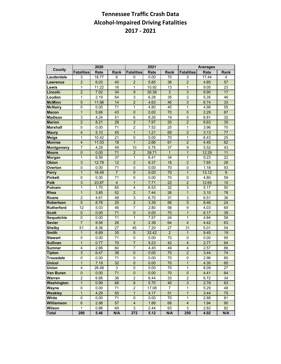|                   |                         | 2020  |                 |                   | 2021     |                | <b>Averages</b>         |       |                 |  |
|-------------------|-------------------------|-------|-----------------|-------------------|----------|----------------|-------------------------|-------|-----------------|--|
| County            | <b>Fatalities</b>       | Rate  | Rank            | <b>Fatalities</b> | Rate     | Rank           | <b>Fatalities</b>       | Rate  | Rank            |  |
| Lauderdale        | 3                       | 18.77 | 6               | 0                 | 0.00     | 70             | 3                       | 17.44 | 4               |  |
| Lawrence          | $\overline{2}$          | 6.03  | 40              | $\overline{2}$    | 5.85     | 36             | $\overline{2}$          | 4.85  | $\overline{57}$ |  |
| Lewis             | 1                       | 11.22 | 16              | 1                 | 10.92    | 13             | 1                       | 9.05  | 23              |  |
| Lincoln           | $\overline{2}$          | 7.02  | 34              | 9                 | 30.38    | 3              | $\overline{3}$          | 9.90  | 17              |  |
| Loudon            | 1                       | 2.19  | 64              | 3                 | 6.28     | 35             | $\overline{c}$          | 5.35  | 46              |  |
| <b>McMinn</b>     | $\overline{5}$          | 11.98 | 14              | $\overline{2}$    | 4.63     | 46             | $\mathbf{3}$            | 6.74  | 33              |  |
| <b>McNairy</b>    | 0                       | 0.00  | 71              | 1                 | 4.80     | 45             | 1                       | 4.98  | 55              |  |
| <b>Macon</b>      | $\overline{1}$          | 5.66  | 43              | $\pmb{0}$         | 0.00     | 70             | $\pmb{0}$               | 2.29  | 87              |  |
| <b>Madison</b>    | 3                       | 4.24  | 51              | 6                 | 8.26     | 19             | $\overline{5}$          | 6.81  | 32              |  |
| <b>Marion</b>     | $\overline{2}$          | 8.21  | 28              | $\overline{2}$    | 7.97     | 20             | $\overline{2}$          | 6.63  | 35              |  |
| <b>Marshall</b>   | $\mathbf 0$             | 0.00  | 71              | $\overline{2}$    | 7.52     | 25             | $\mathbf{1}$            | 3.96  | 70              |  |
| <b>Maury</b>      | $\overline{4}$          | 5.10  | 45              | $\mathbf{1}$      | 1.21     | 69             | $\overline{2}$          | 3.13  | 77              |  |
| <b>Meigs</b>      | 1                       | 10.42 | 21              | 0                 | 0.00     | 70             | $\mathbf{1}$            | 8.43  | 25              |  |
| <b>Monroe</b>     | $\overline{\mathbf{4}}$ | 11.03 | 18              | $\mathbf{1}$      | 2.66     | 61             | $\mathbf 2$             | 4.45  | 62              |  |
| <b>Montgomery</b> | $\overline{7}$          | 4.29  | 49              | 10                | 5.75     | 37             | 9                       | 5.52  | 43              |  |
| <b>Moore</b>      | $\overline{0}$          | 0.00  | 71              | $\overline{2}$    | 39.71    | $\overline{1}$ | $\mathbf{1}$            | 12.29 | 11              |  |
| Morgan            | 1                       | 6.56  | 37              | $\mathbf{1}$      | 6.41     | 34             | $\mathbf{1}$            | 9.23  | 22              |  |
| <b>Obion</b>      | $\overline{3}$          | 12.79 | 12              | $\overline{2}$    | 8.37     | 18             | $\overline{2}$          | 7.65  | 28              |  |
| Overton           | 0                       | 0.00  | 71              | 0                 | 0.00     | 70             | 0                       | 1.18  | 93              |  |
| <b>Perry</b>      | $\overline{1}$          | 16.49 | $\overline{7}$  | $\overline{0}$    | 0.00     | 70             | $\overline{1}$          | 13.12 | 9               |  |
| <b>Pickett</b>    | 0                       | 0.00  | 71              | 0                 | 0.00     | 70             | 0                       | 4.80  | 59              |  |
| <b>Polk</b>       | $\overline{3}$          | 23.87 | $\overline{4}$  | $\mathbf{1}$      | 7.71     | 22             | $\mathbf 2$             | 12.65 | 10              |  |
| Putnam            | 1                       | 1.70  | 65              | 4                 | 6.53     | 32             | 3                       | 5.17  | 50              |  |
| <b>Rhea</b>       | $\overline{1}$          | 3.85  | 52              | $\overline{2}$    | 7.44     | 26             | $\mathbf{1}$            | 3.10  | 78              |  |
| Roane             | $\overline{2}$          | 4.61  | 48              | 3                 | 6.70     | 31             | 3                       | 6.51  | 36              |  |
| <b>Robertson</b>  | 5                       | 8.76  | 25              | $\overline{2}$    | 3.39     | 56             | $\overline{5}$          | 8.46  | 24              |  |
| <b>Rutherford</b> | 12                      | 5.03  | 46              | $\overline{7}$    | 2.80     | 58             | 9                       | 4.03  | 69              |  |
| <b>Scott</b>      | $\pmb{0}$               | 0.00  | 71              | $\pmb{0}$         | 0.00     | 70             | $\mathbf{1}$            | 6.17  | 39              |  |
| Sequatchie        | 0                       | 0.00  | 71              | 1                 | 7.57     | 24             | 1                       | 4.84  | 58              |  |
| <b>Sevier</b>     | $\overline{7}$          | 8.58  | 26              | $\overline{2}$    | 2.38     | 64             | $\overline{4}$          | 4.42  | 63              |  |
| <b>Shelby</b>     | 51                      | 8.36  | 27              | 45                | 7.20     | 27             | 31                      | 5.01  | 54              |  |
| <b>Smith</b>      | $\mathbf 1$             | 6.69  | 35              | 5                 | 32.42    | $\overline{2}$ | $\mathbf{1}$            | 9.45  | 19              |  |
| <b>Stewart</b>    | $\mathbf 0$             | 0.00  | 71              | 0                 | 0.00     | 70             | $\mathbf 0$             | 0.00  | 95              |  |
| <b>Sullivan</b>   | $\overline{1}$          | 0.77  | 70              | $\overline{7}$    | 5.23     | 42             | $\overline{\mathbf{4}}$ | 2.77  | 84              |  |
| <b>Sumner</b>     | 4                       | 2.66  | 60              | 7                 | 4.45     | 49             | 4                       | 2.57  | 86              |  |
| <b>Tipton</b>     | $\overline{3}$          | 6.47  | 38              | $\overline{0}$    | 0.00     | 70             | $\overline{2}$          | 3.44  | 74              |  |
| <b>Trousdale</b>  | 0                       | 0.00  | 71              | 0                 | 0.00     | 70             | 0                       | 2.96  | 80              |  |
| <b>Unicoi</b>     | $\overline{1}$          | 7.19  | $\overline{32}$ | $\overline{0}$    | 0.00     | 70             | $\overline{1}$          | 4.30  | 65              |  |
| <b>Union</b>      | 4                       | 26.48 | 3               | 0                 | 0.00     | 70             | 1                       | 8.09  | 27              |  |
| <b>Van Buren</b>  | 0                       | 0.00  | 71              | $\mathbf 0$       | 0.00     | 70             | 0                       | 4.41  | 64              |  |
| Warren            | $\overline{\mathbf{c}}$ | 6.66  | 36              | $\overline{c}$    | 6.44     | 33             | 2                       | 6.72  | 34              |  |
| Washington        | $\mathbf{1}$            | 0.99  | 68              | $\,6\,$           | 5.70     | 40             | $\mathfrak{S}$          | 2.78  | 83              |  |
| Wayne             | 0                       | 0.00  | 71              | $\overline{2}$    | 17.08    | $\overline{7}$ | 1                       | 5.29  | 48              |  |
| <b>Weakley</b>    | $\overline{1}$          | 4.29  | 50              | $\mathbf{1}$      | 4.17     | 51             | $\overline{1}$          | 3.44  | 75              |  |
| White             | 0                       | 0.00  | 71              | 0                 | $0.00\,$ | 70             | $\mathbf{1}$            | 2.88  | 81              |  |
| <b>Williamson</b> | 6                       | 2.98  | 57              | $\overline{4}$    | 1.89     | 68             | 4                       | 1.94  | 90              |  |
| Wilson            | 1                       | 0.86  | 69              | 3                 | 2.44     | 63             | 3                       | 2.82  | 82              |  |
| <b>Total</b>      | 280                     | 5.46  | N/A             | 272               | 5.12     | N/A            | 250                     | 4.92  | N/A             |  |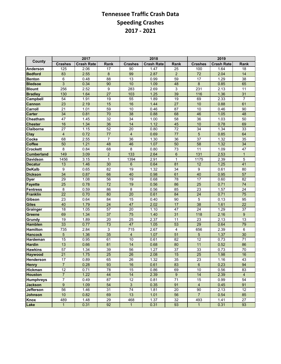<span id="page-35-0"></span>

|                   |                 | 2017              |                 |                         | 2018              |                 |                 | 2019              |                 |
|-------------------|-----------------|-------------------|-----------------|-------------------------|-------------------|-----------------|-----------------|-------------------|-----------------|
| County            | <b>Crashes</b>  | <b>Crash Rate</b> | Rank            | <b>Crashes</b>          | <b>Crash Rate</b> | <b>Rank</b>     | <b>Crashes</b>  | <b>Crash Rate</b> | <b>Rank</b>     |
| Anderson          | 125             | 2.06              | 17              | 90                      | 1.47              | 25              | 100             | 1.64              | 18              |
| <b>Bedford</b>    | 83              | 2.55              | $\bf 8$         | 99                      | 2.87              | $\overline{2}$  | 72              | 2.04              | 14              |
| <b>Benton</b>     | 6               | 0.48              | 88              | 13                      | 0.99              | 59              | 17              | 1.29              | $\overline{38}$ |
| <b>Bledsoe</b>    | 3               | 0.34              | 90              | 10                      | 1.09              | 48              | 8               | 0.85              | 65              |
| <b>Blount</b>     | 256             | 2.52              | 9               | 283                     | 2.69              | 3               | 231             | 2.13              | 11              |
| <b>Bradley</b>    | 130             | 1.64              | 27              | 103                     | 1.25              | 39              | 116             | 1.36              | 31              |
| Campbell          | 54              | 1.91              | 19              | 55                      | 1.89              | 19              | 69              | 2.33              | $\overline{7}$  |
| Cannon            | 23              | 2.19              | 15              | 16                      | 1.44              | 27              | 10              | 0.88              | 61              |
| Carroll           | 21              | 1.01              | 59              | 10                      | 0.46              | 87              | 10              | 0.46              | 90              |
| <b>Carter</b>     | 34              | 0.81              | $\overline{70}$ | 38                      | 0.88              | 68              | 46              | 1.05              | 48              |
| Cheatham          | 47              | 1.45              | 32              | 34                      | 1.00              | 58              | 36              | 1.03              | 50              |
| <b>Chester</b>    | 16              | 1.34              | 36              | $\overline{14}$         | $\overline{1.12}$ | 45              | 10              | 0.78              | 69              |
| Claiborne         | 27              | 1.15              | 52              | 20                      | 0.80              | 72              | 34              | 1.34              | 33              |
| Clay              | $\overline{4}$  | 0.72              | $\overline{77}$ | $\overline{4}$          | 0.69              | $\overline{77}$ | 5               | 0.85              | 64              |
| Cocke             | 68              | 2.55              | $\overline{7}$  | 36                      | 1.30              | 36              | 37              | 1.32              | 35              |
| <b>Coffee</b>     | 50              | 1.21              | 48              | 46                      | 1.07              | 50              | 58              | 1.32              | 34              |
| <b>Crockett</b>   | $\overline{8}$  | 0.84              | 68              | 8                       | 0.80              | 73              | 11              | 1.09              | $\overline{47}$ |
| <b>Cumberland</b> | 149             | 3.09              | $\overline{2}$  | 133                     | 2.64              | $6\phantom{1}$  | 131             | 2.53              | $\mathbf{1}$    |
| <b>Davidson</b>   | 1456            | 3.15              | $\mathbf{1}$    | 1394                    | 2.91              | $\mathbf{1}$    | 1175            | 2.39              | $\overline{5}$  |
| <b>Decatur</b>    | 13              | 1.46              | 30              | 6                       | 0.64              | 81              | 12              | 1.25              | 41              |
| <b>DeKalb</b>     | 9               | 0.65              | 82              | 19                      | 1.32              | 34              | 9               | 0.61              | 80              |
| <b>Dickson</b>    | 34              | 0.87              | 66              | 40                      | 0.98              | 61              | 40              | 0.95              | 57              |
| <b>Dyer</b>       | 29              | 1.08              | 56              | 19                      | 0.68              | 78              | 17              | 0.60              | 82              |
| <b>Fayette</b>    | 25              | 0.78              | 72              | 19                      | 0.56              | 86              | 25              | 0.71              | 74              |
| <b>Fentress</b>   | 8               | 0.59              | 86              | 8                       | 0.56              | 85              | 23              | 1.57              | 24              |
| <b>Franklin</b>   | 22              | 0.70              | 80              | $\overline{20}$         | 0.61              | 84              | $\overline{24}$ | 0.71              | $\overline{75}$ |
| Gibson            | 23              | 0.64              | 84              | 15                      | 0.40              | 90              | 5               | 0.13              | 95              |
| <b>Giles</b>      | 40              | 1.79              | $\overline{24}$ | 47                      | 2.02              | 17              | 38              | 1.61              | $\overline{22}$ |
| Grainger          | 18              | 1.05              | 57              | 20                      | 1.10              | 47              | 24              | 1.29              | 37              |
| <b>Greene</b>     | 69              | 1.34              | $\overline{37}$ | $\overline{75}$         | 1.40              | 31              | 118             | 2.16              | 9               |
| Grundy            | 19              | 1.89              | 20              | 25                      | 2.37              | 11              | 23              | 2.13              | 13              |
| <b>Hamblen</b>    | 33              | 0.77              | 73              | 47                      | 1.05              | 53              | 29              | 0.64              | 79              |
| Hamilton          | 735             | 2.84              | 3               | 715                     | 2.67              | 4               | 656             | 2.39              | 6               |
| <b>Hancock</b>    | 5               | 1.36              | 35              | $\overline{\mathbf{4}}$ | 1.07              | $\overline{51}$ | 5               | 1.37              | 30              |
| Hardeman          | $\overline{15}$ | 0.95              | 61              | 10                      | 0.61              | 82              | $\overline{12}$ | 0.73              | $\overline{71}$ |
| <b>Hardin</b>     | 13              | 0.66              | 81              | 14                      | 0.68              | 80              | 11              | 0.52              | 86              |
| <b>Hawkins</b>    | $\overline{57}$ | 1.34              | 39              | 56                      | 1.27              | 37              | 33              | 0.73              | 70              |
| <b>Haywood</b>    | $\overline{21}$ | 1.75              | $\overline{25}$ | $\overline{26}$         | 2.08              | 15              | $\overline{25}$ | 1.98              | 16              |
| <b>Henderson</b>  | 17              | 0.89              | 65              | 26                      | 1.32              | 35              | 23              | 1.16              | 43              |
| <b>Henry</b>      | $\overline{7}$  | 0.28              | 93              | 16                      | 0.61              | 83              | 6               | 0.23              | 94              |
| Hickman           | 12              | 0.71              | 78              | 15                      | 0.86              | 69              | 10              | 0.56              | 83              |
| <b>Houston</b>    | $\overline{7}$  | $\overline{1.22}$ | 44              | $\overline{14}$         | 2.39              | $\overline{9}$  | $\overline{14}$ | 2.39              | $\overline{4}$  |
| <b>Humphreys</b>  | 7               | 0.49              | 87              | 12                      | 0.81              | 71              | 15              | 0.99              | 54              |
| <b>Jackson</b>    | 9               | 1.09              | 54              | $\mathbf{3}$            | 0.35              | 91              | $\overline{4}$  | 0.45              | 91              |
| Jefferson         | 56              | 1.46              | 31              | 74                      | 1.81              | 20              | 90              | 2.13              | 12              |
| <b>Johnson</b>    | 10              | 0.82              | 69              | 13                      | 1.01              | 56              | $\overline{7}$  | 0.54              | 85              |
| Knox              | 489             | 1.48              | 29              | 468                     | 1.37              | 32              | 493             | 1.41              | 27              |
| Lake              | $\mathbf{1}$    | 0.31              | 92              | $\overline{1}$          | 0.31              | 93              | $\mathbf{1}$    | 0.31              | 93              |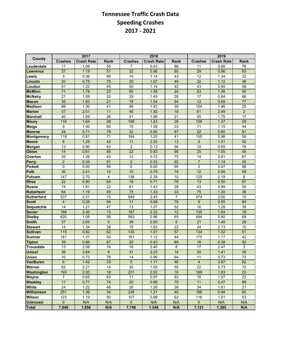|                             |                   | 2017              |                 |                 | 2018              |                 |                 | 2019              |                 |
|-----------------------------|-------------------|-------------------|-----------------|-----------------|-------------------|-----------------|-----------------|-------------------|-----------------|
| County                      | <b>Crashes</b>    | <b>Crash Rate</b> | Rank            | <b>Crashes</b>  | <b>Crash Rate</b> | Rank            | <b>Crashes</b>  | <b>Crash Rate</b> | Rank            |
| Lauderdale                  | 17                | 1.09              | 55              | 7               | 0.43              | 88              | 11              | 0.68              | 76              |
| Lawrence                    | $\overline{37}$   | 1.19              | $\overline{51}$ | 32              | 0.98              | 60              | 29              | 0.86              | 63              |
| Lewis                       | $\mathsf 3$       | 0.36              | 89              | 10              | 1.14              | 43              | 12              | 1.34              | 32              |
| Lincoln                     | 20                | 0.75              | 75              | 30              | 1.07              | 49              | 32              | 1.12              | 46              |
| Loudon                      | $\overline{51}$   | 1.22              | 45              | 50              | 1.14              | 42              | 43              | 0.95              | 58              |
| <b>McMinn</b>               | $\overline{71}$   | 1.79              | $\overline{23}$ | 65              | 1.58              | 24              | 53              | 1.26              | 40              |
| <b>McNairy</b>              | 21                | 1.09              | 53              | 29              | 1.45              | 26              | 17              | 0.84              | 66              |
| <b>Macon</b>                | 30                | 1.83              | $\overline{21}$ | $\overline{18}$ | 1.04              | 54              | 12              | 0.68              | $\overline{77}$ |
| <b>Madison</b>              | 88                | 1.30              | 41              | 99              | 1.42              | 30              | 104             | 1.46              | 25              |
| <b>Marion</b>               | 57                | 2.51              | 11              | 46              | 1.92              | 18              | 61              | 2.49              | $\overline{2}$  |
| <b>Marshall</b>             | 40                | 1.69              | 26              | 41              | 1.66              | 21              | 45              | 1.75              | $\overline{17}$ |
| <b>Maury</b>                | 116               | 1.64              | 28              | 106             | 1.43              | 29              | 106             | 1.37              | 29              |
| <b>Meigs</b>                | 9                 | 1.00              | 60              | 15              | 1.59              | 23              | 11              | 1.15              | 44              |
| <b>Monroe</b>               | 24                | 0.71              | 79              | 32              | 0.90              | 67              | 22              | 0.60              | 81              |
| <b>Montgomery</b>           | 118               | 0.81              | 71              | 184             | 1.20              | 41              | 155             | 0.96              | 56              |
| <b>Moore</b>                | $6\phantom{1}$    | 1.29              | 42              | 11              | 2.25              | 13              | $\overline{5}$  | 1.01              | 52              |
| Morgan                      | $\overline{13}$   | 0.90              | 63              | $\overline{c}$  | 0.13              | 94              | 10              | 0.65              | $\overline{78}$ |
| <b>Obion</b>                | 14                | 0.61              | 85              | 22              | 0.93              | 66              | 25              | 1.05              | 49              |
| Overton                     | $\overline{20}$   | 1.26              | 43              | $\overline{12}$ | 0.72              | 75              | 14              | 0.81              | 67              |
| <b>Perry</b>                | $\overline{2}$    | 0.34              | 91              | $\overline{a}$  | 0.33              | 92              | $\overline{7}$  | 1.14              | 45              |
| <b>Pickett</b>              | $\mathbf 0$       | 0.00              | 95              | 0               | 0.00              | 95              | $\overline{c}$  | 0.47              | 88              |
| Polk                        | 30                | 2.41              | 12              | 10              | 0.79              | 74              | 12              | 0.95              | 59              |
| Putnam                      | 147               | 2.70              | 4               | 136             | 2.39              | 10              | 129             | 2.19              | 8               |
| Rhea                        | $\overline{22}$   | 0.90              | 64              | $\overline{18}$ | 0.71              | 76              | 13              | 0.50              | 87              |
| Roane                       | 74                | 1.81              | 22              | 61              | 1.43              | 28              | 43              | 0.99              | 55              |
| <b>Robertson</b>            | 64                | 1.19              | 49              | $\overline{75}$ | 1.33              | 33              | $\overline{75}$ | 1.30              | 36              |
| Rutherford                  | 537               | 2.51              | 10              | 549             | 2.43              | $\overline{7}$  | 474             | 2.00              | 15              |
| <b>Scott</b>                | $\overline{4}$    | 0.26              | 94              | 11              | 0.68              | 79              | 9               | 0.55              | 84              |
| Sequatchie                  | 14                | 1.21              | 47              | 13              | 1.07              | 52              | 16              | 1.28              | 39              |
| <b>Sevier</b>               | 188               | 2.40              | 13              | 187             | 2.32              | 12              | 135             | 1.64              | 19              |
| <b>Shelby</b>               | 620               | 1.05              | 58              | 583             | 0.96              | 65              | 494             | 0.80              | 68              |
| <b>Smith</b>                | 37                | 2.65              | 5               | 39              | 2.65              | $\sqrt{5}$      | 21              | 1.40              | 28              |
| <b>Stewart</b>              | 14                | 1.34              | $\overline{38}$ | $\overline{18}$ | 1.63              | $\overline{22}$ | $\overline{24}$ | 2.13              | $10$            |
| <b>Sullivan</b>             | $\frac{115}{115}$ | 0.92              | 62              | 130             | 1.01              | 57              | 134             | 1.02              | $\overline{51}$ |
| Sumner                      | 181               | 1.31              | 40              | 161             | 1.12              | 44              | $\frac{1}{175}$ | 1.17              | 42              |
| <b>Tipton</b>               | 39                | 0.86              | 67              | 20              | 0.43              | 89              | 18              | 0.38              | 92              |
| <b>Trousdale</b>            | 13                | 2.08              | 16              | 16              | 2.40              | 8               | 17              | 2.47              | 3               |
| <b>Unicoi</b>               | 36                | 2.64              | $\,6\,$         | 31              | 2.23              | 14              | 20              | 1.41              | 26              |
| Union                       | 10                | 0.73              | 76              | $\overline{14}$ | 0.96              | 64              | 11              | 0.73              | $\overline{73}$ |
| <b>VanBuren</b>             | 6                 | 1.42              | 33              | $5\phantom{.0}$ | 1.11              | 46              | $\overline{4}$  | 0.87              | 62              |
| Warren                      | 62                | 2.21              | $\overline{14}$ | 30              | 1.02              | 55              | $\overline{22}$ | 0.73              | 72              |
| Washington                  | 193               | 2.00              | 18              | 201             | 2.02              | 16              | 166             | 1.63              | 20              |
| Wayne                       | $\overline{7}$    | 0.65              | 83              | 11              | 0.97              | 63              | 18              | 1.57              | 23              |
| <b>Weakley</b>              | 17                | 0.77              | $\overline{74}$ | $\overline{20}$ | 0.86              | 70              | 11              | 0.47              | 89              |
| White                       | 24                | 1.22              | 46              | 26              | 1.26              | 38              | 34              | 1.61              | 21              |
|                             | 251               | 1.39              | 34              | 228             | 1.21              | 40              | 186             | 0.94              | 60              |
| <b>Williamson</b><br>Wilson | 123               | 1.19              | 50              |                 |                   | 62              | 116             |                   | 53              |
|                             |                   |                   |                 | 107             | 0.98              |                 |                 | 1.01              |                 |
| <b>Unknown</b>              | $\mathbf{0}$      | N/A               | N/A             | $\overline{0}$  | N/A               | N/A             | $\overline{0}$  | N/A               | N/A             |
| <b>Total</b>                | 7,948             | 1.656             | N/A             | 7,746           | 1.546             | N/A             | 7,121           | 1.385             | N/A             |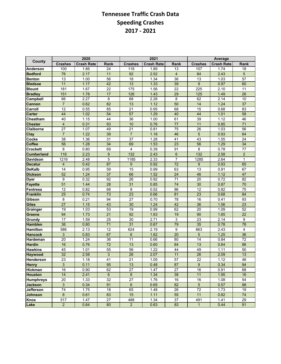|                   |                         | 2020              |                 |                 | 2021              |                 |                  | Average           |                  |
|-------------------|-------------------------|-------------------|-----------------|-----------------|-------------------|-----------------|------------------|-------------------|------------------|
| County            | <b>Crashes</b>          | <b>Crash Rate</b> | Rank            | <b>Crashes</b>  | <b>Crash Rate</b> | <b>Rank</b>     | <b>Crashes</b>   | <b>Crash Rate</b> | <b>Rank</b>      |
| Anderson          | 100                     | 1.66              | 24              | 118             | 1.89              | 13              | 107              | 1.74              | 18               |
| <b>Bedford</b>    | 76                      | 2.17              | 11              | 92              | 2.52              | $\overline{4}$  | 84               | 2.43              | $\overline{5}$   |
| <b>Benton</b>     | 13                      | 1.00              | 56              | 18              | 1.34              | 36              | 13               | 1.03              | 57               |
| <b>Bledsoe</b>    | 11                      | 1.17              | 42              | 13              | 1.33              | 39              | $\boldsymbol{9}$ | 0.97              | 60               |
| <b>Blount</b>     | 181                     | 1.67              | 22              | 175             | 1.56              | 22              | 225              | 2.10              | 11               |
| <b>Bradley</b>    | 151                     | 1.78              | 17              | 126             | 1.43              | 29              | 125              | 1.49              | 26               |
| Campbell          | 66                      | 2.27              | $\,8\,$         | 68              | 2.28              | 8               | 62               | 2.14              | 10               |
| Cannon            | $\overline{7}$          | 0.62              | 82              | 13              | 1.12              | 50              | 14               | 1.24              | 37               |
| Carroll           | 12                      | 0.55              | 85              | 21              | 0.95              | 68              | 15               | 0.68              | 83               |
| <b>Carter</b>     | 44                      | 1.02              | 54              | $\overline{57}$ | 1.29              | 40              | 44               | 1.01              | 58               |
| Cheatham          | 40                      | 1.15              | 44              | 36              | 1.00              | 61              | 39               | 1.12              | 46               |
| <b>Chester</b>    | $\overline{\mathbf{4}}$ | 0.31              | 93              | 10              | 0.76              | $\overline{77}$ | 11               | 0.85              | $\overline{71}$  |
| Claiborne         | 27                      | 1.07              | 49              | $\overline{21}$ | 0.81              | $\overline{75}$ | 26               | 1.03              | 56               |
| Clay              | $\overline{7}$          | 1.22              | 39              | $\overline{7}$  | 1.18              | 46              | 5                | 0.93              | 64               |
| Cocke             | 38                      | 1.36              | 31              | 37              | 1.28              | 41              | 43               | 1.55              | 24               |
| <b>Coffee</b>     | 56                      | 1.28              | 34              | 69              | 1.53              | 23              | 56               | 1.29              | 34               |
| <b>Crockett</b>   | $\overline{8}$          | 0.80              | 69              | $\overline{4}$  | 0.39              | 91              | 8                | 0.78              | 77               |
| <b>Cumberland</b> | 116                     | 2.23              | 9               | 132             | 2.43              | $6\phantom{1}$  | $\overline{132}$ | 2.58              | $\overline{a}$   |
| <b>Davidson</b>   | 1216                    | 2.48              | $\overline{5}$  | 1185            | 2.33              | $\overline{7}$  | 1285             | 2.64              | $\mathbf{1}$     |
| <b>Decatur</b>    | $\overline{\mathbf{4}}$ | 0.42              | 87              | 9               | 0.92              | $\overline{72}$ | 9                | 0.93              | 65               |
| <b>DeKalb</b>     | 14                      | 0.95              | 59              | 15              | 0.99              | 63              | 13               | 0.91              | 67               |
| <b>Dickson</b>    | 52                      | 1.24              | 37              | 66              | 1.52              | 24              | 46               | 1.12              | 47               |
| <b>Dyer</b>       | $\boldsymbol{9}$        | 0.32              | 92              | 26              | 0.92              | 71              | 20               | 0.72              | 82               |
| <b>Fayette</b>    | $\overline{51}$         | 1.44              | 28              | 31              | 0.85              | 74              | 30               | 0.87              | 70               |
| <b>Fentress</b>   | 12                      | 0.82              | 68              | 8               | 0.52              | 86              | 12               | 0.82              | 75               |
| <b>Franklin</b>   | $\overline{25}$         | 0.74              | $\overline{73}$ | $\overline{23}$ | 0.66              | 81              | $\overline{23}$  | 0.68              | 84               |
| Gibson            | 8                       | 0.21              | 94              | 27              | 0.70              | 78              | 16               | 0.41              | 93               |
| <b>Giles</b>      | $\overline{27}$         | 1.15              | 43              | 30              | 1.24              | 42              | 36               | 1.56              | $\overline{23}$  |
| Grainger          | 19                      | 1.03              | 53              | 19              | 0.99              | 62              | 20               | 1.09              | 52               |
| <b>Greene</b>     | 94                      | 1.73              | 21              | 92              | 1.63              | 19              | 90               | 1.65              | 22               |
| Grundy            | 17                      | 1.59              | 25              | 30              | 2.71              | 3               | 23               | 2.14              | $\boldsymbol{9}$ |
| <b>Hamblen</b>    | 36                      | 0.80              | 71              | 31              | 0.67              | 79              | 35               | 0.78              | 78               |
| Hamilton          | 586                     | 2.13              | 12              | 624             | 2.19              | 9               | 663              | 2.43              | 4                |
| <b>Hancock</b>    | 3                       | 0.83              | 67              | $6\phantom{1}$  | 1.62              | $\overline{20}$ | 5                | 1.25              | 36               |
| Hardeman          | $\overline{20}$         | 1.24              | $\overline{36}$ | $\overline{11}$ | 0.66              | 80              | $\overline{14}$  | 0.84              | 72               |
| <b>Hardin</b>     | 16                      | 0.76              | 72              | 13              | 0.60              | 84              | 13               | 0.64              | 86               |
| <b>Hawkins</b>    | 45                      | 1.01              | $\overline{55}$ | 56              | 1.22              | 44              | 49               | 1.11              | $\overline{50}$  |
| <b>Haywood</b>    | 32                      | 2.58              | 3               | 26              | 2.07              | 11              | 26               | 2.09              | 13               |
| <b>Henderson</b>  | 23                      | 1.18              | 41              | 21              | 1.05              | 57              | 22               | 1.12              | 48               |
| <b>Henry</b>      | $\sqrt{3}$              | 0.11              | 95              | 13              | 0.48              | 87              | $\boldsymbol{9}$ | 0.34              | 94               |
| Hickman           | 16                      | 0.90              | 62              | 27              | 1.47              | 27              | 16               | 0.91              | 68               |
| <b>Houston</b>    | $\overline{14}$         | 2.41              | $\sqrt{6}$      | $\bf 8$         | 1.34              | 38              | 11               | 1.95              | 16               |
| <b>Humphreys</b>  | 20                      | 1.33              | 32              | 27              | 1.76              | 16              | 16               | 1.08              | 54               |
| <b>Jackson</b>    | $\mathfrak{S}$          | 0.34              | 91              | 6               | 0.65              | 82              | $\overline{5}$   | 0.57              | 88               |
| Jefferson         | 74                      | 1.75              | 18              | 65              | 1.48              | 26              | 72               | 1.73              | 19<br>74         |
| <b>Johnson</b>    | $\bf 8$                 | 0.61              | 83              | 15              | 1.11              | 55              | 11               | 0.82              |                  |
| Knox              | 517                     | 1.47              | 27              | 488             | 1.34              | 37              | 491              | 1.41              | 29               |
| Lake              | $\overline{2}$          | 0.64              | 80              | 2 <sup>1</sup>  | 0.63              | 83              | $\mathbf{1}$     | 0.44              | 91               |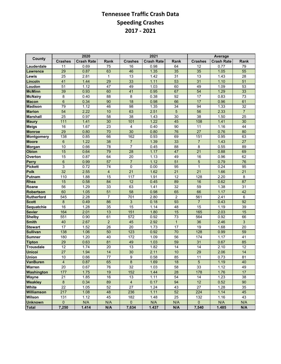|                                |                 | 2020              |                      |                         | 2021              |                                 |                 | Average           |                      |
|--------------------------------|-----------------|-------------------|----------------------|-------------------------|-------------------|---------------------------------|-----------------|-------------------|----------------------|
| County                         | <b>Crashes</b>  | <b>Crash Rate</b> | Rank                 | <b>Crashes</b>          | <b>Crash Rate</b> | Rank                            | <b>Crashes</b>  | <b>Crash Rate</b> | Rank                 |
| Lauderdale                     | 11              | 0.69              | 75                   | 16                      | 0.98              | 64                              | 12              | 0.77              | 79                   |
| Lawrence                       | 29              | 0.87              | 63                   | 46                      | 1.35              | 35                              | 35              | 1.05              | 55                   |
| Lewis                          | 25              | 2.81              | $\mathbf{1}$         | 13                      | 1.42              | 31                              | 13              | 1.43              | 28                   |
| Lincoln                        | 41              | 1.44              | 29                   | 33                      | 1.11              | 53                              | 31              | 1.10              | 51                   |
| Loudon                         | 51              | 1.12              | 47                   | 49                      | 1.03              | 60                              | 49              | 1.09              | 53                   |
| <b>McMinn</b>                  | 39              | 0.93              | 60                   | 41                      | 0.95              | 67                              | 54              | 1.29              | 33                   |
| <b>McNairy</b>                 | 8               | 0.40              | 88                   | 8                       | 0.38              | 92                              | 17              | 0.83              | 73                   |
| <b>Macon</b>                   | $\,6$           | 0.34              | 90                   | 18                      | 0.98              | 66                              | 17              | 0.96              | 61                   |
| <b>Madison</b>                 | 79              | 1.12              | 46                   | 98                      | 1.35              | 34                              | 94              | 1.33              | 32                   |
| <b>Marion</b>                  | 54              | 2.22              | 10                   | 63                      | 2.51              | $\overline{5}$                  | $\overline{56}$ | 2.33              | $\overline{7}$       |
| <b>Marshall</b>                | 25              | 0.97              | 58                   | 38                      | 1.43              | 30                              | 38              | 1.50              | 25                   |
| <b>Maury</b>                   | 111             | 1.41              | 30                   | 101                     | 1.22              | 45                              | 108             | 1.41              | 30                   |
| <b>Meigs</b>                   | 16              | 1.67              | 23                   | $\overline{4}$          | 0.40              | 90                              | 11              | 1.16              | 44                   |
| <b>Monroe</b>                  | 29              | 0.80              | 70                   | 30                      | 0.80              | 76                              | 27              | 0.76              | 80                   |
| Montgomery                     | 138             | 0.85              | 66                   | 162                     | 0.93              | 69                              | 151             | 0.95              | 63                   |
| <b>Moore</b>                   | $\,6$           | 1.22              | 38                   | $\overline{7}$          | 1.39              | 33                              | $\overline{7}$  | 1.43              | 27                   |
| Morgan                         | 10              | 0.66              | $\overline{78}$      | $\overline{7}$          | 0.45              | 88                              | 8               | 0.55              | 89                   |
| <b>Obion</b>                   | 15              | 0.64              | 79                   | 28                      | 1.17              | 47                              | 21              | 0.88              | 69                   |
| Overton                        | 15              | 0.87              | 64                   | 20                      | 1.13              | 49                              | 16              | 0.96              | 62                   |
| Perry                          | $6\phantom{1}$  | 0.99              | 57                   | $\overline{7}$          | 1.12              | 51                              | 5               | 0.79              | 76                   |
| <b>Pickett</b>                 | 3               | 0.72              | 74                   | 0                       | 0.00              | 95                              | $\mathbf{1}$    | 0.24              | 95                   |
| <b>Polk</b>                    | 32              | 2.55              | 4                    | 21                      | 1.62              | 21                              | 21              | 1.66              | 21                   |
| Putnam                         | 110             | 1.88              | 15                   | 117                     | 1.91              | 12                              | 128             | 2.20              | 8                    |
| Rhea                           | 15              | 0.58              | 84                   | $\overline{12}$         | 0.45              | 89                              | 16              | 0.62              | 87                   |
| Roane                          | 56              | 1.29              | 33                   | 63                      | 1.41              | 32                              | 59              | 1.38              | 31                   |
| <b>Robertson</b>               | 60              | 1.05              | 51                   | $\overline{58}$         | 0.98              | 65                              | 66              | 1.17              | 42                   |
| <b>Rutherford</b>              | 545             | 2.28              | $\overline{7}$       | 701                     | 2.80              | $\overline{2}$                  | 561             | 2.41              | 6                    |
| <b>Scott</b>                   | 8               | 0.49              | 86                   | 3                       | 0.18              | 93                              | $\overline{7}$  | 0.43              | 92                   |
| Sequatchie                     | 16              | 1.28              | 35                   | 15                      | 1.14              | 48                              | 15              | 1.19              | 39                   |
| <b>Sevier</b>                  | 164             | 2.01              | 13                   | 151                     | 1.80              | 15                              | 165             | 2.03              | 15                   |
| <b>Shelby</b>                  | 551             | 0.90              | 61                   | 572                     | 0.92              | 73                              | 564             | 0.92              | 66                   |
| <b>Smith</b><br><b>Stewart</b> | 40<br>17        | 2.67<br>1.52      | $\overline{2}$<br>26 | 45<br>20                | 2.92<br>1.73      | $\mathbf{1}$<br>$\overline{17}$ | 36<br>19        | 2.46<br>1.68      | 3<br>$\overline{20}$ |
| <b>Sullivan</b>                | 138             | 1.06              | 50                   | 123                     | 0.92              | 70                              | 128             | 0.99              | 59                   |
| <b>Sumner</b>                  | 180             | 1.20              | 40                   | 172                     | 1.09              | 56                              | 174             | 1.17              | 41                   |
| <b>Tipton</b>                  | 29              | 0.63              | 81                   | 49                      | 1.03              | 59                              | 31              | 0.67              | 85                   |
| <b>Trousdale</b>               | 12              | 1.74              | 20                   | 13                      | 1.82              | 14                              | 14              | 2.10              | 12                   |
| <b>Unicoi</b>                  | $\overline{27}$ | 1.94              | 14                   | 30                      | 2.11              | 10                              | 29              | 2.06              | 14                   |
| <b>Union</b>                   | 10              | 0.66              | 77                   | 9                       | 0.58              | 85                              | $\overline{11}$ | 0.73              | 81                   |
| <b>VanBuren</b>                | 4               | 0.87              | 65                   | 8                       | 1.69              | 18                              | $5\phantom{1}$  | 1.19              | 40                   |
| <b>Warren</b>                  | 20              | 0.67              | 76                   | $\overline{32}$         | 1.03              | 58                              | 33              | 1.12              | 49                   |
| Washington                     | 177             | 1.75              | 19                   | 152                     | 1.44              | 28                              | 178             | 1.76              | 17                   |
| Wayne                          | 21              | 1.85              | 16                   | 13                      | 1.11              | 54                              | 14              | 1.23              | 38                   |
| <b>Weakley</b>                 | $\bf 8$         | 0.34              | 89                   | $\overline{\mathbf{4}}$ | 0.17              | 94                              | 12              | 0.52              | 90                   |
| <b>White</b>                   | 22              | 1.05              | 52                   | 27                      | 1.24              | 43                              | 27              | 1.28              | 35                   |
| <b>Williamson</b>              | 217             | 1.08              | 48                   | 236                     | 1.11              | 52                              | 224             | 1.14              | 45                   |
| Wilson                         | 131             | 1.12              | 45                   | 182                     | 1.48              | 25                              | 132             | 1.16              | 43                   |
| <b>Unknown</b>                 | 0               | N/A               | N/A                  | $\mathbf{0}$            | N/A               | N/A                             | $\mathbf{0}$    | N/A               | N/A                  |
| <b>Total</b>                   | 7,250           | 1.414             | N/A                  | 7,634                   | 1.437             | N/A                             | 7,540           | 1.485             | N/A                  |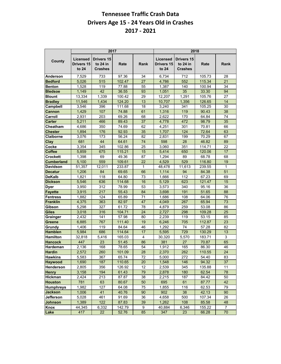<span id="page-39-0"></span>

|                   |                                 | 2017                                       |        |                 |                                               |                                                   | 2018   |                 |
|-------------------|---------------------------------|--------------------------------------------|--------|-----------------|-----------------------------------------------|---------------------------------------------------|--------|-----------------|
| <b>County</b>     | Licensed<br>Drivers 15<br>to 24 | Drivers 15<br>to $24$ in<br><b>Crashes</b> | Rate   | Rank            | <b>Licensed</b><br><b>Drivers 15</b><br>to 24 | <b>Drivers 15</b><br>to $24$ in<br><b>Crashes</b> | Rate   | <b>Rank</b>     |
| Anderson          | 7,529                           | 733                                        | 97.36  | 34              | 6,734                                         | 712                                               | 105.73 | 28              |
| <b>Bedford</b>    | 5,026                           | 515                                        | 102.47 | 27              | 4,786                                         | 552                                               | 115.34 | 21              |
| <b>Benton</b>     | 1,528                           | 119                                        | 77.88  | 55              | 1,387                                         | 140                                               | 100.94 | 34              |
| <b>Bledsoe</b>    | 1,149                           | 42                                         | 36.55  | 93              | 1,051                                         | 35                                                | 33.30  | 94              |
| <b>Blount</b>     | 13,334                          | 1,339                                      | 100.42 | 29              | 12,207                                        | 1,291                                             | 105.76 | 27              |
| <b>Bradley</b>    | 11,546                          | 1.434                                      | 124.20 | 13              | 10,707                                        | 1,356                                             | 126.65 | 14              |
| Campbell          | 3,546                           | 396                                        | 111.68 | 18              | 3,240                                         | 341                                               | 105.25 | 30              |
| Cannon            | 1,429                           | 107                                        | 74.88  | 61              | 1,316                                         | 119                                               | 90.43  | 38              |
| Carroll           | 2,931                           | 203                                        | 69.26  | 68              | 2,622                                         | 170                                               | 64.84  | 74              |
| <b>Carter</b>     | 5,211                           | 466                                        | 89.43  | 37              | 4,778                                         | 472                                               | 98.79  | 35              |
| Cheatham          | 4,686                           | 350                                        | 74.69  | 62              | 4,251                                         | 301                                               | 70.81  | 66              |
| <b>Chester</b>    | 1,894                           | 176                                        | 92.93  | 35              | 1,707                                         | 124                                               | 72.64  | 63              |
| Claiborne         | 3,076                           | 173                                        | 56.24  | 82              | 2,831                                         | 199                                               | 70.29  | 67              |
| Clay              | 681                             | 44                                         | 64.61  | 74              | 598                                           | 28                                                | 46.82  | 89              |
| Cocke             | 3,354                           | 345                                        | 102.86 | 25              | 3,060                                         | 351                                               | 114.71 | 22              |
| <b>Coffee</b>     | 5,859                           | 675                                        | 115.21 | 15              | 5,414                                         | 650                                               | 120.06 | 17              |
| <b>Crockett</b>   | 1,398                           | 69                                         | 49.36  | 87              | 1,294                                         | 89                                                | 68.78  | 68              |
| <b>Cumberland</b> | 5,100                           | 559                                        | 109.61 | 22              | 4,529                                         | 529                                               | 116.80 | 19              |
| <b>Davidson</b>   | 51,357                          | 12,011                                     | 233.87 | 1               | 48,478                                        | 11,613                                            | 239.55 | 1               |
| <b>Decatur</b>    | 1,206                           | 84                                         | 69.65  | 66              | 1.114                                         | 94                                                | 84.38  | 51              |
| <b>DeKalb</b>     | 1,821                           | 118                                        | 64.80  | 73              | 1,666                                         | 112                                               | 67.23  | 69              |
| <b>Dickson</b>    | 5,546                           | 636                                        | 114.68 | 16              | $\overline{5,129}$                            | 623                                               | 121.47 | 15              |
| <b>Dyer</b>       | 3,950                           | 312                                        | 78.99  | 53              | 3,573                                         | 340                                               | 95.16  | 36              |
| Fayette           | 3,915                           | 217                                        | 55.43  | 84              | 3,698                                         | 191                                               | 51.65  | 88              |
| <b>Fentress</b>   | 1,882                           | 124                                        | 65.89  | 71              | 1,686                                         | 108                                               | 64.06  | 76              |
| <b>Franklin</b>   | 4,375                           | 363                                        | 82.97  | 47              | 4,049                                         | 267                                               | 65.94  | 73              |
| Gibson            | 5,298                           | 327                                        | 61.72  | 78              | 4,879                                         | 259                                               | 53.08  | 86              |
| <b>Giles</b>      | 3,018                           | 316                                        | 104.71 | 24              | 2,727                                         | 298                                               | 109.28 | 25              |
| Grainger          | 2,432                           | 141                                        | 57.98  | 80              | 2,239                                         | 119                                               | 53.15  | 85              |
| <b>Greene</b>     | 6,885                           | 767                                        | 111.40 | 19              | 6,246                                         | 705                                               | 112.87 | 23              |
| Grundy            | 1,406                           | 119                                        | 84.64  | 46              | 1,292                                         | 74                                                | 57.28  | 82              |
| <b>Hamblen</b>    | 5,984                           | 686                                        | 114.64 | 17              | 5,595                                         | 729                                               | 130.29 | 13              |
| <b>Hamilton</b>   | 32,818                          | 5,416                                      | 165.03 | $\overline{4}$  | 30,320                                        | 5,570                                             | 183.71 | 3               |
| <b>Hancock</b>    | 447                             | 23                                         | 51.45  | 86              | 381                                           | 27                                                | 70.87  | 65              |
| Hardeman          | 2,136                           | 168                                        | 78.65  | 54              | 1,912                                         | 165                                               | 86.30  | 46              |
| <b>Hardin</b>     | 2,572                           | 260                                        | 101.09 | 28              | 2,370                                         | 262                                               | 110.55 | 24              |
| <b>Hawkins</b>    | 5,583                           | 367                                        | 65.74  | 72              | 5,000                                         | 272                                               | 54.40  | 83              |
| <b>Haywood</b>    | 1,690                           | 187                                        | 110.65 | $\overline{20}$ | 1,548                                         | 146                                               | 94.32  | $\overline{37}$ |
| Henderson         | 2,805                           | 356                                        | 126.92 | 12              | 2,539                                         | 345                                               | 135.88 | 11              |
| <b>Henry</b>      | 3,158                           | 194                                        | 61.43  | 79              | 2,878                                         | 180                                               | 62.54  | 78              |
| <b>Hickman</b>    | 2,424                           | 213                                        | 87.87  | 38              | 2,215                                         | 187                                               | 84.42  | 50              |
| <b>Houston</b>    | 781                             | 63                                         | 80.67  | 50              | 695                                           | 61                                                | 87.77  | 42              |
| <b>Humphreys</b>  | 1,982                           | 127                                        | 64.08  | 75              | 1,855                                         | 116                                               | 62.53  | 79              |
| <b>Jackson</b>    | 1,006                           | 41                                         | 40.76  | 90              | 902                                           | 38                                                | 42.13  | 90              |
| <b>Jefferson</b>  | 5,028                           | 461                                        | 91.69  | 36              | 4,658                                         | 500                                               | 107.34 | 26              |
| <b>Johnson</b>    | 1,389                           | 122                                        | 87.83  | 39              | 1,262                                         | 108                                               | 85.58  | 48              |
| Knox              | 44,345                          | 6,332                                      | 142.79 | 9               | 40,884                                        | 6,346                                             | 155.22 | 7               |
| Lake              | 417                             | 22                                         | 52.76  | 85              | 347                                           | 23                                                | 66.28  | 70              |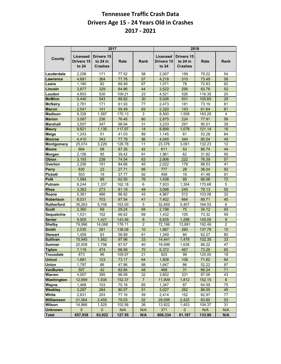|                   |                                   | 2017                                              |        |                |                                               | 2018                                              |        |                 |
|-------------------|-----------------------------------|---------------------------------------------------|--------|----------------|-----------------------------------------------|---------------------------------------------------|--------|-----------------|
| County            | Licensed<br>Drivers 15<br>to $24$ | <b>Drivers 15</b><br>to $24$ in<br><b>Crashes</b> | Rate   | <b>Rank</b>    | <b>Licensed</b><br><b>Drivers 15</b><br>to 24 | <b>Drivers 15</b><br>to $24$ in<br><b>Crashes</b> | Rate   | <b>Rank</b>     |
| Lauderdale        | 2,206                             | 171                                               | 77.52  | 58             | 2,007                                         | 159                                               | 79.22  | 54              |
| <b>Lawrence</b>   | 4,681                             | 364                                               | 77.76  | 57             | 4,218                                         | 310                                               | 73.49  | 58              |
| Lewis             | 1,180                             | 82                                                | 69.49  | 67             | 1,071                                         | 78                                                | 72.83  | 62              |
| Lincoln           | 3,877                             | 329                                               | 84.86  | 44             | 3,522                                         | 295                                               | 83.76  | 52              |
| Loudon            | 4,853                             | 530                                               | 109.21 | 23             | 4,521                                         | 526                                               | 116.35 | 20              |
| <b>McMinn</b>     | 5.440                             | 543                                               | 99.82  | 30             | 5,026                                         | 531                                               | 105.65 | 29              |
| <b>McNairy</b>    | 2,761                             | 171                                               | 61.93  | 77             | 2,473                                         | 181                                               | 73.19  | 61              |
| <b>Macon</b>      | 2.541                             | 141                                               | 55.49  | 83             | 2,320                                         | 143                                               | 61.64  | 81              |
| <b>Madison</b>    | 9,328                             | 1,587                                             | 170.13 | 3              | 8,500                                         | 1,558                                             | 183.29 | 4               |
| <b>Marion</b>     | 3,087                             | 236                                               | 76.45  | 60             | 2,875                                         | 224                                               | 77.91  | 56              |
| <b>Marshall</b>   | 3,507                             | 347                                               | 98.94  | 31             | 3,233                                         | 291                                               | 90.01  | 39              |
| <b>Maury</b>      | 9,621                             | 1,135                                             | 117.97 | 14             | 8,899                                         | 1,078                                             | 121.14 | 16              |
| Meigs             | 1,243                             | 51                                                | 41.03  | 89             | 1,145                                         | 61                                                | 53.28  | 84              |
| <b>Monroe</b>     | 4,410                             | 343                                               | 77.78  | 56             | 4,045                                         | 344                                               | 85.04  | 49              |
| <b>Montgomery</b> | 25,074                            | 3,229                                             | 128.78 | 11             | 23,376                                        | 3,091                                             | 132.23 | 12              |
| <b>Moore</b>      | 664                               | 58                                                | 87.35  | 42             | 611                                           | 53                                                | 86.74  | 44              |
| Morgan            | 2,156                             | 85                                                | 39.42  | 91             | 1,961                                         | 62                                                | 31.62  | 95              |
| <b>Obion</b>      |                                   | 238                                               | 74.54  | 63             |                                               | 222                                               |        | $\overline{57}$ |
|                   | 3,193                             |                                                   |        |                | 2,906                                         |                                                   | 76.39  |                 |
| Overton           | 2,256                             | 191<br>23                                         | 84.66  | 45             | 2,022                                         | 179                                               | 88.53  | 41              |
| <b>Perry</b>      | 830                               |                                                   | 27.71  | 95             | 777                                           | 28                                                | 36.04  | 92              |
| Pickett           | 503                               | 19                                                | 37.77  | 92             | 458                                           | 19                                                | 41.48  | 91              |
| <b>Polk</b>       | 1,584                             | 99                                                | 62.50  | 76             | 1,438                                         | 95                                                | 66.06  | 72              |
| Putnam            | 8,244                             | 1,337                                             | 162.18 | 6              | 7,933                                         | 1,354                                             | 170.68 | 5               |
| Rhea              | 3,363                             | 273                                               | 81.18  | 49             | 3,096                                         | 245                                               | 79.13  | 55              |
| Roane             | 5,361                             | 466                                               | 86.92  | 43             | 4,967                                         | 512                                               | 103.08 | 32              |
| <b>Robertson</b>  | 8,031                             | 703                                               | 87.54  | 41             | 7,402                                         | 664                                               | 89.71  | 40              |
| <b>Rutherford</b> | 35,263                            | 5,748                                             | 163.00 | 5              | 32,859                                        | 5,407                                             | 164.55 | 6               |
| <b>Scott</b>      | 2,360                             | 69                                                | 29.24  | 94             | 2,198                                         | 75                                                | 34.12  | 93              |
| Sequatchie        | 1,531                             | 102                                               | 66.62  | 69             | 1,432                                         | 105                                               | 73.32  | 59              |
| <b>Sevier</b>     | 9,905                             | 1,421                                             | 143.46 | 8              | 8,935                                         | 1,296                                             | 145.05 | 9               |
| <b>Shelby</b>     | 79,996                            | 14,088                                            | 176.11 | $\overline{2}$ | 72,166                                        | 13,891                                            | 192.49 | $\overline{2}$  |
| <b>Smith</b>      | 2,035                             | 281                                               | 138.08 | 10             | 1,887                                         | 260                                               | 137.78 | 10              |
| <b>Stewart</b>    | 1,459                             | 83                                                | 56.89  | 81             | 1,349                                         | 84                                                | 62.27  | 80              |
| <b>Sullivan</b>   | 15,945                            | 1,562                                             | 97.96  | 33             | 14,441                                        | 1,478                                             | 102.35 | 33              |
| Sumner            | 20,508                            | 1,798                                             | 87.67  | 40             | 18,998                                        | 1,638                                             | 86.22  | 47              |
| <b>Tipton</b>     | 7,119                             | 474                                               | 66.58  | 70             | 6,372                                         | 467                                               | 73.29  | 60              |
| Trousdale         | 873                               | 96                                                | 109.97 | 21             | 825                                           | 99                                                | 120.00 | 18              |
| <b>Unicoi</b>     | 1,681                             | 123                                               | 73.17  | 64             | 1,508                                         | 108                                               | 71.62  | 64              |
| <b>Union</b>      | 1,797                             | 86                                                | 47.86  | 88             | 1,647                                         | 86                                                | 52.22  | 87              |
| <b>VanBuren</b>   | 507                               | 42                                                | 82.84  | 48             | 468                                           | 31                                                | 66.24  | 71              |
| Warren            | 4,007                             | 395                                               | 98.58  | 32             | 3,802                                         | 331                                               | 87.06  | 43              |
| Washington        | 12,699                            | 1,935                                             | 152.37 | $\overline{7}$ | 11,909                                        | 1,812                                             | 152.15 | 8               |
| Wayne             | 1,468                             | 103                                               | 70.16  | 65             | 1,347                                         | 87                                                | 64.59  | 75              |
| <b>Weakley</b>    | 3,297                             | 264                                               | 80.07  | 51             | 3,027                                         | 262                                               | 86.55  | 45              |
| White             | 2,631                             | 203                                               | 77.16  | 59             | 2,414                                         | 152                                               | 62.97  | 77              |
| <b>Williamson</b> | 31,064                            | 2,455                                             | 79.03  | 52             | 29,006                                        | 2,425                                             | 83.60  | 53              |
| Wilson            | 14,866                            | 1,525                                             | 102.58 | 26             | 13,922                                        | 1,453                                             | 104.37 | 31              |
| <b>Unknown</b>    | 0                                 | $\mathbf{0}$                                      | N/A    | N/A            | 371                                           | 0                                                 | N/A    | N/A             |
| <b>Total</b>      | 657,938                           | 83,922                                            | 127.55 | N/A            | 606,334                                       | 81,187                                            | 133.90 | N/A             |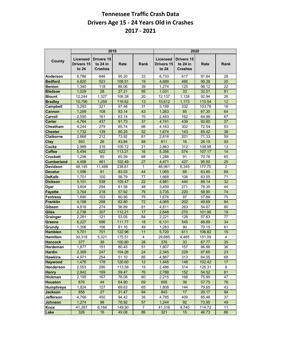|                   | 2019<br>2020                    |                                                   |        |                 |                                               |                                                   |        |                |
|-------------------|---------------------------------|---------------------------------------------------|--------|-----------------|-----------------------------------------------|---------------------------------------------------|--------|----------------|
| County            | Licensed<br>Drivers 15<br>to 24 | <b>Drivers 15</b><br>to $24$ in<br><b>Crashes</b> | Rate   | Rank            | <b>Licensed</b><br><b>Drivers 15</b><br>to 24 | <b>Drivers 15</b><br>to $24$ in<br><b>Crashes</b> | Rate   | Rank           |
| Anderson          | 6,786                           | 646                                               | 95.20  | 33              | 6,733                                         | 617                                               | 91.64  | 28             |
| <b>Bedford</b>    | 4,820                           | 523                                               | 108.51 | 19              | 4,689                                         | 466                                               | 99.38  | 20             |
| <b>Benton</b>     | 1,340                           | 118                                               | 88.06  | 39              | 1,274                                         | 125                                               | 98.12  | 22             |
| <b>Bledsoe</b>    | 1,029                           | 28                                                | 27.21  | 95              | 1,031                                         | 33                                                | 32.01  | 91             |
| <b>Blount</b>     | 12,244                          | 1,327                                             | 108.38 | 20              | 12,137                                        | 1,128                                             | 92.94  | 26             |
| <b>Bradley</b>    | 10,796                          | 1,259                                             | 116.62 | 13              | 10,612                                        | 1,173                                             | 110.54 | 12             |
| Campbell          | 3,293                           | 321                                               | 97.48  | 31              | 3,199                                         | 332                                               | 103.78 | 16             |
| Cannon            | 1,299                           | 108                                               | 83.14  | 43              | 1,263                                         | 85                                                | 67.30  | 64             |
| Carroll           | 2,550                           | 161                                               | 63.14  | 70              | 2,493                                         | 162                                               | 64.98  | 67             |
| <b>Carter</b>     | 4,764                           | 437                                               | 91.73  | 37              | 4,741                                         | 439                                               | 92.60  | 27             |
| Cheatham          | 4,244                           | 279                                               | 65.74  | 66              | 4,163                                         | 302                                               | 72.54  | 53             |
| <b>Chester</b>    | 1,732                           | 139                                               | 80.25  | 52              | 1,674                                         | 143                                               | 85.42  | 38             |
| Claiborne         | 2,868                           | 212                                               | 73.92  | 61              | 2,818                                         | 201                                               | 71.33  | 59             |
| Clay              | 593                             | 26                                                | 43.84  | 88              | 611                                           | 16                                                | 26.19  | 93             |
| Cocke             | 2,989                           | 316                                               | 105.72 | 21              | 2,863                                         | 312                                               | 108.98 | 13             |
| <b>Coffee</b>     | 5,494                           | 622                                               | 113.21 | 16              | 5,356                                         | 574                                               | 107.17 | 14             |
| <b>Crockett</b>   | 1,296                           | 85                                                | 65.59  | 68              | 1,286                                         | 91                                                | 70.76  | 60             |
| <b>Cumberland</b> | 4,498                           | 461                                               | 102.49 | 27              | 4,471                                         | 427                                               | 95.50  | 25             |
| <b>Davidson</b>   | 48,145                          | 11,488                                            | 238.61 | 1               | 46,961                                        | 8,345                                             | 177.70 | $\overline{2}$ |
| <b>Decatur</b>    | 1,096                           | 91                                                | 83.03  | 44              | 1,065                                         | 68                                                | 63.85  | 69             |
| <b>DeKalb</b>     | 1,701                           | 100                                               | 58.79  | 77              | 1,668                                         | 106                                               | 63.55  | 71             |
| <b>Dickson</b>    | $\overline{5,101}$              | 538                                               | 105.47 | 22              | 4,981                                         | 444                                               | 89.14  | 32             |
| <b>Dyer</b>       | 3,604                           | 294                                               | 81.58  | 48              | 3,459                                         | 271                                               | 78.35  | 44             |
| Fayette           | 3,764                           | 218                                               | 57.92  | 79              | 3,735                                         | 220                                               | 58.90  | 74             |
| <b>Fentress</b>   | 1,690                           | 103                                               | 60.95  | 75              | 1,676                                         | 97                                                | 57.88  | 75             |
| Franklin          | 4,108                           | 258                                               | 62.80  | 72              | 4,065                                         | 202                                               | 49.69  | 84             |
| Gibson            | 4,816                           | 274                                               | 56.89  | 81              | 4,811                                         | 263                                               | 54.67  | 80             |
| <b>Giles</b>      | 2,736                           | 307                                               | 112.21 | 17              | 2,648                                         | 270                                               | 101.96 | 19             |
| Grainger          | 2,281                           | 121                                               | 53.05  | 84              | 2,221                                         | 128                                               | 57.63  | 77             |
| <b>Greene</b>     | 6,227                           | 696                                               | 111.77 | 18              | 6,131                                         | 545                                               | 88.89  | 34             |
| Grundy            | 1,306                           | 106                                               | 81.16  | 49              | 1,283                                         | 90                                                | 70.15  | 61             |
| <b>Hamblen</b>    | 5,701                           | 701                                               | 122.96 | 11              | 5,720                                         | 611                                               | 106.82 | 15             |
| <b>Hamilton</b>   | 30,318                          | 5,321                                             | 175.51 | $\overline{4}$  | 29,685                                        | 4.485                                             | 151.09 | 4              |
| <b>Hancock</b>    | 377                             | 38                                                | 100.80 | 28              | 376                                           | 33                                                | 87.77  | 35             |
| Hardeman          | 1,877                           | 151                                               | 80.45  | 51              | 1,807                                         | 157                                               | 86.88  | 36             |
| <b>Hardin</b>     | 2,369                           | 247                                               | 104.26 | 24              | 2,345                                         | 229                                               | 97.65  | 23             |
| <b>Hawkins</b>    | 4,971                           | 254                                               | 51.10  | 85              | 4,887                                         | 313                                               | 64.05  | 68             |
| <b>Haywood</b>    | 1,476                           | 178                                               | 120.60 | $\overline{12}$ | 1,445                                         | 148                                               | 102.42 | 17             |
| <b>Henderson</b>  | 2,553                           | 290                                               | 113.59 | 15              | 2,486                                         | 314                                               | 126.31 | 8              |
| <b>Henry</b>      | 2,842                           | 169                                               | 59.47  | 76              | 2,788                                         | 152                                               | 54.52  | 81             |
| <b>Hickman</b>    | 2,195                           | 167                                               | 76.08  | 60              | 2,215                                         | 168                                               | 75.85  | 47             |
| <b>Houston</b>    | 678                             | 44                                                | 64.90  | 69              | 658                                           | 38                                                | 57.75  | 76             |
| <b>Humphreys</b>  | 1,824                           | 127                                               | 69.63  | 65              | 1,808                                         | 144                                               | 79.65  | 43             |
| <b>Jackson</b>    | 858                             | 27                                                | 31.47  | 94              | 843                                           | 17                                                | 20.17  | 94             |
| <b>Jefferson</b>  | 4,766                           | 450                                               | 94.42  | 35              | 4,785                                         | 409                                               | 85.48  | 37             |
| <b>Johnson</b>    | 1,274                           | 98                                                | 76.92  | 57              | 1,244                                         | 92                                                | 73.95  | 49             |
| Knox              | 41,287                          | 6,164                                             | 149.30 | 7               | 41,318                                        | 4,740                                             | 114.72 | 11             |
| Lake              | 326                             | 16                                                | 49.08  | 86              | 321                                           | 15                                                | 46.73  | 86             |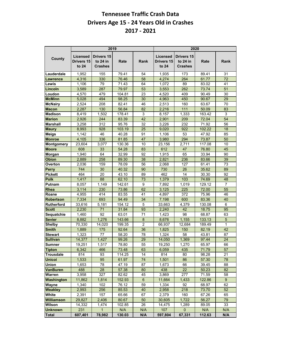| 2019              |                                        |                                                   |        |                |                                        | 2020                                              |        |                |  |  |
|-------------------|----------------------------------------|---------------------------------------------------|--------|----------------|----------------------------------------|---------------------------------------------------|--------|----------------|--|--|
| County            | <b>Licensed</b><br>Drivers 15<br>to 24 | <b>Drivers 15</b><br>to $24$ in<br><b>Crashes</b> | Rate   | Rank           | <b>Licensed</b><br>Drivers 15<br>to 24 | <b>Drivers 15</b><br>to $24$ in<br><b>Crashes</b> | Rate   | <b>Rank</b>    |  |  |
| Lauderdale        | 1,952                                  | 155                                               | 79.41  | 54             | 1,935                                  | 173                                               | 89.41  | 31             |  |  |
| Lawrence          | 4,316                                  | 330                                               | 76.46  | 58             | 4,274                                  | 264                                               | 61.77  | 72             |  |  |
| Lewis             | 1,106                                  | 79                                                | 71.43  | 64             | 1,072                                  | 89                                                | 83.02  | 41             |  |  |
| Lincoln           | 3,589                                  | 287                                               | 79.97  | 53             | 3,553                                  | 262                                               | 73.74  | 51             |  |  |
| Loudon            | 4,570                                  | 479                                               | 104.81 | 23             | 4,520                                  | 409                                               | 90.49  | 30             |  |  |
| <b>McMinn</b>     | 5,028                                  | 494                                               | 98.25  | 30             | 4,963                                  | 450                                               | 90.67  | 29             |  |  |
| <b>McNairy</b>    | 2,524                                  | 208                                               | 82.41  | 46             | 2,513                                  | 160                                               | 63.67  | 70             |  |  |
| <b>Macon</b>      | 2,287                                  | 130                                               | 56.84  | 82             | 2,216                                  | 111                                               | 50.09  | 83             |  |  |
| <b>Madison</b>    | 8,419                                  | 1,502                                             | 178.41 | 3              | 8,157                                  | 1,333                                             | 163.42 | 3              |  |  |
| <b>Marion</b>     | 2,926                                  | 244                                               | 83.39  | 42             | 2,901                                  | 209                                               | 72.04  | 54             |  |  |
| <b>Marshall</b>   | 3,258                                  | 312                                               | 95.76  | 32             | 3,226                                  | 232                                               | 71.92  | 56             |  |  |
| <b>Maury</b>      | 8,993                                  | 928                                               | 103.19 | 25             | 9,020                                  | 922                                               | 102.22 | 18             |  |  |
| Meigs             | 1,142                                  | 46                                                | 40.28  | 91             | 1,106                                  | 53                                                | 47.92  | 85             |  |  |
| <b>Monroe</b>     | 4,105                                  | 336                                               | 81.85  | 47             | 3,980                                  | 294                                               | 73.87  | 50             |  |  |
| <b>Montgomery</b> | 23,604                                 | 3,077                                             | 130.36 | 10             | 23,156                                 | 2.711                                             | 117.08 | 10             |  |  |
| <b>Moore</b>      | 608                                    | 33                                                | 54.28  | 83             | 612                                    | 47                                                | 76.80  | 45             |  |  |
| Morgan            | 1,940                                  | 64                                                | 32.99  | 92             | 1.915                                  | 65                                                | 33.94  | 90             |  |  |
| <b>Obion</b>      | 2,889                                  | 258                                               | 89.30  | 38             | 2,821                                  | 236                                               | 83.66  | 39             |  |  |
| Overton           | 2,036                                  | 159                                               | 78.09  | 56             | 2,068                                  | 127                                               | 61.41  | 73             |  |  |
| <b>Perry</b>      | 744                                    | 30                                                | 40.32  | 90             | 730                                    | 26                                                | 35.62  | 89             |  |  |
| <b>Pickett</b>    | 464                                    | 20                                                | 43.10  | 89             | 462                                    | 14                                                | 30.30  | 92             |  |  |
| <b>Polk</b>       | 1,417                                  | 88                                                | 62.10  | 73             | 1,379                                  | 103                                               | 74.69  | 48             |  |  |
| Putnam            | 8,057                                  | 1,149                                             | 142.61 | 9              | 7,892                                  | 1,019                                             | 129.12 | 7              |  |  |
| Rhea              | 3,114                                  | 230                                               | 73.86  | 62             | 3,125                                  | 225                                               | 72.00  | 55             |  |  |
| Roane             | 4,955                                  | 414                                               | 83.55  | 41             | 4,897                                  | 372                                               | 75.96  | 46             |  |  |
| <b>Robertson</b>  | 7,334                                  | 693                                               | 94.49  | 34             | 7,198                                  | 600                                               | 83.36  | 40             |  |  |
| <b>Rutherford</b> | 33,616                                 | 5,181                                             | 154.12 | 5              | 33,663                                 | 4,379                                             | 130.08 | 6              |  |  |
| <b>Scott</b>      | 2,230                                  | 71                                                | 31.84  | 93             | 2,240                                  | 42                                                | 18.75  | 95             |  |  |
| Sequatchie        | 1,460                                  | 92                                                | 63.01  | 71             | 1,423                                  | 98                                                | 68.87  | 63             |  |  |
| <b>Sevier</b>     | 8,882                                  | 1,276                                             | 143.66 | $\bf 8$        | 8,676                                  | 1,155                                             | 133.13 | 5              |  |  |
| <b>Shelby</b>     | 70,330                                 | 14,020                                            | 199.35 | $\overline{2}$ | 66,937                                 | 12.684                                            | 189.49 | $\mathbf{1}$   |  |  |
| <b>Smith</b>      | 1,889                                  | 175                                               | 92.64  | 36             | 1,825                                  | 150                                               | 82.19  | 42             |  |  |
| <b>Stewart</b>    | 1,323                                  | 77                                                | 58.20  | 78             | 1,324                                  | 58                                                | 43.81  | 87             |  |  |
| <b>Sullivan</b>   | 14,377                                 | 1,427                                             | 99.26  | 29             | 14,050                                 | 1,369                                             | 97.44  | 24             |  |  |
| Sumner            | 19,251                                 | 1.517                                             | 78.80  | 55             | 19,250                                 | 1,270                                             | 65.97  | 66             |  |  |
| <b>Tipton</b>     | 6.342                                  | 466                                               | 73.48  | 63             | 6,059                                  | 435                                               | 71.79  | 57             |  |  |
| <b>Trousdale</b>  | 814                                    | 93                                                | 114.25 | 14             | 814                                    | 80                                                | 98.28  | 21             |  |  |
| <b>Unicoi</b>     | 1,533                                  | 95                                                | 61.97  | 74             | 1,501                                  | 86                                                | 57.30  | 78             |  |  |
| <b>Union</b>      | 1,653                                  | 78                                                | 47.19  | 87             | 1,673                                  | 66                                                | 39.45  | 88             |  |  |
| <b>VanBuren</b>   | 488                                    | 28                                                | 57.38  | 80             | 438                                    | 22                                                | 50.23  | 82             |  |  |
| Warren            | 3,958                                  | 327                                               | 82.62  | 45             | 3,869                                  | 277                                               | 71.59  | 58             |  |  |
| Washington        | 11,862                                 | 1,814                                             | 152.93 | 6              | 11,664                                 | 1,433                                             | 122.86 | 9 <sup>°</sup> |  |  |
| Wayne             | 1,340                                  | 102                                               | 76.12  | 59             | 1,334                                  | 92                                                | 68.97  | 62             |  |  |
| <b>Weakley</b>    | 2,993                                  | 256                                               | 85.53  | 40             | 2,958                                  | 218                                               | 73.70  | 52             |  |  |
| White             | 2,391                                  | 157                                               | 65.66  | 67             | 2,379                                  | 160                                               | 67.26  | 65             |  |  |
| <b>Williamson</b> | 29,827                                 | 2,406                                             | 80.67  | 50             | 30,605                                 | 1,722                                             | 56.27  | 79             |  |  |
| Wilson            | 14,332                                 | 1,474                                             | 102.85 | $26\,$         | 14,475                                 | 1,289                                             | 89.05  | 33             |  |  |
| <b>Unknown</b>    | 231                                    | $\mathbf{1}$                                      | N/A    | N/A            | 107                                    | 0                                                 | N/A    | N/A            |  |  |
| <b>Total</b>      | 607,401                                | 78,982                                            | 130.03 | N/A            | 597,804                                | 67,331                                            | 112.63 | N/A            |  |  |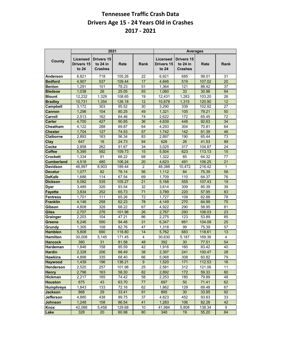|                   | 2021<br><b>Averages</b>                |                                                 |        |                |                                 |                                          |        |                 |
|-------------------|----------------------------------------|-------------------------------------------------|--------|----------------|---------------------------------|------------------------------------------|--------|-----------------|
| County            | <b>Licensed</b><br>Drivers 15<br>to 24 | <b>Drivers 15</b><br>to 24 in<br><b>Crashes</b> | Rate   | Rank           | Licensed<br>Drivers 15<br>to 24 | Drivers 15<br>to 24 in<br><b>Crashes</b> | Rate   | Rank            |
| Anderson          | 6,821                                  | 718                                             | 105.26 | 22             | 6,921                           | 685                                      | 99.01  | 31              |
| <b>Bedford</b>    | 4,907                                  | 537                                             | 109.44 | 17             | 4,846                           | 519                                      | 107.02 | 20              |
| <b>Benton</b>     | 1,291                                  | 101                                             | 78.23  | 51             | 1,364                           | 121                                      | 88.42  | 37              |
| <b>Bledsoe</b>    | 1,038                                  | 26                                              | 25.05  | 93             | 1,060                           | 33                                       | 30.96  | 94              |
| <b>Blount</b>     | 12.232                                 | 1,329                                           | 108.65 | 19             | 12,431                          | 1,283                                    | 103.20 | 26              |
| <b>Bradley</b>    | 10,731                                 | 1,354                                           | 126.18 | 12             | 10,878                          | 1.315                                    | 120.90 | 12              |
| Campbell          | 3,172                                  | 303                                             | 95.52  | 30             | 3,290                           | 339                                      | 102.92 | 27              |
| Cannon            | 1,296                                  | 104                                             | 80.25  | 49             | 1,321                           | 105                                      | 79.21  | 50              |
| Carroll           | 2,513                                  | 162                                             | 64.46  | 74             | 2,622                           | 172                                      | 65.45  | 72              |
| <b>Carter</b>     | 4,700                                  | 427                                             | 90.85  | 36             | 4,839                           | 448                                      | 92.63  | 34              |
| Cheatham          | 4,122                                  | 288                                             | 69.87  | 64             | 4,293                           | 304                                      | 70.81  | 64              |
| <b>Chester</b>    | 1,704                                  | 127                                             | 74.53  | 57             | 1,742                           | 142                                      | 81.39  | 46              |
| <b>Claiborne</b>  | 2,893                                  | 163                                             | 56.34  | 83             | 2,897                           | 190                                      | 65.44  | 73              |
| <b>Clay</b>       | 647                                    | 16                                              | 24.73  | 94             | 626                             | 26                                       | 41.53  | 89              |
| Cocke             | 2,858                                  | 262                                             | 91.67  | 34             | 3,025                           | 317                                      | 104.87 | 24              |
| <b>Coffee</b>     | 5,395                                  | 592                                             | 109.73 | 15             | 5,504                           | 623                                      | 113.13 | 15              |
| <b>Crockett</b>   | 1,334                                  | 91                                              | 68.22  | 68             | 1,322                           | 85                                       | 64.32  | 77              |
| <b>Cumberland</b> | 4,518                                  | 480                                             | 106.24 | 20             | 4,623                           | 491                                      | 106.25 | 21              |
| <b>Davidson</b>   | 46,997                                 | 8,903                                           | 189.44 | $\overline{2}$ | 48,388                          | 10,472                                   | 216.42 | 1               |
| <b>Decatur</b>    | 1,077                                  | 82                                              | 76.14  | 56             | 1,112                           | 84                                       | 75.39  | 58              |
| <b>DeKalb</b>     | 1,688                                  | 114                                             | 67.54  | 69             | 1,709                           | 110                                      | 64.37  | 76              |
| <b>Dickson</b>    | 5,082                                  | 535                                             | 105.27 | 21             | 5,168                           | 555                                      | 107.43 | 19              |
| <b>Dyer</b>       | 3,485                                  | 326                                             | 93.54  | 32             | 3,614                           | 309                                      | 85.39  | 39              |
| <b>Fayette</b>    | 3,834                                  | 252                                             | 65.73  | 71             | 3,789                           | 220                                      | 57.95  | 83              |
| <b>Fentress</b>   | 1,701                                  | 111                                             | 65.26  | 72             | 1,727                           | 109                                      | 62.88  | 78              |
| <b>Franklin</b>   | 4,146                                  | 258                                             | 62.23  | 78             | 4,149                           | 270                                      | 64.99  | 75              |
| Gibson            | 4,808                                  | 328                                             | 68.22  | 67             | 4,922                           | 290                                      | 58.95  | 81              |
| <b>Giles</b>      | 2,707                                  | 276                                             | 101.96 | 26             | 2,767                           | 293                                      | 106.03 | 23              |
| Grainger          | 2,203                                  | 104                                             | 47.21  | 86             | 2,275                           | 123                                      | 53.89  | 85              |
| <b>Greene</b>     | 6,246                                  | 590                                             | 94.46  | 31             | 6,347                           | 661                                      | 104.08 | $\overline{25}$ |
| Grundy            | 1,305                                  | 108                                             | 82.76  | 47             | 1,318                           | 99                                       | 75.39  | 57              |
| <b>Hamblen</b>    | 5,808                                  | 690                                             | 118.80 | 14             | 5,762                           | 683                                      | 118.61 | 13              |
| <b>Hamilton</b>   | 30,008                                 | 5,145                                           | 171.45 | 4              | 30,630                          | 5,187                                    | 169.36 | $\overline{4}$  |
| <b>Hancock</b>    | 380                                    | 31                                              | 81.58  | 48             | 392                             | 30                                       | 77.51  | 54              |
| Hardeman          | 1,846                                  | 158                                             | 85.59  | 42             | 1,916                           | 160                                      | 83.42  | 40              |
| <b>Hardin</b>     | 2,328                                  | 206                                             | 88.49  | 38             | 2,397                           | 241                                      | 100.47 | 28              |
| <b>Hawkins</b>    | 4,898                                  | 335                                             | 68.40  | 66             | 5,068                           | 308                                      | 60.82  | 79              |
| <b>Haywood</b>    | 1,439                                  | 196                                             | 136.21 | 9              | 1,520                           | 171                                      | 112.53 | 16              |
| Henderson         | 2,520                                  | 257                                             | 101.98 | 25             | 2,581                           | 312                                      | 121.06 | 11              |
| <b>Henry</b>      | 2,796                                  | 163                                             | 58.30  | 82             | 2,892                           | 172                                      | 59.33  | 80              |
| <b>Hickman</b>    | 2,217                                  | 165                                             | 74.42  | 58             | 2,253                           | 180                                      | 79.89  | 48              |
| <b>Houston</b>    | 675                                    | 43                                              | 63.70  | 77             | 697                             | 50                                       | 71.41  | 62              |
| <b>Humphreys</b>  | 1,843                                  | 133                                             | 72.16  | 62             | 1,862                           | 129                                      | 69.48  | 67              |
| <b>Jackson</b>    | 868                                    | 29                                              | 33.41  | 91             | 895                             | 30                                       | 33.95  | 92              |
| <b>Jefferson</b>  | 4,880                                  | 438                                             | 89.75  | 37             | 4,823                           | 452                                      | 93.63  | 33              |
| <b>Johnson</b>    | 1,248                                  | 108                                             | 86.54  | 41             | 1,283                           | 106                                      | 82.28  | 42              |
| Knox              | 42,088                                 | 5,458                                           | 129.68 | 10             | 41,984                          | 5,808                                    | 138.34 | 9               |
| Lake              | 328                                    | 20                                              | 60.98  | 80             | 348                             | 19                                       | 55.20  | 84              |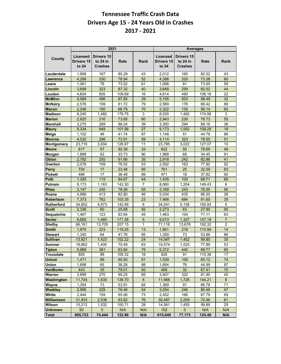| 2021<br><b>Averages</b>        |                                   |                                                   |                |                |                                 |                                                   |                |                |  |  |
|--------------------------------|-----------------------------------|---------------------------------------------------|----------------|----------------|---------------------------------|---------------------------------------------------|----------------|----------------|--|--|
| County                         | Licensed<br>Drivers 15<br>to $24$ | <b>Drivers 15</b><br>to $24$ in<br><b>Crashes</b> | Rate           | Rank           | Licensed<br>Drivers 15<br>to 24 | <b>Drivers 15</b><br>to $24$ in<br><b>Crashes</b> | Rate           | <b>Rank</b>    |  |  |
| Lauderdale                     | 1,958                             | 167                                               | 85.29          | 43             | 2.012                           | 165                                               | 82.02          | 43             |  |  |
| <b>Lawrence</b>                | 4,289                             | 330                                               | 76.94          | 52             | 4,356                           | 320                                               | 73.38          | 60             |  |  |
| Lewis                          | 1,061                             | 78                                                | 73.52          | 61             | 1,098                           | 81                                                | 73.95          | 59             |  |  |
| Lincoln                        | 3,699                             | 323                                               | 87.32          | 40             | 3,648                           | 299                                               | 82.02          | 44             |  |  |
| Loudon                         | 4,604                             | 505                                               | 109.69         | 16             | 4.614                           | 490                                               | 106.16         | 22             |  |  |
| <b>McMinn</b>                  | 5.069                             | 496                                               | 97.85          | 29             | 5,105                           | 503                                               | 98.49          | 32             |  |  |
| <b>McNairy</b>                 | 2,576                             | 159                                               | 61.72          | 79             | 2,569                           | 176                                               | 68.42          | 68             |  |  |
| <b>Macon</b>                   | 2,246                             | 150                                               | 66.79          | 70             | 2,322                           | 135                                               | 58.14          | 82             |  |  |
| <b>Madison</b>                 | 8,245                             | 1,482                                             | 179.75         | 3              | 8,530                           | 1,492                                             | 174.96         | 3              |  |  |
| <b>Marion</b>                  | 2,925                             | 216                                               | 73.85          | 60             | 2,943                           | 226                                               | 76.73          | 55             |  |  |
| <b>Marshall</b>                | 3,275                             | 289                                               | 88.24          | 39             | 3,300                           | 294                                               | 89.16          | 36             |  |  |
| <b>Maury</b>                   | 9,334                             | 948                                               | 101.56         | 27             | 9,173                           | 1,002                                             | 109.25         | 18             |  |  |
| Meigs                          | 1,102                             | 46                                                | 41.74          | 87             | 1,148                           | 51                                                | 44.79          | 88             |  |  |
| <b>Monroe</b>                  | 4,032                             | 298                                               | 73.91          | 59             | 4,114                           | 323                                               | 78.50          | 51             |  |  |
| <b>Montgomery</b>              | 23,716                            | 3.004                                             | 126.67         | 11             | 23,785                          | 3,022                                             | 127.07         | 10             |  |  |
| <b>Moore</b>                   | 617                               | 57                                                | 92.38          | 33             | 622                             | 50                                                | 79.69          | 49             |  |  |
| Morgan                         | 1,868                             | 63                                                | 33.73          | 90             | 1,968                           | 68                                                | 34.45          | 91             |  |  |
| <b>Obion</b>                   | 2,782                             | 255                                               | 91.66          | 35             | 2,918                           | 242                                               | 82.86          | 41             |  |  |
| Overton                        | 2,078                             | 159                                               | 76.52          | 53             | 2,092                           | 163                                               | 77.92          | 52             |  |  |
| <b>Perry</b>                   | 724                               | 17                                                | 23.48          | 95             | 761                             | 25                                                | 32.59          | 93             |  |  |
| <b>Pickett</b>                 | 466                               | 17                                                | 36.48          | 89             | 471                             | 18                                                | 37.82          | 90             |  |  |
| <b>Polk</b>                    | 1,355                             | 115                                               | 84.87          | 44             | 1,435                           | 100                                               | 69.71          | 66             |  |  |
| Putnam                         | 8,173                             | 1,163                                             | 142.30         | $\overline{7}$ | 8,060                           | 1,204                                             | 149.43         | 6              |  |  |
| Rhea                           | 3,147                             | 240                                               | 76.26          | 55             | 3,169                           | 243                                               | 76.55          | 56             |  |  |
| Roane                          | 4,988                             | 413                                               | 82.80          | 46             | 5,034                           | 435                                               | 86.50          | 38             |  |  |
| <b>Robertson</b>               | 7,373                             | 762                                               | 103.35         | 23             | 7,468                           | 684                                               | 91.65          | 35             |  |  |
| <b>Rutherford</b>              | 34,802                            | 4,973                                             | 142.89         | 6              | 34,041                          | 5,138                                             | 150.93         | 5              |  |  |
| <b>Scott</b>                   | 2,336                             | 60                                                | 25.68          | 92             | 2,273                           | 63                                                | 27.90          | 95             |  |  |
| Sequatchie                     | 1,467                             | 123                                               | 83.84          | 45             | 1,463                           | 104                                               | 71.11          | 63             |  |  |
| <b>Sevier</b>                  | 8,665                             | 1,485                                             | 171.38         | $\sqrt{5}$     | 9,013                           | 1,327                                             | 147.19         | $\overline{7}$ |  |  |
| <b>Shelby</b>                  | 66.161                            | 13,705                                            | 207.15         | $\mathbf{1}$   | 71,118                          | 13,678                                            | 192.32         | $\overline{2}$ |  |  |
| <b>Smith</b>                   | 1,870                             | 223                                               | 119.25         | 13             | 1.901                           | 218                                               | 114.56         | 14             |  |  |
| <b>Stewart</b>                 | 1,340                             | 64                                                | 47.76          | 85             | 1,359                           | 73                                                | 53.86          | 86             |  |  |
| <b>Sullivan</b>                | 13,921                            | 1,423                                             | 102.22         | 24             | 14,547                          | 1.452                                             | 99.80          | 30             |  |  |
| Sumner                         | 19,862                            | 1,400                                             | 70.49          | 63             | 19,574                          | 1,525                                             | 77.89          | 53             |  |  |
| <b>Tipton</b>                  | 5,968                             | 381                                               | 63.84          | 75             | 6,372                           | 445                                               | 69.77          | 65             |  |  |
| Trousdale                      | 805                               | 88                                                | 109.32         | 18             | 826                             | 91                                                | 110.38         | 17             |  |  |
| <b>Unicoi</b>                  | 1,471                             | 89                                                | 60.50          | 81             | 1,539                           | 100                                               | 65.12          | 74             |  |  |
| <b>Union</b>                   | 1,698                             | 65                                                | 38.28          | 88             | 1,694                           | 76                                                | 44.99          | 87             |  |  |
| <b>VanBuren</b>                | 443                               | 35                                                | 79.01          | 50             | 469                             | 32                                                | 67.41          | 70             |  |  |
| Warren                         | 3,899                             | 270                                               | 69.25          | 65             | 3,907                           | 320                                               | 81.90          | 45             |  |  |
| Washington<br>Wayne            | 11,704                            | 1,635<br>73                                       | 139.70         | 8<br>84        | 11,968                          | 1,726<br>91                                       | 144.21         | 8<br>71        |  |  |
|                                | 1,354<br>2,995                    | 229                                               | 53.91          |                | 1,369                           |                                                   | 66.78          |                |  |  |
| <b>Weakley</b><br><b>White</b> | 2,444                             | 159                                               | 76.46<br>65.06 | 54<br>73       | 3,054<br>2,452                  | 246<br>166                                        | 80.48<br>67.79 | 47<br>69       |  |  |
| <b>Williamson</b>              | 31,933                            | 2,038                                             | 63.82          | 76             | 30,487                          | 2,209                                             | 72.46          | 61             |  |  |
| Wilson                         | 15,212                            | 1,532                                             | 100.71         | 28             | 14,561                          | 1,455                                             | 99.89          | 29             |  |  |
| <b>Unknown</b>                 | 50                                | 0                                                 | N/A            | N/A            | 152                             | $\mathbf{0}$                                      | N/A            | N/A            |  |  |
| <b>Total</b>                   | 605,723                           | 74,444                                            | 122.90         | N/A            | 615,040                         | 77,173                                            | 125.48         | N/A            |  |  |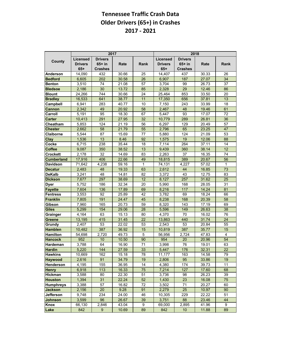<span id="page-45-0"></span>

|                   | 2017<br>2018    |                |       |             |                 |                 |       |                         |
|-------------------|-----------------|----------------|-------|-------------|-----------------|-----------------|-------|-------------------------|
|                   | <b>Licensed</b> | <b>Drivers</b> |       |             | <b>Licensed</b> | <b>Drivers</b>  |       |                         |
| County            | <b>Drivers</b>  | $65+$ in       | Rate  | <b>Rank</b> | <b>Drivers</b>  | $65+$ in        | Rate  | Rank                    |
|                   | $65+$           | <b>Crashes</b> |       |             | $65+$           | <b>Crashes</b>  |       |                         |
| <b>Anderson</b>   | 14,090          | 432            | 30.66 | 25          | 14,407          | 437             | 30.33 | 26                      |
| <b>Bedford</b>    | 6,605           | 202            | 30.58 | 26          | 6,907           | 187             | 27.07 | 34                      |
| <b>Benton</b>     | 3,510           | 74             | 21.08 | 57          | 3,704           | 99              | 26.73 | 37                      |
| <b>Bledsoe</b>    | 2,186           | 30             | 13.72 | 85          | 2,328           | 29              | 12.46 | 86                      |
| <b>Blount</b>     | 24,266          | 744            | 30.66 | 24          | 25,464          | 853             | 33.50 | 20                      |
| <b>Bradley</b>    | 16,533          | 641            | 38.77 | 11          | 17,350          | 656             | 37.81 | 13                      |
| <b>Campbell</b>   | 6,941           | 283            | 40.77 | 10          | 7,150           | 243             | 33.99 | 18                      |
| <b>Cannon</b>     | 2,342           | 49             | 20.92 | 58          | 2,467           | 48              | 19.46 | 61                      |
| Carroll           | 5,191           | 95             | 18.30 | 67          | 5,447           | 93              | 17.07 | 72                      |
| <b>Carter</b>     | 10,413          | 291            | 27.95 | 32          | 10,779          | 289             | 26.81 | 36                      |
| Cheatham          | 5,853           | 124            | 21.19 | 56          | 6,297           | 129             | 20.49 | 57                      |
| <b>Chester</b>    | 2.662           | 58             | 21.79 | 55          | 2,796           | 65              | 23.25 | 47                      |
| Claiborne         | 5,544           | 87             | 15.69 | 77          | 5,880           | 124             | 21.09 | 53                      |
| <b>Clay</b>       | 1,536           | 13             | 8.46  | 92          | 1,575           | 19              | 12.06 | 88                      |
| Cocke             | 6.715           | 238            | 35.44 | 18          | 7,114           | 264             | 37.11 | 14                      |
| <b>Coffee</b>     | 9,087           | 350            | 38.52 | 13          | 9,439           | 360             | 38.14 | 12                      |
| <b>Crockett</b>   | 2,178           | 32             | 14.69 | 83          | 2,263           | 37              | 16.35 | 74                      |
| <b>Cumberland</b> | 17,916          | 406            | 22.66 | 49          | 18,815          | 389             | 20.67 | 56                      |
| <b>Davidson</b>   | 71,642          | 4,238          | 59.16 | 1           | 74,131          | 4,227           | 57.02 | 1                       |
| <b>Decatur</b>    | 2,483           | 48             | 19.33 | 63          | 2,612           | 44              | 16.85 | 73                      |
| <b>DeKalb</b>     | 3,241           | 48             | 14.81 | 82          | 3,372           | 43              | 12.75 | 83                      |
| <b>Dickson</b>    | 7,677           | 297            | 38.69 | 12          | 8,127           | 257             | 31.62 | 25                      |
| <b>Dyer</b>       | 5,752           | 186            | 32.34 | 20          | 5.990           | 168             | 28.05 | 31                      |
| Fayette           | 7,604           | 136            | 17.89 | 69          | 8,216           | 117             | 14.24 | 81                      |
| <b>Fentress</b>   | 3,553           | 92             | 25.89 | 42          | 3,782           | 69              | 18.24 | 66                      |
| Franklin          | 7,805           | 191            | 24.47 | 45          | 8,238           | 168             | 20.39 | 58                      |
| Gibson            | 7,960           | 165            | 20.73 | 59          | 8,320           | 143             | 17.19 | 69                      |
| Giles             | 5,299           | 154            | 29.06 | 28          | 5,596           | 149             | 26.63 | 38                      |
| Grainger          | 4,164           | 63             | 15.13 | 80          | 4,370           | 70              | 16.02 | 76                      |
| <b>Greene</b>     | 13,195          | 415            | 31.45 | 22          | 13,863          | 440             | 31.74 | 24                      |
| Grundy            | 2,407           | 53             | 22.02 | 53          | 2,543           | 53              | 20.84 | 55                      |
| <b>Hamblen</b>    | 10,482          | 387            | 36.92 | 15          | 10,819          | 387             | 35.77 | 15                      |
| <b>Hamilton</b>   | 54.698          | 2,720          | 49.73 | 5           | 56,956          | 2.724           | 47.83 | $\overline{\mathbf{4}}$ |
| <b>Hancock</b>    | 952             | 10             | 10.50 | 90          | 954             | 20              | 20.96 | 54                      |
| Hardeman          | 3,788           | 64             | 16.90 | 71          | 3,998           | 76              | 19.01 | 63                      |
| <b>Hardin</b>     | 5,220           | 144            | 27.59 | 33          | 5,447           | 176             | 32.31 | 22                      |
| <b>Hawkins</b>    | 10,669          | 162            | 15.18 | 78          | 11,177          | 163             | 14.58 | 79                      |
| <b>Haywood</b>    | 2,616           | 91             | 34.79 | 19          | 2,806           | 95              | 33.86 | 19                      |
| Henderson         | 4,195           | 155            | 36.95 | 14          | 4,380           | 174             | 39.73 | 11                      |
| <b>Henry</b>      | 6,918           | 113            | 16.33 | 75          | 7,214           | 127             | 17.60 | 68                      |
| Hickman           | 3,588           | 80             | 22.30 | 51          | 3,736           | 98              | 26.23 | 39                      |
| <b>Houston</b>    | 1,394           | 31             | 22.24 | 52          | 1,430           | 23              | 16.08 | 75                      |
| <b>Humphreys</b>  | 3,388           | 57             | 16.82 | 72          | 3,502           | 71              | 20.27 | 60                      |
| <b>Jackson</b>    | 2,156           | 20             | 9.28  | 91          | 2,279           | 25              | 10.97 | 90                      |
| <b>Jefferson</b>  | 9,748           | 234            | 24.00 | 46          | 10,305          | 229             | 22.22 | 51                      |
| Johnson           | 3,599           | 96             | 26.67 | 39          | 3,751           | 88              | 23.46 | 44                      |
| Knox              | 66,130          | 2,846          | 43.04 | 9           | 69,000          | 2,895           | 41.96 | 9                       |
| Lake              | 842             | 9              | 10.69 | 89          | 842             | 10 <sup>°</sup> | 11.88 | 89                      |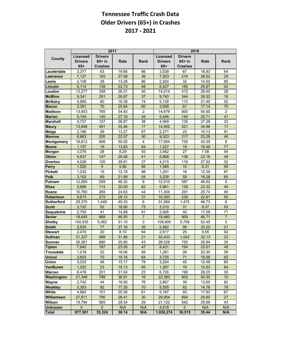|                   |                 | 2017           |       |                 | 2018           |                |       |                 |
|-------------------|-----------------|----------------|-------|-----------------|----------------|----------------|-------|-----------------|
|                   | <b>Licensed</b> | <b>Drivers</b> |       |                 | Licensed       | <b>Drivers</b> |       |                 |
| County            | <b>Drivers</b>  | $65+$ in       | Rate  | <b>Rank</b>     | <b>Drivers</b> | $65+$ in       | Rate  | Rank            |
|                   | $65+$           | <b>Crashes</b> |       |                 | $65+$          | <b>Crashes</b> |       |                 |
| Lauderdale        | 3,377           | 63             | 18.66 | 66              | 3,539          | 67             | 18.93 | 64              |
| <b>Lawrence</b>   | 7,127           | 193            | 27.08 | 36              | 7,503          | 214            | 28.52 | 29              |
| Lewis             | 2,109           | 28             | 13.28 | 86              | 2,204          | 32             | 14.52 | 80              |
| Lincoln           | 6,114           | 139            | 22.73 | 48              | 6,427          | 165            | 25.67 | 42              |
| Loudon            | 13,277          | 348            | 26.21 | 40              | 14,014         | 412            | 29.40 | 28              |
| <b>McMinn</b>     | 9,341           | 251            | 26.87 | 37              | 9,740          | 344            | 35.32 | 16              |
| <b>McNairy</b>    | 4,885           | 80             | 16.38 | 74              | 5,128          | 110            | 21.45 | 52              |
| <b>Macon</b>      | 3,391           | 70             | 20.64 | 60              | 3,558          | 61             | 17.14 | 70              |
| <b>Madison</b>    | 13,953          | 765            | 54.83 | $\overline{2}$  | 14,679         | 800            | 54.50 | $\overline{2}$  |
| <b>Marion</b>     | 5,154           | 140            | 27.16 | $\overline{34}$ | 5,446          | 140            | 25.71 | 41              |
| <b>Marshall</b>   | 4,727           | 127            | 26.87 | 38              | 4,949          | 135            | 27.28 | 33              |
| <b>Maury</b>      | 13,848          | 491            | 35.46 | 17              | 14,902         | 521            | 34.96 | 17              |
| Meigs             | 2,186           | 29             | 13.27 | 87              | 2,271          | 23             | 10.13 | 91              |
| <b>Monroe</b>     | 8,863           | 200            | 22.57 | 50              | 9,323          | 217            | 23.28 | 46              |
| <b>Montgomery</b> | 16,812          | 856            | 50.92 | 4               | 17,954         | 755            | 42.05 | 8               |
| <b>Moore</b>      | 1,157           | 16             | 13.83 | 84              | 1.227          | 19             | 15.48 | 77              |
| Morgan            | 3,376           | 28             | 8.29  | 93              | 3,562          | 27             | 7.58  | 94              |
| <b>Obion</b>      | 5,637           | 147            | 26.08 | 41              | 5,868          | 136            | 23.18 | 48              |
| Overton           | 4,026           | 120            | 29.81 | 27              | 4,215          | 116            | 27.52 | 32              |
| Perry             | 1,525           | 9              | 5.90  | 95              | 1,585          | 10             | 6.31  | 95              |
| <b>Pickett</b>    | 1,232           | 15             | 12.18 | 88              | 1,291          | 16             | 12.39 | 87              |
| <b>Polk</b>       | 3,152           | 69             | 21.89 | 54              | 3,228          | 59             | 18.28 | 65              |
| Putnam            | 12,069          | 559            | 46.32 | 8               | 12,510         | 587            | 46.92 | 5               |
| <b>Rhea</b>       | 5,686           | 114            | 20.05 | 62              | 5,961          | 139            | 23.32 | 45              |
| Roane             | 10,760          | 265            | 24.63 | 44              | 11,304         | 291            | 25.74 | 40              |
| <b>Robertson</b>  | 9,673           | 272            | 28.12 | 31              | 10,303         | 235            | 22.81 | 50              |
| <b>Rutherford</b> | 29,375          | 1,449          | 49.33 | 6               | 31,564         | 1,475          | 46.73 | 6               |
| <b>Scott</b>      | 3,122           | 52             | 16.66 | 73              | 3,310          | 31             | 9.37  | 93              |
| Sequatchie        | 2,755           | 41             | 14.88 | 81              | 2,926          | 50             | 17.09 | 71              |
| <b>Sevier</b>     | 18,645          | 868            | 46.55 | $\overline{7}$  | 19,460         | 909            | 46.71 | $\overline{7}$  |
| <b>Shelby</b>     | 104,935         | 5,362          | 51.10 | 3               | 109,805        | 5,759          | 52.45 | 3               |
| <b>Smith</b>      | 2,835           | 77             | 27.16 | 35              | 2,982          | 99             | 33.20 | 21              |
| <b>Stewart</b>    | 2,470           | 20             | 8.10  | 94              | 2,617          | 25             | 9.55  | 92              |
| <b>Sullivan</b>   | 31,327          | 998            | 31.86 | 21              | 32,433         | 1,042          | 32.13 | 23              |
| <b>Sumner</b>     | 26,361          | 680            | 25.80 | 43              | 28.028         | 755            | 26.94 | 35              |
| Tipton            | 7,942           | 187            | 23.55 | 47              | 8,431          | 194            | 23.01 | 49              |
| <b>Trousdale</b>  | 1,218           | 22             | 18.06 | 68              | 1,281          | 26             | 20.30 | 59              |
| <b>Unicoi</b>     | 3,653           | 70             | 19.16 | 64              | 3,725          | 71             | 19.06 | 62              |
| <b>Union</b>      | 3,033           | 46             | 15.17 | 79              | 3,204          | 40             | 12.48 | 85              |
| <b>VanBuren</b>   | 1,202           | 23             | 19.13 | 65              | 1,267          | 16             | 12.63 | 84              |
| Warren            | 6,476           | 201            | 31.04 | 23              | 6,726          | 190            | 28.25 | 30              |
| Washington        | 21,348          | 788            | 36.91 | 16              | 22,383         | 902            | 40.30 | 10 <sup>1</sup> |
| Wayne             | 2,742           | 44             | 16.05 | 76              | 2,867          | 39             | 13.60 | 82              |
| <b>Weakley</b>    | 5,303           | 92             | 17.35 | 70              | 5,555          | 82             | 14.76 | 78              |
| White             | 4,964           | 101            | 20.35 | 61              | 5,187          | 93             | 17.93 | 67              |
| <b>Williamson</b> | 27,811          | 790            | 28.41 | 30              | 29,954         | 894            | 29.85 | 27              |
| Wilson            | 19,794          | 565            | 28.54 | 29              | 21,122         | 542            | 25.66 | 43              |
| <b>Unknown</b>    | 0               | $\mathbf{0}$   | N/A   | N/A             | 4,818          | $\mathbf{0}$   | N/A   | N/A             |
| <b>Total</b>      | 977,501         | 35,324         | 36.14 | N/A             | 1,030,274      | 36,515         | 35.44 | N/A             |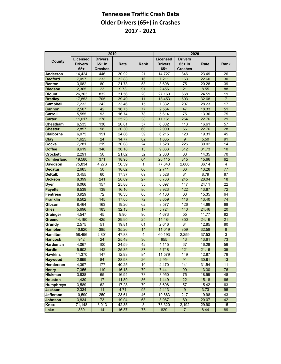|                   |                 | 2019           |       |      | 2020           |                |       |                |  |
|-------------------|-----------------|----------------|-------|------|----------------|----------------|-------|----------------|--|
|                   | <b>Licensed</b> | <b>Drivers</b> |       |      | Licensed       | <b>Drivers</b> |       |                |  |
| County            | <b>Drivers</b>  | $65+$ in       | Rate  | Rank | <b>Drivers</b> | $65+$ in       | Rate  | <b>Rank</b>    |  |
|                   | $65+$           | <b>Crashes</b> |       |      | $65+$          | <b>Crashes</b> |       |                |  |
| Anderson          | 14,424          | 446            | 30.92 | 21   | 14,727         | 346            | 23.49 | 26             |  |
| <b>Bedford</b>    | 7,097           | 233            | 32.83 | 16   | 7,211          | 163            | 22.60 | 30             |  |
| <b>Benton</b>     | 3,682           | 80             | 21.73 | 53   | 3,698          | 75             | 20.28 | 39             |  |
| <b>Bledsoe</b>    | 2,365           | 23             | 9.73  | 91   | 2,456          | 21             | 8.55  | 88             |  |
| <b>Blount</b>     | 26,363          | 832            | 31.56 | 20   | 27,160         | 668            | 24.59 | 19             |  |
| <b>Bradley</b>    | 17,853          | 705            | 39.49 | 11   | 18,453         | 603            | 32.68 | $\overline{7}$ |  |
| Campbell          | 7,232           | 242            | 33.46 | 15   | 7,332          | 207            | 28.23 | 17             |  |
| Cannon            | 2,507           | 42             | 16.75 | 77   | 2,564          | 47             | 18.33 | 51             |  |
| Carroll           | 5,555           | 93             | 16.74 | 78   | 5,614          | 75             | 13.36 | 75             |  |
| <b>Carter</b>     | 11,017          | 278            | 25.23 | 38   | 11,161         | 254            | 22.76 | 29             |  |
| Cheatham          | 6,535           | 136            | 20.81 | 57   | 6,802          | 113            | 16.61 | 57             |  |
| <b>Chester</b>    | 2,857           | 58             | 20.30 | 60   | 2,900          | 66             | 22.76 | 28             |  |
| <b>Claiborne</b>  | 6,075           | 151            | 24.86 | 39   | 6,215          | 120            | 19.31 | 45             |  |
| <b>Clay</b>       | 1,625           | 24             | 14.77 | 82   | 1,635          | 9              | 5.50  | 91             |  |
| Cocke             | 7,281           | 219            | 30.08 | 24   | 7,528          | 226            | 30.02 | 14             |  |
| <b>Coffee</b>     | 9,619           | 348            | 36.18 | 13   | 9,833          | 312            | 31.73 | 10             |  |
| <b>Crockett</b>   | 2,291           | 50             | 21.82 | 52   | 2,300          | 33             | 14.35 | 70             |  |
| <b>Cumberland</b> | 19,580          | 371            | 18.95 | 64   | 20,115         | 315            | 15.66 | 62             |  |
| <b>Davidson</b>   | 75,834          | 4,276          | 56.39 | 1    | 77,643         | 2,806          | 36.14 | 4              |  |
| <b>Decatur</b>    | 2,685           | 50             | 18.62 | 66   | 2,711          | 36             | 13.28 | 77             |  |
| <b>DeKalb</b>     | 3,455           | 60             | 17.37 | 69   | 3,528          | 31             | 8.79  | 87             |  |
| <b>Dickson</b>    | 8,399           | 241            | 28.69 | 27   | 8,736          | 245            | 28.04 | 18             |  |
| <b>Dyer</b>       | 6,066           | 157            | 25.88 | 35   | 6,097          | 147            | 24.11 | 22             |  |
| Fayette           | 8,539           | 138            | 16.16 | 80   | 8,923          | 122            | 13.67 | 72             |  |
| <b>Fentress</b>   | 3,929           | 72             | 18.33 | 68   | 4,103          | 63             | 15.35 | 64             |  |
| <b>Franklin</b>   | 8,502           | 145            | 17.05 | 72   | 8,659          | 116            | 13.40 | 74             |  |
| Gibson            | 8,464           | 163            | 19.26 | 62   | 8,577          | 126            | 14.69 | 68             |  |
| <b>Giles</b>      | 5,696           | 183            | 32.13 | 17   | 5,724          | 140            | 24.46 | 20             |  |
| Grainger          | 4,547           | 45             | 9.90  | 90   | 4,673          | 55             | 11.77 | 82             |  |
| <b>Greene</b>     | 14,190          | 425            | 29.95 | 25   | 14,484         | 350            | 24.16 | 21             |  |
| Grundy            | 2,575           | 51             | 19.81 | 61   | 2,646          | 34             | 12.85 | 80             |  |
| <b>Hamblen</b>    | 10,920          | 385            | 35.26 | 14   | 11,019         | 359            | 32.58 | 8              |  |
| Hamilton          | 58,496          | 2,801          | 47.88 | 4    | 60,193         | 2,259          | 37.53 | 3              |  |
| <b>Hancock</b>    | 942             | 24             | 25.48 | 36   | 955            | 13             | 13.61 | 73             |  |
| Hardeman          | 4,067           | 100            | 24.59 | 42   | 4,115          | 67             | 16.28 | 59             |  |
| <b>Hardin</b>     | 5,602           | 142            | 25.35 | 37   | 5,718          | 121            | 21.16 | 35             |  |
| <b>Hawkins</b>    | 11,370          | 147            | 12.93 | 84   | 11,579         | 149            | 12.87 | 79             |  |
| <b>Haywood</b>    | 2,899           | 84             | 28.98 | 26   | 2,954          | 91             | 30.81 | 13             |  |
| Henderson         | 4,397           | 177            | 40.25 | 10   | 4,470          | 141            | 31.54 | 11             |  |
| <b>Henry</b>      | 7,356           | 119            | 16.18 | 79   | 7,441          | 99             | 13.30 | 76             |  |
| <b>Hickman</b>    | 3,838           | 65             | 16.94 | 73   | 3,950          | 75             | 18.99 | 48             |  |
| <b>Houston</b>    | 1,430           | 17             | 11.89 | 86   | 1,449          | 22             | 15.18 | 66             |  |
| <b>Humphreys</b>  | 3,589           | 62             | 17.28 | 70   | 3,696          | 57             | 15.42 | 63             |  |
| <b>Jackson</b>    | 2,334           | 11             | 4.71  | 95   | 2,413          | 9              | 3.73  | 95             |  |
| <b>Jefferson</b>  | 10,590          | 250            | 23.61 | 46   | 10,863         | 217            | 19.98 | 43             |  |
| <b>Johnson</b>    | 3,834           | 73             | 19.04 | 63   | 3,987          | 80             | 20.07 | 42             |  |
| Knox              | 71,148          | 3,013          | 42.35 | 8    | 73,320         | 2,192          | 29.90 | 15             |  |
| Lake              | 830             | 14             | 16.87 | 75   | 829            | $\overline{7}$ | 8.44  | 89             |  |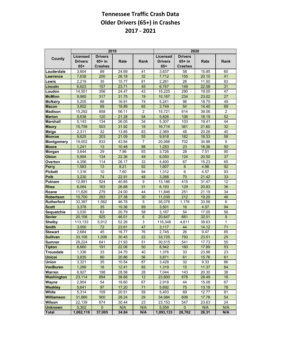|                   |                 | 2019            |                    |                | 2020           |                |       |                  |  |
|-------------------|-----------------|-----------------|--------------------|----------------|----------------|----------------|-------|------------------|--|
|                   | <b>Licensed</b> | <b>Drivers</b>  |                    |                | Licensed       | <b>Drivers</b> |       |                  |  |
| County            | <b>Drivers</b>  | $65+$ in        | Rate               | <b>Rank</b>    | <b>Drivers</b> | $65+$ in       | Rate  | <b>Rank</b>      |  |
|                   | $65+$           | <b>Crashes</b>  |                    |                | $65+$          | <b>Crashes</b> |       |                  |  |
| Lauderdale        | 3,604           | 89              | 24.69              | 41             | 3,637          | 58             | 15.95 | 60               |  |
| <b>Lawrence</b>   | 7,638           | 200             | 26.18              | 32             | 7,712          | 155            | 20.10 | 41               |  |
| Lewis             | 2,219           | 35              | 15.77              | 81             | 2,261          | 26             | 11.50 | 83               |  |
| Lincoln           | 6,623           | 157             | 23.71              | 45             | 6,747          | 149            | 22.08 | 31               |  |
| Loudon            | 14,551          | 356             | 24.47              | 43             | 15,225         | 290            | 19.05 | 47               |  |
| <b>McMinn</b>     | 9,985           | 317             | 31.75              | 19             | 10,167         | 234            | 23.02 | 27               |  |
| <b>McNairy</b>    | 5,205           | 88              | 16.91              | 74             | 5,241          | 98             | 18.70 | 49               |  |
| <b>Macon</b>      | 3,652           | 69              | 18.89              | 65             | 3,749          | 54             | 14.40 | 69               |  |
| <b>Madison</b>    | 15,292          | 858             | 56.11              | $\overline{2}$ | 15.721         | 614            | 39.06 | 2                |  |
| <b>Marion</b>     | 5,638           | 120             | 21.28              | 54             | 5,826          | 106            | 18.19 | 52               |  |
| <b>Marshall</b>   | 5,143           | 134             | 26.05              | 34             | 5,307          | 103            | 19.41 | 44               |  |
| <b>Maury</b>      | 15,758          | 503             | 31.92              | 18             | 16,714         | 361            | 21.60 | 32               |  |
| <b>Meigs</b>      | 2,311           | 32              | 13.85              | 83             | 2,369          | 48             | 20.26 | 40               |  |
| <b>Monroe</b>     | 9,625           | 203             | 21.09              | 55             | 9,918          | 162            | 16.33 | 58               |  |
| <b>Montgomery</b> | 19.002          | 833             | 43.84              | $\overline{7}$ | 20,068         | 702            | 34.98 | 5                |  |
| <b>Moore</b>      | 1,241           | 13              | 10.48              | 88             | 1,253          | 23             | 18.36 | 50               |  |
| Morgan            | 3,644           | 29              | 7.96               | 93             | 3,726          | 28             | 7.51  | 90               |  |
| <b>Obion</b>      | 5,994           | 134             | 22.36              | 49             | 6,050          | 124            | 20.50 | 37               |  |
| Overton           | 4,356           | 114             | 26.17              | 33             | 4,400          | 67             | 15.23 | 65               |  |
| <b>Perry</b>      | 1,583           | 13              | 8.21               | 92             | 1,607          | 8              | 4.98  | 92               |  |
| <b>Pickett</b>    | 1,316           | 10              | 7.60               | 94             | 1,312          | 6              | 4.57  | 93               |  |
| Polk              | 3,230           | $\overline{74}$ | 22.91              | 48             | 3,268          | 70             | 21.42 | 33               |  |
| Putnam            | 12,891          | 524             | 40.65              | 9              | 13,186         | 415            | 31.47 | 12               |  |
| Rhea              | 6,064           | 163             | 26.88              | 31             | 6,193          | 129            | 20.83 | 36               |  |
| Roane             | 11,626          | 279             | 24.00              | 44             | 11,846         | 251            | 21.19 | 34               |  |
| <b>Robertson</b>  | 10,700          | 293             | 27.38              | 30             | 11,039         | 212            | 19.20 | 46               |  |
| <b>Rutherford</b> | 33,387          | 1,562           | $\overline{46.78}$ | 5              | 35,078         | 1,178          | 33.58 | 6                |  |
| <b>Scott</b>      | 3,378           | 35              | 10.36              | 89             | 3,501          | 16             | 4.57  | 94               |  |
| Sequatchie        | 3,030           | 63              | 20.79              | 58             | 3,167          | 54             | 17.05 | 56               |  |
| <b>Sevier</b>     | 20,106          | 925             | 46.01              | 6              | 20,647         | 661            | 32.01 | $\boldsymbol{9}$ |  |
| <b>Shelby</b>     | 113,133         | 5,912           | 52.26              | 3              | 116,348        | 4,611          | 39.63 | $\mathbf{1}$     |  |
| <b>Smith</b>      | 3,050           | 72              | 23.61              | 47             | 3,117          | 44             | 14.12 | 71               |  |
| <b>Stewart</b>    | 2,684           | 45              | 16.77              | 76             | 2,745          | 26             | 9.47  | 85               |  |
| <b>Sullivan</b>   | 33,106          | 1.008           | 30.45              | 22             | 33,725         | 793            | 23.51 | 25               |  |
| <b>Sumner</b>     | 29,224          | 641             | 21.93              | 51             | 30,515         | 541            | 17.73 | 55               |  |
| <b>Tipton</b>     | 8,660           | 191             | 22.06              | 50             | 8,942          | 160            | 17.89 | 53               |  |
| <b>Trousdale</b>  | 1,336           | 33              | 24.70              | 40             | 1,376          | 33             | 23.98 | 23               |  |
| <b>Unicoi</b>     | 3,835           | 80              | 20.86              | 56             | 3,871          | 61             | 15.76 | 61               |  |
| <b>Union</b>      | 3,321           | 35              | 10.54              | 87             | 3,428          | 32             | 9.33  | 86               |  |
| <b>VanBuren</b>   | 1,289           | 16              | 12.41              | 85             | 1,319          | 15             | 11.37 | 84               |  |
| Warren            | 6,927           | 198             | 28.58              | 28             | 7,044          | 143            | 20.30 | 38               |  |
| Washington        | 23,114          | 894             | 38.68              | 12             | 23,800         | 678            | 28.49 | 16               |  |
| Wayne             | 2,904           | 54              | 18.60              | 67             | 2,918          | 44             | 15.08 | 67               |  |
| <b>Weakley</b>    | 5,641           | 97              | 17.20              | 71             | 5,692          | 75             | 13.18 | 78               |  |
| White             | 5,314           | 109             | 20.51              | 59             | 5,403          | 69             | 12.77 | 81               |  |
| <b>Williamson</b> | 31,866          | 900             | 28.24              | 29             | 34,084         | 606            | 17.78 | 54               |  |
| Wilson            | 22,139          | 674             | 30.44              | 23             | 23,153         | 547            | 23.63 | 24               |  |
| <b>Unknown</b>    | 5,302           | 0               | N/A                | N/A            | 5,559          | 0              | N/A   | N/A              |  |
| <b>Total</b>      | 1,062,118       | 37,005          | 34.84              | N/A            | 1,093,133      | 28,762         | 26.31 | N/A              |  |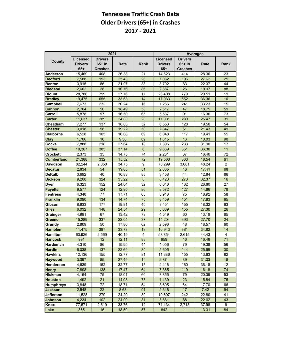|                   | 2021<br><b>Averages</b> |                |       |                |                |                |       |                |
|-------------------|-------------------------|----------------|-------|----------------|----------------|----------------|-------|----------------|
|                   | <b>Licensed</b>         | <b>Drivers</b> |       |                | Licensed       | <b>Drivers</b> |       |                |
| County            | <b>Drivers</b>          | $65+$ in       | Rate  | <b>Rank</b>    | <b>Drivers</b> | $65+$ in       | Rate  | <b>Rank</b>    |
|                   | $65+$                   | <b>Crashes</b> |       |                | $65+$          | <b>Crashes</b> |       |                |
| Anderson          | 15,469                  | 408            | 26.38 | 21             | 14,623         | 414            | 28.30 | 23             |
| <b>Bedford</b>    | 7,588                   | 193            | 25.43 | 26             | 7,082          | 196            | 27.62 | 25             |
| <b>Benton</b>     | 3,915                   | 86             | 21.97 | 38             | 3,702          | 83             | 22.37 | 44             |
| <b>Bledsoe</b>    | 2,602                   | 28             | 10.76 | 86             | 2,387          | 26             | 10.97 | 88             |
| <b>Blount</b>     | 28,786                  | 799            | 27.76 | 17             | 26,408         | 779            | 29.51 | 19             |
| <b>Bradley</b>    | 19,475                  | 655            | 33.63 | 14             | 17,933         | 652            | 36.36 | 10             |
| Campbell          | 7,673                   | 232            | 30.24 | 16             | 7,266          | 241            | 33.23 | 15             |
| <b>Cannon</b>     | 2,704                   | 50             | 18.49 | 58             | 2,517          | 47             | 18.75 | 59             |
| Carroll           | 5,878                   | 97             | 16.50 | 65             | 5,537          | 91             | 16.36 | 73             |
| <b>Carter</b>     | 11,637                  | 289            | 24.83 | 28             | 11,001         | 280            | 25.47 | 31             |
| Cheatham          | 7,277                   | 137            | 18.83 | 52             | 6,553          | 128            | 19.50 | 54             |
| <b>Chester</b>    | 3,018                   | 58             | 19.22 | 50             | 2,847          | 61             | 21.43 | 49             |
| <b>Claiborne</b>  | 6,528                   | 105            | 16.08 | 69             | 6,048          | 117            | 19.41 | 55             |
| <b>Clay</b>       | 1,706                   | 16             | 9.38  | 89             | 1,615          | 16             | 10.03 | 90             |
| Cocke             | 7,888                   | 218            | 27.64 | 18             | 7,305          | 233            | 31.90 | 17             |
| <b>Coffee</b>     | 10,367                  | 385            | 37.14 | $6\phantom{a}$ | 9.669          | 351            | 36.30 | 11             |
| <b>Crockett</b>   | 2,373                   | 35             | 14.75 | 74             | 2,281          | 37             | 16.40 | 72             |
| <b>Cumberland</b> | 21,388                  | 332            | 15.52 | 72             | 19,563         | 363            | 18.54 | 61             |
| <b>Davidson</b>   | 82,244                  | 2,858          | 34.75 | 9              | 76,299         | 3,681          | 48.24 | $\overline{2}$ |
| <b>Decatur</b>    | 2,834                   | 54             | 19.05 | 51             | 2.665          | 46             | 17.41 | 68             |
| <b>DeKalb</b>     | 3,692                   | 40             | 10.83 | 85             | 3,458          | 44             | 12.84 | 86             |
| <b>Dickson</b>    | 9,200                   | 324            | 35.22 | $\bf 8$        | 8,428          | 273            | 32.37 | 16             |
| <b>Dyer</b>       | 6,323                   | 152            | 24.04 | 32             | 6,046          | 162            | 26.80 | 27             |
| Fayette           | 9,577                   | 124            | 12.95 | 80             | 8,572          | 127            | 14.86 | 78             |
| <b>Fentress</b>   | 4,348                   | 77             | 17.71 | 63             | 3,943          | 75             | 18.92 | 58             |
| <b>Franklin</b>   | 9,090                   | 134            | 14.74 | 75             | 8,459          | 151            | 17.83 | 65             |
| Gibson            | 8,933                   | 177            | 19.81 | 45             | 8,451          | 155            | 18.32 | 63             |
| <b>Giles</b>      | 6,032                   | 148            | 24.54 | 29             | 5,669          | 155            | 27.30 | 26             |
| Grainger          | 4,991                   | 67             | 13.42 | 79             | 4,549          | 60             | 13.19 | 85             |
| <b>Greene</b>     | 15,289                  | 337            | 22.04 | 37             | 14,204         | 393            | 27.70 | 24             |
| Grundy            | 2,809                   | 50             | 17.80 | 62             | 2,596          | 48             | 18.57 | 60             |
| <b>Hamblen</b>    | 11,475                  | 387            | 33.73 | 13             | 10.943         | 381            | 34.82 | 14             |
| Hamilton          | 63,926                  | 2,569          | 40.19 | $\overline{4}$ | 58,854         | 2,615          | 44.43 | 4              |
| <b>Hancock</b>    | 991                     | 12             | 12.11 | 83             | 959            | 16             | 16.48 | 71             |
| <b>Hardeman</b>   | 4.310                   | 86             | 19.95 | 44             | 4,056          | 79             | 19.38 | 56             |
| <b>Hardin</b>     | 6,038                   | 137            | 22.69 | 34             | 5,605          | 144            | 25.69 | 30             |
| <b>Hawkins</b>    | 12,136                  | 155            | 12.77 | 81             | 11,386         | 155            | 13.63 | 82             |
| <b>Haywood</b>    | 3,097                   | 85             | 27.45 | 19             | 2,874          | 89             | 31.03 | 18             |
| Henderson         | 4,639                   | 152            | 32.77 | 15             | 4,416          | 160            | 36.18 | 12             |
| <b>Henry</b>      | 7,898                   | 138            | 17.47 | 64             | 7,365          | 119            | 16.18 | 74             |
| <b>Hickman</b>    | 4,164                   | 75             | 18.01 | 60             | 3,855          | 79             | 20.39 | 53             |
| <b>Houston</b>    | 1,492                   | 21             | 14.08 | 78             | 1,439          | 23             | 15.84 | 75             |
| <b>Humphreys</b>  | 3,848                   | 72             | 18.71 | 54             | 3,605          | 64             | 17.70 | 66             |
| <b>Jackson</b>    | 2,548                   | 22             | 8.63  | 91             | 2,346          | 17             | 7.42  | 94             |
| <b>Jefferson</b>  | 11,528                  | 279            | 24.20 | 30             | 10,607         | 242            | 22.80 | 41             |
| Johnson           | 4,234                   | 102            | 24.09 | 31             | 3,881          | 88             | 22.62 | 43             |
| Knox              | 77,571                  | 2,619          | 33.76 | 12             | 71,434         | 2,713          | 37.98 | 9              |
| Lake              | 865                     | 16             | 18.50 | 57             | 842            | 11             | 13.31 | 84             |